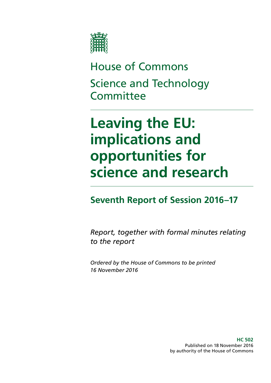

House of Commons Science and Technology **Committee** 

# **Leaving the EU: implications and opportunities for science and research**

# **Seventh Report of Session 2016–17**

*Report, together with formal minutes relating to the report*

*Ordered by the House of Commons to be printed 16 November 2016*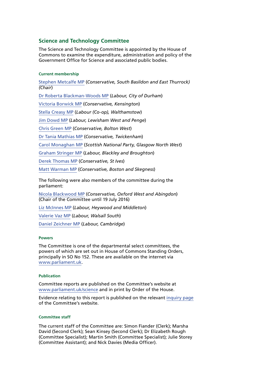### **Science and Technology Committee**

The Science and Technology Committee is appointed by the House of Commons to examine the expenditure, administration and policy of the Government Office for Science and associated public bodies.

### **Current membership**

[Stephen Metcalfe MP](http://www.parliament.uk/biographies/commons/stephen-metcalfe/4092) (*Conservative, South Basildon and East Thurrock) (Chair*) [Dr Roberta Blackman-Woods MP](http://www.parliament.uk/biographies/commons/dr-roberta-blackman-woods/1501) (*Labour, City of Durham*) [Victoria Borwick MP](http://www.parliament.uk/biographies/commons/victoria-borwick/4502) (*Conservative, Kensington*) [Stella Creasy MP](http://www.parliament.uk/biographies/commons/stella-creasy/4088) (*Labour (Co-op), Walthamstow*) [Jim Dowd MP](http://www.parliament.uk/biographies/commons/jim-dowd/189) (*Labour, Lewisham West and Penge*) [Chris Green MP](http://www.parliament.uk/biographies/commons/chris-green/4398) (*Conservative, Bolton West*) [Dr Tania Mathias MP](http://www.parliament.uk/biographies/commons/dr-tania-mathias/4404) (*Conservative, Twickenham*) [Carol Monaghan MP](http://www.parliament.uk/biographies/commons/carol-monaghan/4443) (*Scottish National Party, Glasgow North West*) [Graham Stringer MP](http://www.parliament.uk/biographies/commons/graham-stringer/449) (*Labour, Blackley and Broughton*) [Derek Thomas MP](http://www.parliament.uk/biographies/commons/derek-thomas/4532) (*Conservative, St Ives*) [Matt Warman MP](http://www.parliament.uk/biographies/commons/matt-warman/4361) (*Conservative, Boston and Skegness*) The following were also members of the committee during the

parliament:

[Nicola Blackwood MP](http://www.parliament.uk/biographies/commons/nicola-blackwood/4019) (*Conservative, Oxford West and Abingdon*) (Chair of the Committee until 19 July 2016)

[Liz McInnes MP](http://www.parliament.uk/biographies/commons/liz-mcinnes/4342) (*Labour, Heywood and Middleton*)

[Valerie Vaz MP](http://www.parliament.uk/biographies/commons/valerie-vaz/4076) (*Labour, Walsall South*)

[Daniel Zeichner MP](http://www.parliament.uk/biographies/commons/daniel-zeichner/4382) (*Labour, Cambridge*)

### **Powers**

The Committee is one of the departmental select committees, the powers of which are set out in House of Commons Standing Orders, principally in SO No 152. These are available on the internet via [www.parliament.uk](http://www.parliament.uk).

### **Publication**

Committee reports are published on the Committee's website at [www.parliament.uk/science](http://www.parliament.uk/science) and in print by Order of the House.

Evidence relating to this report is published on the relevant [inquiry page](http://www.parliament.uk/business/committees/committees-a-z/commons-select/science-and-technology-committee/inquiries/parliament-2015/leaving-the-eu-inquiry-16-17/) of the Committee's website.

### **Committee staff**

The current staff of the Committee are: Simon Fiander (Clerk); Marsha David (Second Clerk); Sean Kinsey (Second Clerk); Dr Elizabeth Rough (Committee Specialist); Martin Smith (Committee Specialist); Julie Storey (Committee Assistant); and Nick Davies (Media Officer).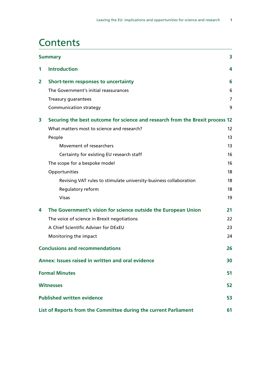## **Contents**

|   | <b>Summary</b>                                                                |                   |
|---|-------------------------------------------------------------------------------|-------------------|
| 1 | <b>Introduction</b>                                                           | 4                 |
| 2 | Short-term responses to uncertainty                                           | 6                 |
|   | The Government's initial reassurances                                         | 6                 |
|   | Treasury guarantees                                                           | 7                 |
|   | <b>Communication strategy</b>                                                 | 9                 |
| 3 | Securing the best outcome for science and research from the Brexit process 12 |                   |
|   | What matters most to science and research?                                    | $12 \overline{ }$ |
|   | People                                                                        | 13                |
|   | Movement of researchers                                                       | 13                |
|   | Certainty for existing EU research staff                                      | 16                |
|   | The scope for a bespoke model                                                 | 16                |
|   | Opportunities                                                                 | 18                |
|   | Revising VAT rules to stimulate university-business collaboration             | 18                |
|   | Regulatory reform                                                             | 18                |
|   | <b>Visas</b>                                                                  | 19                |
| 4 | The Government's vision for science outside the European Union                | 21                |
|   | The voice of science in Brexit negotiations                                   | 22                |
|   | A Chief Scientific Adviser for DExEU                                          | 23                |
|   | Monitoring the impact                                                         | 24                |
|   | <b>Conclusions and recommendations</b>                                        | 26                |
|   | Annex: Issues raised in written and oral evidence                             | 30                |
|   | <b>Formal Minutes</b>                                                         | 51                |
|   | <b>Witnesses</b>                                                              | 52                |
|   | <b>Published written evidence</b>                                             | 53                |
|   | List of Reports from the Committee during the current Parliament              | 61                |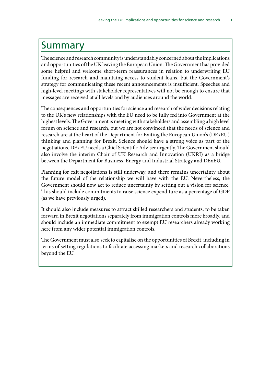### <span id="page-3-0"></span>Summary

The science and research community is understandably concerned about the implications and opportunities of the UK leaving the European Union. The Government has provided some helpful and welcome short-term reassurances in relation to underwriting EU funding for research and maintaing access to student loans, but the Government's strategy for communicating these recent announcements is insufficient. Speeches and high-level meetings with stakeholder representatives will not be enough to ensure that messages are received at all levels and by audiences around the world.

The consequences and opportunities for science and research of wider decisions relating to the UK's new relationships with the EU need to be fully fed into Government at the highest levels. The Government is meeting with stakeholders and assembling a high level forum on science and research, but we are not convinced that the needs of science and research are at the heart of the Department for Exiting the European Union's (DExEU) thinking and planning for Brexit. Science should have a strong voice as part of the negotiations. DExEU needs a Chief Scientific Adviser urgently. The Government should also involve the interim Chair of UK Research and Innovation (UKRI) as a bridge between the Department for Business, Energy and Industrial Strategy and DExEU.

Planning for exit negotiations is still underway, and there remains uncertainty about the future model of the relationship we will have with the EU. Nevertheless, the Government should now act to reduce uncertainty by setting out a vision for science. This should include commitments to raise science expenditure as a percentage of GDP (as we have previously urged).

It should also include measures to attract skilled researchers and students, to be taken forward in Brexit negotiations separately from immigration controls more broadly, and should include an immediate commitment to exempt EU researchers already working here from any wider potential immigration controls.

The Government must also seek to capitalise on the opportunities of Brexit, including in terms of setting regulations to facilitate accessing markets and research collaborations beyond the EU.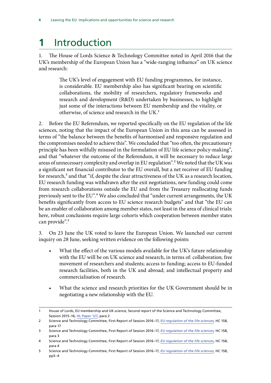# <span id="page-4-0"></span>**1** Introduction

1. The House of Lords Science & Technology Committee noted in April 2016 that the UK's membership of the European Union has a "wide-ranging influence" on UK science and research:

> The UK's level of engagement with EU funding programmes, for instance, is considerable. EU membership also has significant bearing on scientific collaborations, the mobility of researchers, regulatory frameworks and research and development (R&D) undertaken by businesses, to highlight just some of the interactions between EU membership and the vitality, or otherwise, of science and research in the UK.1

2. Before the EU Referendum, we reported specifically on the EU regulation of the life sciences, noting that the impact of the European Union in this area can be assessed in terms of "the balance between the benefits of harmonised and responsive regulation and the compromises needed to achieve this". We concluded that "too often, the precautionary principle has been wilfully misused in the formulation of EU life science policy-making", and that "whatever the outcome of the Referendum, it will be necessary to reduce large areas of unnecessary complexity and overlap in EU regulation".<sup>2</sup> We noted that the UK was a significant net financial contributor to the EU overall, but a net receiver of EU funding for research,<sup>3</sup> and that "if, despite the clear attractiveness of the UK as a research location, EU research funding was withdrawn after the exit negotiations, new funding could come from research collaborations outside the EU and from the Treasury reallocating funds previously sent to the EU".<sup>4</sup> We also concluded that "under current arrangements, the UK benefits significantly from access to EU science research budgets" and that "the EU can be an enabler of collaboration among member states, not least in the area of clinical trials: here, robust conclusions require large cohorts which cooperation between member states can provide".<sup>5</sup>

3. On 23 June the UK voted to leave the European Union. We launched our current inquiry on 28 June, seeking written evidence on the following points:

- What the effect of the various models available for the UK's future relationship with the EU will be on UK science and research, in terms of: collaboration; free movement of researchers and students; access to funding; access to EU-funded research facilities, both in the UK and abroad; and intellectual property and commercialisation of research.
- What the science and research priorities for the UK Government should be in negotiating a new relationship with the EU.

<sup>1</sup> House of Lords, EU membership and UK science, Second report of the Science and Technology Committee, Session 2015–16, [HL Paper 127](http://www.publications.parliament.uk/pa/ld201516/ldselect/ldsctech/127/127.pdf), para 2

<sup>2</sup> Science and Technology Committee, First Report of Session 2016–17, *[EU regulation of the life sciences](http://www.publications.parliament.uk/pa/cm201617/cmselect/cmsctech/158/158.pdf)*, HC 158, para 17

<sup>3</sup> Science and Technology Committee, First Report of Session 2016–17, *[EU regulation of the life sciences](http://www.publications.parliament.uk/pa/cm201617/cmselect/cmsctech/158/158.pdf)*, HC 158, para 3

<sup>4</sup> Science and Technology Committee, First Report of Session 2016–17, *[EU regulation of the life sciences](http://www.publications.parliament.uk/pa/cm201617/cmselect/cmsctech/158/158.pdf)*, HC 158, para 4

<sup>5</sup> Science and Technology Committee, First Report of Session 2016–17, *[EU regulation of the life sciences](http://www.publications.parliament.uk/pa/cm201617/cmselect/cmsctech/158/158.pdf)*, HC 158, pp3–4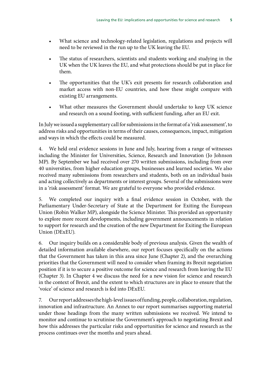- What science and technology-related legislation, regulations and projects will need to be reviewed in the run up to the UK leaving the EU.
- The status of researchers, scientists and students working and studying in the UK when the UK leaves the EU, and what protections should be put in place for them.
- The opportunities that the UK's exit presents for research collaboration and market access with non-EU countries, and how these might compare with existing EU arrangements.
- What other measures the Government should undertake to keep UK science and research on a sound footing, with sufficient funding, after an EU exit.

In July we issued a supplementary call for submissions in the format of a 'risk assessment', to address risks and opportunities in terms of their causes, consequences, impact, mitigation and ways in which the effects could be measured.

4. We held oral evidence sessions in June and July, hearing from a range of witnesses including the Minister for Universities, Science, Research and Innovation (Jo Johnson MP). By September we had received over 270 written submissions, including from over 40 universities, from higher education groups, businesses and learned societies. We also received many submissions from researchers and students, both on an individual basis and acting collectively as departments or interest groups. Several of the submissions were in a 'risk assessment' format. We are grateful to everyone who provided evidence.

5. We completed our inquiry with a final evidence session in October, with the Parliamentary Under-Secretary of State at the Department for Exiting the European Union (Robin Walker MP), alongside the Science Minister. This provided an opportunity to explore more recent developments, including government announcements in relation to support for research and the creation of the new Department for Exiting the European Union (DExEU).

6. Our inquiry builds on a considerable body of previous analysis. Given the wealth of detailed information available elsewhere, our report focuses specifically on the actions that the Government has taken in this area since June (Chapter 2), and the overarching priorities that the Government will need to consider when framing its Brexit negotiation position if it is to secure a positive outcome for science and research from leaving the EU (Chapter 3). In Chapter 4 we discuss the need for a new vision for science and research in the context of Brexit, and the extent to which structures are in place to ensure that the 'voice' of science and research is fed into DExEU.

7. Our report addresses the high-level issues of funding, people, collaboration, regulation, innovation and infrastructure. An Annex to our report summarises supporting material under those headings from the many written submissions we received. We intend to monitor and continue to scrutinise the Government's approach to negotiating Brexit and how this addresses the particular risks and opportunities for science and research as the process continues over the months and years ahead.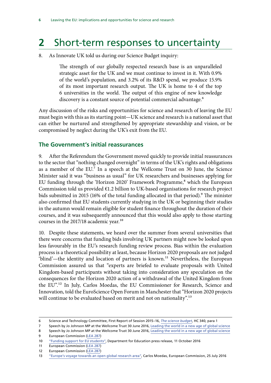# <span id="page-6-0"></span>**2** Short-term responses to uncertainty

8. As Innovate UK told us during our Science Budget inquiry:

The strength of our globally respected research base is an unparalleled strategic asset for the UK and we must continue to invest in it. With 0.9% of the world's population, and 3.2% of its R&D spend, we produce 15.9% of its most important research output. The UK is home to 4 of the top 6 universities in the world. The output of this engine of new knowledge discovery is a constant source of potential commercial advantage.<sup>6</sup>

Any discussion of the risks and opportunities for science and research of leaving the EU must begin with this as its starting point—UK science and research is a national asset that can either be nurtured and strengthened by appropriate stewardship and vision, or be compromised by neglect during the UK's exit from the EU.

### **The Government's initial reassurances**

9. After the Referendum the Government moved quickly to provide initial reassurances to the sector that "nothing changed overnight" in terms of the UK's rights and obligations as a member of the EU.<sup>7</sup> In a speech at the Wellcome Trust on 30 June, the Science Minister said it was "business as usual" for UK researchers and businesses applying for EU funding through the 'Horizon 2020' Framework Programme,<sup>8</sup> which the European Commission told us provided €1.2 billion to UK-based organisations for research project bids submitted in 2015 (16% of the total funding allocated in that period).<sup>9</sup> The minister also confirmed that EU students currently studying in the UK or beginning their studies in the autumn would remain eligible for student finance throughout the duration of their courses, and it was subsequently announced that this would also apply to those starting courses in the 2017/18 academic year.<sup>10</sup>

10. Despite these statements, we heard over the summer from several universities that there were concerns that funding bids involving UK partners might now be looked upon less favourably in the EU's research funding review process. Bias within the evaluation process is a theoretical possibility at least, because Horizon 2020 proposals are not judged 'blind'-the identity and location of partners is known.<sup>11</sup> Nevertheless, the European Commission assured us that "experts are briefed to evaluate proposals with United Kingdom-based participants without taking into consideration any speculation on the consequences for the Horizon 2020 action of a withdrawal of the United Kingdom from the EU".12 In July, Carlos Moedas, the EU Commissioner for Research, Science and Innovation, told the EuroScience Open Forum in Manchester that "Horizon 2020 projects will continue to be evaluated based on merit and not on nationality".<sup>13</sup>

<sup>6</sup> Science and Technology Committee, First Report of Session 2015–16, *[The science budget](http://www.publications.parliament.uk/pa/cm201516/cmselect/cmsctech/340/340.pdf)*, HC 340, para 1

<sup>7</sup> Speech by Jo Johnson MP at the Wellcome Trust 30 June 2016, [Leading the world in a new age of global science](https://www.gov.uk/government/speeches/leading-the-world-in-the-new-age-of-global-science)

<sup>8</sup> Speech by Jo Johnson MP at the Wellcome Trust 30 June 2016, [Leading the world in a new age of global science](https://www.gov.uk/government/speeches/leading-the-world-in-the-new-age-of-global-science) 9 European Commission ([LEA 287](http://data.parliament.uk/writtenevidence/committeeevidence.svc/evidencedocument/science-and-technology-committee/leaving-the-eu-implications-and-opportunities-for-science-and-research/written/41475.html))

<sup>10</sup> ["Funding support for EU students"](https://www.gov.uk/government/news/funding-support-for-eu-students), Department for Education press release, 11 October 2016

<sup>11</sup> European Commission ([LEA 287](http://data.parliament.uk/writtenevidence/committeeevidence.svc/evidencedocument/science-and-technology-committee/leaving-the-eu-implications-and-opportunities-for-science-and-research/written/41475.html))

<sup>12</sup> European Commission ([LEA 287](http://data.parliament.uk/writtenevidence/committeeevidence.svc/evidencedocument/science-and-technology-committee/leaving-the-eu-implications-and-opportunities-for-science-and-research/written/41475.html))

<sup>13</sup> ["Europe's voyage towards an open global research area"](http://ec.europa.eu/commission/2014-2019/moedas/announcements/europes-voyage-towards-open-global-research-area_en), Carlos Moedas, European Commission, 25 July 2016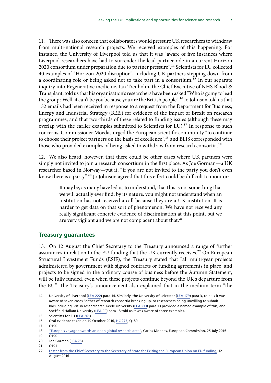<span id="page-7-0"></span>11. There was also concern that collaborators would pressure UK researchers to withdraw from multi-national research projects. We received examples of this happening. For instance, the University of Liverpool told us that it was "aware of five instances where Liverpool researchers have had to surrender the lead partner role in a current Horizon 2020 consortium under preparation due to partner pressure".14 Scientists for EU collected 40 examples of "Horizon 2020 disruption", including UK partners stepping down from a coordinating role or being asked not to take part in a consortium.<sup>15</sup> In our separate inquiry into Regenerative medicine, Ian Trenholm, the Chief Executive of NHS Blood & Transplant, told us that his organisation's researchers have been asked "Who is going to lead the group? Well, it can't be you because you are the British people".<sup>16</sup> Jo Johnson told us that 132 emails had been received in response to a request from the Department for Business, Energy and Industrial Strategy (BEIS) for evidence of the impact of Brexit on research programmes, and that two-thirds of these related to funding issues (although these may overlap with the earlier examples submitted to Scientists for EU).<sup>17</sup> In response to such concerns, Commissioner Moedas urged the European scientific community "to continue to choose their project partners on the basis of excellence",<sup>18</sup> and BEIS corresponded with those who provided examples of being asked to withdraw from research consortia.<sup>19</sup>

12. We also heard, however, that there could be other cases where UK partners were simply not invited to join a research consortium in the first place. As Joe Gorman—a UK researcher based in Norway—put it, "if you are not invited to the party you don't even know there is a party".<sup>20</sup> Jo Johnson agreed that this effect could be difficult to monitor:

> It may be, as many have led us to understand, that this is not something that we will actually ever find; by its nature, you might not understand when an institution has not received a call because they are a UK institution. It is harder to get data on that sort of phenomenon. We have not received any really significant concrete evidence of discrimination at this point, but we are very vigilant and we are not complacent about that.<sup>21</sup>

### **Treasury guarantees**

13. On 12 August the Chief Secretary to the Treasury announced a range of further assurances in relation to the EU funding that the UK currently receives.<sup>22</sup> On European Structural Investment Funds (ESIF), the Treasury stated that "all multi-year projects administered by government with signed contracts or funding agreements in place, and projects to be signed in the ordinary course of business before the Autumn Statement, will be fully funded, even when these projects continue beyond the UK's departure from the EU". The Treasury's announcement also explained that in the medium term "the

<sup>14</sup> University of Liverpool [\(LEA 222\)](http://data.parliament.uk/writtenevidence/committeeevidence.svc/evidencedocument/science-and-technology-committee/leaving-the-eu-implications-and-opportunities-for-science-and-research/written/36012.html) para 14. Similarly, the University of Leicester ([LEA 179\)](http://data.parliament.uk/writtenevidence/committeeevidence.svc/evidencedocument/science-and-technology-committee/leaving-the-eu-implications-and-opportunities-for-science-and-research/written/35818.html) para 3, told us it was aware of seven cases "either of research consortia breaking up, or researchers being unwilling to submit bids including British researchers". Keele University ([LEA 213\)](http://data.parliament.uk/writtenevidence/committeeevidence.svc/evidencedocument/science-and-technology-committee/leaving-the-eu-implications-and-opportunities-for-science-and-research/written/35983.html) para 13 provided a named example of this, and Sheffield Hallam University ([LEA 90](http://data.parliament.uk/writtenevidence/committeeevidence.svc/evidencedocument/science-and-technology-committee/leaving-the-eu-implications-and-opportunities-for-science-and-research/written/35204.html)) para 18 told us it was aware of three examples.

<sup>15</sup> Scientists for EU ([LEA 261](http://data.parliament.uk/writtenevidence/committeeevidence.svc/evidencedocument/science-and-technology-committee/leaving-the-eu-implications-and-opportunities-for-science-and-research/written/36104.html))

<sup>16</sup> Oral evidence taken on 19 October 2016, [HC 275,](http://data.parliament.uk/writtenevidence/committeeevidence.svc/evidencedocument/science-and-technology-committee/regenerative-medicine/oral/41653.pdf) Q189

<sup>17</sup> Q190

<sup>18</sup> ["Europe's voyage towards an open global research area"](http://ec.europa.eu/commission/2014-2019/moedas/announcements/europes-voyage-towards-open-global-research-area_en), Carlos Moedas, European Commission, 25 July 2016 19  $\overline{Q1}$ 90

<sup>20</sup> Joe Gorman [\(LEA 75](http://data.parliament.uk/writtenevidence/committeeevidence.svc/evidencedocument/science-and-technology-committee/leaving-the-eu-implications-and-opportunities-for-science-and-research/written/35113.html))

<sup>21</sup> Q191

<sup>22</sup> [Letter from the Chief Secretary to the Secretary of State for Exiting the European Union on EU funding,](https://www.gov.uk/government/uploads/system/uploads/attachment_data/file/545767/CST_letter_to_SoS_for_DExEU_August_2016.PDF) 12 August 2016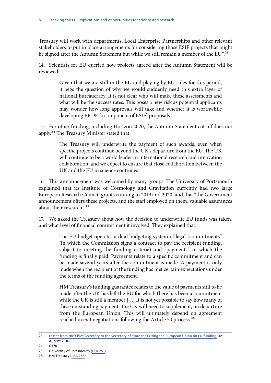Treasury will work with departments, Local Enterprise Partnerships and other relevant stakeholders to put in place arrangements for considering those ESIF projects that might be signed after the Autumn Statement but while we still remain a member of the EU".<sup>23</sup>

14. Scientists for EU queried how projects agreed after the Autumn Statement will be reviewed:

> Given that we are still in the EU and playing by EU rules for this period, it begs the question of why we would suddenly need this extra layer of national bureaucracy. It is not clear who will make these assessments and what will be the success rates. This poses a new risk as potential applicants may wonder how long approvals will take and whether it is worthwhile developing ERDF [a component of ESIF] proposals.

15. For other funding, including Horizon 2020, the Autumn Statement cut-off does not apply.<sup>24</sup> The Treasury Minister stated that:

> The Treasury will underwrite the payment of such awards, even when specific projects continue beyond the UK's departure from the EU. The UK will continue to be a world leader in international research and innovation collaboration, and we expect to ensure that close collaboration between the UK and the EU in science continues.

16. This announcement was welcomed by many groups. The University of Portsmouth explained that its Institute of Cosmology and Gravitation currently had two large European Research Council grants running to 2019 and 2020, and that "the Government announcement offers these projects, and the staff employed on them, valuable assurances about their research".25

17. We asked the Treasury about how the decision to underwrite EU funds was taken, and what level of financial commitment it involved. They explained that:

> The EU budget operates a dual budgeting system of legal "commitments" (in which the Commission signs a contract to pay the recipient funding, subject to meeting the funding criteria) and "payments" in which the funding is finally paid. Payments relate to a specific commitment and can be made several years after the commitment is made. A payment is only made when the recipient of the funding has met certain expectations under the terms of the funding agreement.

> HM Treasury's funding guarantee relates to the value of payments still to be made after the UK has left the EU for which there has been a commitment while the UK is still a member […] It is not yet possible to say how many of these outstanding payments the UK will need to supplement, on departure from the European Union. This will ultimately depend on agreement reached in exit negotiations following the Article 50 process.<sup>26</sup>

<sup>23</sup> [Letter from the Chief Secretary to the Secretary of State for Exiting the European Union on EU funding,](https://www.gov.uk/government/uploads/system/uploads/attachment_data/file/545767/CST_letter_to_SoS_for_DExEU_August_2016.PDF) 12 August 2016

<sup>24</sup> Q170

<sup>25</sup> University of Portsmouth [\(LEA 251\)](http://data.parliament.uk/writtenevidence/committeeevidence.svc/evidencedocument/science-and-technology-committee/leaving-the-eu-implications-and-opportunities-for-science-and-research/written/36064.html)

<sup>26</sup> HM Treasury [\(LEA 286\)](http://data.parliament.uk/writtenevidence/committeeevidence.svc/evidencedocument/science-and-technology-committee/leaving-the-eu-implications-and-opportunities-for-science-and-research/written/40743.html)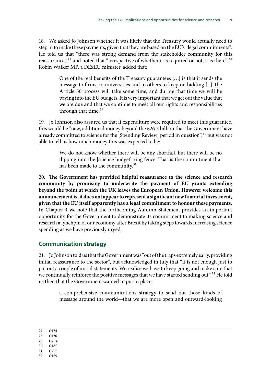<span id="page-9-0"></span>18. We asked Jo Johnson whether it was likely that the Treasury would actually need to step in to make these payments, given that they are based on the EU's "legal commitments". He told us that "there was strong demand from the stakeholder community for this reassurance,"<sup>27</sup> and noted that "irrespective of whether it is required or not, it is there".<sup>28</sup> Robin Walker MP, a DExEU minister, added that:

> One of the real benefits of the Treasury guarantees […] is that it sends the message to firms, to universities and to others to keep on bidding [...] The Article 50 process will take some time, and during that time we will be paying into the EU budgets. It is very important that we get out the value that we are due and that we continue to meet all our rights and responsibilities through that time.<sup>29</sup>

19. Jo Johnson also assured us that if expenditure were required to meet this guarantee, this would be "new, additional money beyond the £26.3 billion that the Government have already committed to science for the [Spending Review] period in question",<sup>30</sup> but was not able to tell us how much money this was expected to be:

> We do not know whether there will be any shortfall, but there will be no dipping into the [science budget] ring fence. That is the commitment that has been made to the community.<sup>31</sup>

20. **The Government has provided helpful reassurance to the science and research community by promising to underwrite the payment of EU grants extending beyond the point at which the UK leaves the European Union. However welcome this announcement is, it does not appear to represent a significant new financial investment, given that the EU itself apparently has a legal commitment to honour these payments.**  In Chapter 4 we note that the forthcoming Autumn Statement provides an important opportunity for the Government to demonstrate its commitment to making science and research a lynchpin of our economy after Brexit by taking steps towards increasing science spending as we have previously urged.

### **Communication strategy**

21. Jo Johnson told us that the Government was "out of the traps extremely early, providing initial reassurance to the sector", but acknowledged in July that "it is not enough just to put out a couple of initial statements. We realise we have to keep going and make sure that we continually reinforce the positive messages that we have started sending out".<sup>32</sup> He told us then that the Government wanted to put in place:

> a comprehensive communications strategy to send out those kinds of message around the world—that we are more open and outward-looking

27 Q174

- 28 Q176
- 29 Q204
- 30 Q180
- 31 Q203
- 32 Q129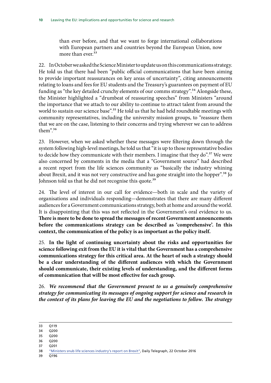than ever before, and that we want to forge international collaborations with European partners and countries beyond the European Union, now more than ever<sup>33</sup>

22. In October we asked the Science Minister to update us on this communications strategy. He told us that there had been "public official communications that have been aiming to provide important reassurances on key areas of uncertainty", citing announcements relating to loans and fees for EU students and the Treasury's guarantees on payment of EU funding as "the key detailed crunchy elements of our comms strategy".<sup>34</sup> Alongside these, the Minister highlighted a "drumbeat of reassuring speeches" from Ministers "around the importance that we attach to our ability to continue to attract talent from around the world to sustain our science base".<sup>35</sup> He told us that he had held roundtable meetings with community representatives, including the university mission groups, to "reassure them that we are on the case, listening to their concerns and trying wherever we can to address them".36

23. However, when we asked whether these messages were filtering down through the system following high-level meetings, he told us that "it is up to those representative bodies to decide how they communicate with their members. I imagine that they do".<sup>37</sup> We were also concerned by comments in the media that a "Government source" had described a recent report from the life sciences community as "basically the industry whining about Brexit, and it was not very constructive and has gone straight into the hopper".<sup>38</sup> Jo Johnson told us that he did not recognise this quote.<sup>39</sup>

24. The level of interest in our call for evidence—both in scale and the variety of organisations and individuals responding—demonstrates that there are many different audiences for a Government communications strategy, both at home and around the world. It is disappointing that this was not reflected in the Government's oral evidence to us. **There is more to be done to spread the messages of recent Government announcements before the communications strategy can be described as 'comprehensive'. In this context, the communication of the policy is as important as the policy itself.**

25. **In the light of continuing uncertainty about the risks and opportunities for science following exit from the EU it is vital that the Government has a comprehensive communications strategy for this critical area. At the heart of such a strategy should be a clear understanding of the different audiences with which the Government should communicate, their existing levels of understanding, and the different forms of communication that will be most effective for each group.**

26. *We recommend that the Government present to us a genuinely comprehensive strategy for communicating its messages of ongoing support for science and research in the context of its plans for leaving the EU and the negotiations to follow. The strategy* 

- 34 Q200
- 35 Q200
- 36 Q200
- 37 Q201

39 Q196

<sup>33</sup> Q119

<sup>38</sup> ["Ministers snub life sciences industry's report on Brexit",](http://www.telegraph.co.uk/business/2016/10/22/ministers-snub-life-sciences-industrys-report-on-brexit/) Daily Telegraph, 22 October 2016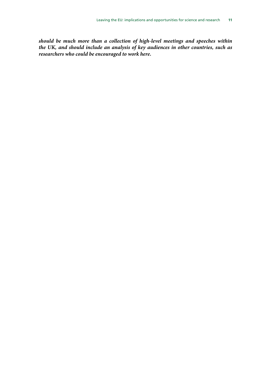*should be much more than a collection of high-level meetings and speeches within the UK, and should include an analysis of key audiences in other countries, such as researchers who could be encouraged to work here.*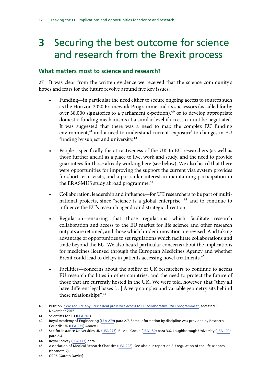# <span id="page-12-0"></span>**3** Securing the best outcome for science and research from the Brexit process

### **What matters most to science and research?**

27. It was clear from the written evidence we received that the science community's hopes and fears for the future revolve around five key issues:

- Funding—in particular the need either to secure ongoing access to sources such as the Horizon 2020 Framework Programme and its successors (as called for by over 38,000 signatories to a parliament e-petition), $40$  or to develop appropriate domestic funding mechanisms at a similar level if access cannot be negotiated. It was suggested that there was a need to map the complex EU funding environment,<sup>41</sup> and a need to understand current 'exposure' to changes in EU funding by subject and university.<sup>42</sup>
- People—specifically the attractiveness of the UK to EU researchers (as well as those further afield) as a place to live, work and study, and the need to provide guarantees for those already working here (see below). We also heard that there were opportunities for improving the support the current visa system provides for short-term visits, and a particular interest in maintaining participation in the ERASMUS study abroad programme.<sup>43</sup>
- Collaboration, leadership and influence—for UK researchers to be part of multinational projects, since "science is a global enterprise",<sup>44</sup> and to continue to influence the EU's research agenda and strategic direction.
- Regulation—ensuring that those regulations which facilitate research collaboration and access to the EU market for life science and other research outputs are retained, and those which hinder innovation are revised. And taking advantage of opportunities to set regulations which facilitate collaborations and trade beyond the EU. We also heard particular concerns about the implications for medicines licensed through the European Medicines Agency and whether Brexit could lead to delays in patients accessing novel treatments.<sup>45</sup>
- Facilities—concerns about the ability of UK researchers to continue to access EU research facilities in other countries, and the need to protect the future of those that are currently hosted in the UK. We were told, however, that "they all have different legal bases […] A very complex and variable geometry sits behind these relationships".46

<sup>40</sup> Petition, ["We require any Brexit deal preserves access to EU collaborative R&D programmes"](https://petition.parliament.uk/petitions/150220), accessed 9 November 2016

<sup>41</sup> Scientists for EU ([LEA 261](http://data.parliament.uk/writtenevidence/committeeevidence.svc/evidencedocument/science-and-technology-committee/leaving-the-eu-implications-and-opportunities-for-science-and-research/written/36104.html))

<sup>42</sup> Royal Academy of Engineering ([LEA 279](http://data.parliament.uk/writtenevidence/committeeevidence.svc/evidencedocument/science-and-technology-committee/leaving-the-eu-implications-and-opportunities-for-science-and-research/written/36717.html)) para 2.7. Some information by discipline was provided by Research Councils UK [\(LEA 235\)](http://data.parliament.uk/writtenevidence/committeeevidence.svc/evidencedocument/science-and-technology-committee/leaving-the-eu-implications-and-opportunities-for-science-and-research/written/36037.pdf) Annex 1

<sup>43</sup> See for instance Universities UK [\(LEA 275\)](http://data.parliament.uk/writtenevidence/committeeevidence.svc/evidencedocument/science-and-technology-committee/leaving-the-eu-implications-and-opportunities-for-science-and-research/written/36378.html), Russell Group ([LEA 180](http://data.parliament.uk/writtenevidence/committeeevidence.svc/evidencedocument/science-and-technology-committee/leaving-the-eu-implications-and-opportunities-for-science-and-research/written/35837.html)) para 3.6, Loughborough University [\(LEA 109](http://data.parliament.uk/writtenevidence/committeeevidence.svc/evidencedocument/science-and-technology-committee/leaving-the-eu-implications-and-opportunities-for-science-and-research/written/35316.html)) para 2.4

<sup>44</sup> Royal Society [\(LEA 177\)](http://data.parliament.uk/writtenevidence/committeeevidence.svc/evidencedocument/science-and-technology-committee/leaving-the-eu-implications-and-opportunities-for-science-and-research/written/35804.html) para 3

<sup>45</sup> Association of Medical Research Charities [\(LEA 228\)](http://data.parliament.uk/writtenevidence/committeeevidence.svc/evidencedocument/science-and-technology-committee/leaving-the-eu-implications-and-opportunities-for-science-and-research/written/36023.html). See also our report on EU regulation of the life sciences (footnote 2).

<sup>46</sup> Q206 [Gareth Davies]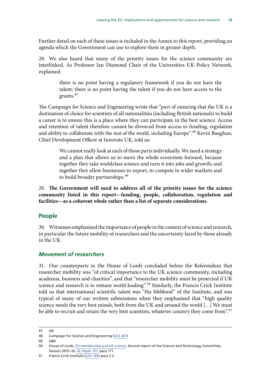<span id="page-13-0"></span>Further detail on each of these issues is included in the Annex to this report, providing an agenda which the Government can use to explore them in greater depth.

28. We also heard that many of the priority issues for the science community are interlinked. As Professor Ian Diamond Chair of the Universities UK Policy Network, explained:

> there is no point having a regulatory framework if you do not have the talent; there is no point having the talent if you do not have access to the grants.<sup>47</sup>

The Campaign for Science and Engineering wrote that "part of ensuring that the UK is a destination of choice for scientists of all nationalities (including British nationals) to build a career is to ensure this is a place where they can participate in the best science. Access and retention of talent therefore cannot be divorced from access to funding, regulation and ability to collaborate with the rest of the world, including Europe".<sup>48</sup> Kevin Baughan, Chief Development Officer at Innovate UK, told us:

> We cannot really look at each of those parts individually. We need a strategy and a plan that allows us to move the whole ecosystem forward, because together they take worldclass science and turn it into jobs and growth; and together they allow businesses to export, to compete in wider markets and to build broader partnerships.<sup>49</sup>

29. **The Government will need to address all of the priority issues for the science community listed in this report—funding, people, collaboration, regulation and facilities—as a coherent whole rather than a list of separate considerations.**

### **People**

30. Witnesses emphasised the importance of people in the context of science and research, in particular the future mobility of researchers and the uncertainty faced by those already in the UK.

### *Movement of researchers*

31. Our counterparts in the House of Lords concluded before the Referendum that researcher mobility was "of critical importance to the UK science community, including academia, business and charities", and that "researcher mobility must be protected if UK science and research is to remain world-leading".<sup>50</sup> Similarly, the Francis Crick Institute told us that international scientific talent was "the lifeblood" of the Institute, and was typical of many of our written submissions when they emphasised that "high quality science needs the very best minds, both from the UK and around the world […] We must be able to recruit and retain the very best scientists, whatever country they come from".<sup>51</sup>

<sup>47</sup> Q6

<sup>48</sup> Campaign for Science and Engineering ([LEA 267](http://data.parliament.uk/writtenevidence/committeeevidence.svc/evidencedocument/science-and-technology-committee/leaving-the-eu-implications-and-opportunities-for-science-and-research/written/36147.html))

<sup>49</sup> Q86

<sup>50</sup> House of Lords, *EU membership and UK science*, Second report of the Science and Technology Committee, Session 2015–16, [HL Paper 127](http://www.publications.parliament.uk/pa/ld201516/ldselect/ldsctech/127/127.pdf), para 171

<sup>51</sup> Francis Crick Institute [\(LEA 146\)](http://data.parliament.uk/writtenevidence/committeeevidence.svc/evidencedocument/science-and-technology-committee/leaving-the-eu-implications-and-opportunities-for-science-and-research/written/35568.html) para 2.3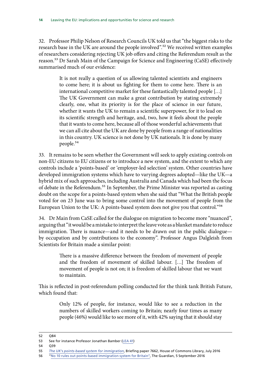32. Professor Philip Nelson of Research Councils UK told us that "the biggest risks to the research base in the UK are around the people involved".<sup>52</sup> We received written examples of researchers considering rejecting UK job offers and citing the Referendum result as the reason.<sup>53</sup> Dr Sarah Main of the Campaign for Science and Engineering (CaSE) effectively summarised much of our evidence:

> It is not really a question of us allowing talented scientists and engineers to come here; it is about us fighting for them to come here. There is an international competitive market for these fantastically talented people […] The UK Government can make a great contribution by stating extremely clearly, one, what its priority is for the place of science in our future, whether it wants the UK to remain a scientific superpower, for it to lead on its scientific strength and heritage, and, two, how it feels about the people that it wants to come here, because all of those wonderful achievements that we can all cite about the UK are done by people from a range of nationalities in this country. UK science is not done by UK nationals. It is done by many people.54

33. It remains to be seen whether the Government will seek to apply existing controls on non-EU citizens to EU citizens or to introduce a new system, and the extent to which any controls include a 'points-based' or 'employer-led selection' system. Other countries have developed immigration systems which have to varying degrees adopted—like the UK—a hybrid mix of such approaches, including Australia and Canada which had been the focus of debate in the Referendum.55 In September, the Prime Minister was reported as casting doubt on the scope for a points-based system when she said that "What the British people voted for on 23 June was to bring some control into the movement of people from the European Union to the UK: A points-based system does not give you that control."56

34. Dr Main from CaSE called for the dialogue on migration to become more "nuanced", arguing that "it would be a mistake to interpret the leave vote as a blanket mandate to reduce immigration. There is nuance—and it needs to be drawn out in the public dialogue by occupation and by contributions to the economy". Professor Angus Dalgleish from Scientists for Britain made a similar point:

> There is a massive difference between the freedom of movement of people and the freedom of movement of skilled labour. […] The freedom of movement of people is not on; it is freedom of skilled labour that we want to maintain.

This is reflected in post-referendum polling conducted for the think tank British Future, which found that:

> Only 12% of people, for instance, would like to see a reduction in the numbers of skilled workers coming to Britain; nearly four times as many people (46%) would like to see more of it, with 42% saying that it should stay

<sup>52</sup> Q84

<sup>53</sup> See for instance Professor Jonathan Bamber ([LEA 41](http://data.parliament.uk/writtenevidence/committeeevidence.svc/evidencedocument/science-and-technology-committee/leaving-the-eu-implications-and-opportunities-for-science-and-research/written/34961.html))

<sup>54</sup> Q39

<sup>55</sup> *[The UK's points-based system for immigration](http://researchbriefings.files.parliament.uk/documents/CBP-7662/CBP-7662.pdf)*, Briefing paper 7662, House of Commons Library, July 2016

<sup>56</sup> "[No 10 rules out points-based immigration system for Britain"](https://www.theguardian.com/uk-news/2016/sep/05/no-10-theresa-may-rules-out-points-based-immigration-system-for-britain-brexit), The Guardian, 5 September 2016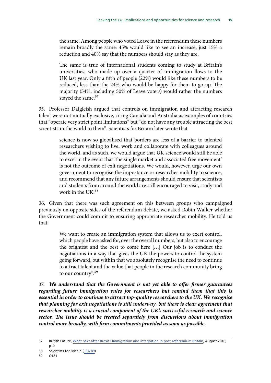the same. Among people who voted Leave in the referendum these numbers remain broadly the same: 45% would like to see an increase, just 15% a reduction and 40% say that the numbers should stay as they are.

The same is true of international students coming to study at Britain's universities, who made up over a quarter of immigration flows to the UK last year. Only a fifth of people (22%) would like these numbers to be reduced, less than the 24% who would be happy for them to go up. The majority (54%, including 50% of Leave voters) would rather the numbers stayed the same.<sup>57</sup>

35. Professor Dalgleish argued that controls on immigration and attracting research talent were not mutually exclusive, citing Canada and Australia as examples of countries that "operate very strict point limitations" but "do not have any trouble attracting the best scientists in the world to them". Scientists for Britain later wrote that

> science is now so globalised that borders are less of a barrier to talented researchers wishing to live, work and collaborate with colleagues around the world, and as such, we would argue that UK science would still be able to excel in the event that 'the single market and associated free movement' is not the outcome of exit negotiations. We would, however, urge our own government to recognise the importance or researcher mobility to science, and recommend that any future arrangements should ensure that scientists and students from around the world are still encouraged to visit, study and work in the UK.<sup>58</sup>

36. Given that there was such agreement on this between groups who campaigned previously on opposite sides of the referendum debate, we asked Robin Walker whether the Government could commit to ensuring appropriate researcher mobility. He told us that:

> We want to create an immigration system that allows us to exert control, which people have asked for, over the overall numbers, but also to encourage the brightest and the best to come here […] Our job is to conduct the negotiations in a way that gives the UK the powers to control the system going forward, but within that we absolutely recognise the need to continue to attract talent and the value that people in the research community bring to our country".59

37. *We understand that the Government is not yet able to offer firmer guarantees*  regarding future immigration rules for researchers but remind them that this is *essential in order to continue to attract top-quality researchers to the UK. We recognise that planning for exit negotiations is still underway, but there is clear agreement that researcher mobility is a crucial component of the UK's successful research and science sector. The issue should be treated separately from discussions about immigration control more broadly, with firm commitments provided as soon as possible.*

<sup>57</sup> British Future, [What next after Brexit? Immigration and integration in post-referendum Britain,](http://www.britishfuture.org/wp-content/uploads/2016/09/What-next-after-Brexit.pdf) August 2016, p10

<sup>58</sup> Scientists for Britain ([LEA 89](http://data.parliament.uk/writtenevidence/committeeevidence.svc/evidencedocument/science-and-technology-committee/leaving-the-eu-implications-and-opportunities-for-science-and-research/written/35197.html))

<sup>59</sup> Q181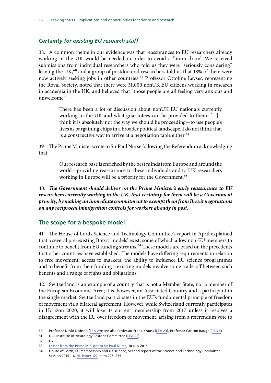### <span id="page-16-0"></span>*Certainty for existing EU research staff*

38. A common theme in our evidence was that reassurances to EU researchers already working in the UK would be needed in order to avoid a 'brain drain'. We received submissions from individual researchers who told us they were "seriously considering" leaving the UK,<sup>60</sup> and a group of postdoctoral researchers told us that 18% of them were now actively seeking jobs in other countries.<sup>61</sup> Professor Ottoline Leyser, representing the Royal Society, noted that there were 31,000 nonUK EU citizens working in research in academia in the UK, and believed that "those people are all feeling very anxious and unwelcome":

> There has been a lot of discussion about nonUK EU nationals currently working in the UK and what guarantees can be provided to them. […] I think it is absolutely not the way we should be proceeding—to use people's lives as bargaining chips in a broader political landscape. I do not think that is a constructive way to arrive at a negotiation table either.<sup>62</sup>

39. The Prime Minister wrote to Sir Paul Nurse following the Referendum acknowledging that:

> Our research base is enriched by the best minds from Europe and around the world—providing reassurance to these individuals and to UK researchers working in Europe will be a priority for the Government.<sup>63</sup>

40. *The Government should deliver on the Prime Minister's early reassurance to EU researchers currently working in the UK, that certainty for them will be a Government priority, by making an immediate commitment to exempt them from Brexit negotiations on any reciprocal immigration controls for workers already in post.*

### **The scope for a bespoke model**

41. The House of Lords Science and Technology Committee's report in April explained that a several pre-existing Brexit 'models' exist, some of which allow non-EU members to continue to benefit from EU funding streams.<sup>64</sup> These models are based on the precedents that other countries have established. The models have differing requirements in relation to free movement, access to markets, the ability to influence EU science programmes and to benefit from their funding—existing models involve some trade-off between such benefits and a range of rights and obligations.

42. Switzerland is an example of a country that is not a Member State, nor a member of the European Economic Area; it is, however, an Associated Country and a participant in the single market. Switzerland participates in the EU's fundamental principle of freedom of movement via a bilateral agreement. However, while Switzerland currently participates in Horizon 2020, it will lose its current membership from 2017 unless it resolves a disagreement with the EU over freedom of movement, arising from a referendum vote to

<sup>60</sup> Professor David Dobson [\(LEA 29\)](http://data.parliament.uk/writtenevidence/committeeevidence.svc/evidencedocument/science-and-technology-committee/leaving-the-eu-implications-and-opportunities-for-science-and-research/written/34927.html); see also Professor Frank Krauss ([LEA 23](http://data.parliament.uk/writtenevidence/committeeevidence.svc/evidencedocument/science-and-technology-committee/leaving-the-eu-implications-and-opportunities-for-science-and-research/written/34874.html)), Professor Carlton Baugh [\(LEA 6](http://data.parliament.uk/writtenevidence/committeeevidence.svc/evidencedocument/science-and-technology-committee/leaving-the-eu-implications-and-opportunities-for-science-and-research/written/34779.html))

<sup>61</sup> UCL Institute of Neurology Postdoc Committee ([LEA 28](http://data.parliament.uk/writtenevidence/committeeevidence.svc/evidencedocument/science-and-technology-committee/leaving-the-eu-implications-and-opportunities-for-science-and-research/written/34917.html))

<sup>62</sup> Q79

<sup>63</sup> [Letter from the Prime Minister to Sir Paul Nurse,](https://drive.google.com/file/d/0BwQ4esYYFC04UnhmRldMbUNralU/view) 18 July 2016

<sup>64</sup> House of Lords, EU membership and UK science, Second report of the Science and Technology Committee, Session 2015–16, [HL Paper 127](http://www.publications.parliament.uk/pa/ld201516/ldselect/ldsctech/127/127.pdf), para 225–235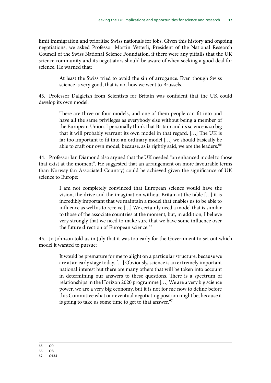limit immigration and prioritise Swiss nationals for jobs. Given this history and ongoing negotiations, we asked Professor Martin Vetterli, President of the National Research Council of the Swiss National Science Foundation, if there were any pitfalls that the UK science community and its negotiators should be aware of when seeking a good deal for science. He warned that:

> At least the Swiss tried to avoid the sin of arrogance. Even though Swiss science is very good, that is not how we went to Brussels.

43. Professor Dalgleish from Scientists for Britain was confident that the UK could develop its own model:

> There are three or four models, and one of them people can fit into and have all the same privileges as everybody else without being a member of the European Union. I personally think that Britain and its science is so big that it will probably warrant its own model in that regard. […] The UK is far too important to fit into an ordinary model […] we should basically be able to craft our own model, because, as is rightly said, we are the leaders.<sup>65</sup>

44. Professor Ian Diamond also argued that the UK needed "an enhanced model to those that exist at the moment". He suggested that an arrangement on more favourable terms than Norway (an Associated Country) could be achieved given the significance of UK science to Europe:

> I am not completely convinced that European science would have the vision, the drive and the imagination without Britain at the table […] it is incredibly important that we maintain a model that enables us to be able to influence as well as to receive […] We certainly need a model that is similar to those of the associate countries at the moment, but, in addition, I believe very strongly that we need to make sure that we have some influence over the future direction of European science.<sup>66</sup>

45. Jo Johnson told us in July that it was too early for the Government to set out which model it wanted to pursue:

> It would be premature for me to alight on a particular structure, because we are at an early stage today. […] Obviously, science is an extremely important national interest but there are many others that will be taken into account in determining our answers to these questions. There is a spectrum of relationships in the Horizon 2020 programme […] We are a very big science power, we are a very big economy, but it is not for me now to define before this Committee what our eventual negotiating position might be, because it is going to take us some time to get to that answer.<sup>67</sup>

<sup>65</sup> Q9

<sup>66</sup> Q8

<sup>67</sup> Q134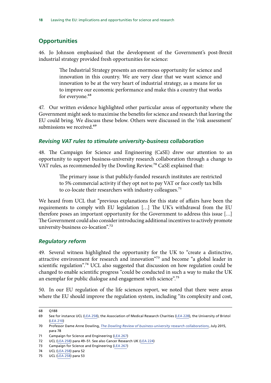### <span id="page-18-0"></span>**Opportunities**

46. Jo Johnson emphasised that the development of the Government's post-Brexit industrial strategy provided fresh opportunities for science:

> The Industrial Strategy presents an enormous opportunity for science and innovation in this country. We are very clear that we want science and innovation to be at the very heart of industrial strategy, as a means for us to improve our economic performance and make this a country that works for everyone.<sup>68</sup>

47. Our written evidence highlighted other particular areas of opportunity where the Government might seek to maximise the benefits for science and research that leaving the EU could bring. We discuss these below. Others were discussed in the 'risk assessment' submissions we received.<sup>69</sup>

### *Revising VAT rules to stimulate university-business collaboration*

48. The Campaign for Science and Engineering (CaSE) drew our attention to an opportunity to support business-university research collaboration through a change to VAT rules, as recommended by the Dowling Review.<sup>70</sup> CaSE explained that:

> The primary issue is that publicly-funded research institutes are restricted to 5% commercial activity if they opt not to pay VAT or face costly tax bills to co-locate their researchers with industry colleagues.<sup>71</sup>

We heard from UCL that "previous explanations for this state of affairs have been the requirements to comply with EU legislation […] The UK's withdrawal from the EU therefore poses an important opportunity for the Government to address this issue […] The Government could also consider introducing additional incentives to actively promote university-business co-location".72

### *Regulatory reform*

49. Several witness highlighted the opportunity for the UK to "create a distinctive, attractive environment for research and innovation"<sup>73</sup> and become "a global leader in scientific regulation".<sup>74</sup> UCL also suggested that discussion on how regulation could be changed to enable scientific progress "could be conducted in such a way to make the UK an exemplar for public dialogue and engagement with science".<sup>75</sup>

50. In our EU regulation of the life sciences report, we noted that there were areas where the EU should improve the regulation system, including "its complexity and cost,

<sup>68</sup> Q188

<sup>69</sup> See for instance UCL [\(LEA 258\)](http://data.parliament.uk/writtenevidence/committeeevidence.svc/evidencedocument/science-and-technology-committee/leaving-the-eu-implications-and-opportunities-for-science-and-research/written/36083.html), the Association of Medical Research Charities ([LEA 228\)](http://data.parliament.uk/writtenevidence/committeeevidence.svc/evidencedocument/science-and-technology-committee/leaving-the-eu-implications-and-opportunities-for-science-and-research/written/36023.html), the University of Bristol [\(LEA 210](http://data.parliament.uk/writtenevidence/committeeevidence.svc/evidencedocument/science-and-technology-committee/leaving-the-eu-implications-and-opportunities-for-science-and-research/written/35979.html))

<sup>70</sup> Professor Dame Anne Dowling, *[The Dowling Review of business-university research collaborations](https://www.gov.uk/government/publications/business-university-research-collaborations-dowling-review-final-report)*, July 2015, para 78

<sup>71</sup> Campaign for Science and Engineering ([LEA 267](http://data.parliament.uk/writtenevidence/committeeevidence.svc/evidencedocument/science-and-technology-committee/leaving-the-eu-implications-and-opportunities-for-science-and-research/written/36147.html))

<sup>72</sup> UCL [\(LEA 258\)](http://data.parliament.uk/writtenevidence/committeeevidence.svc/evidencedocument/science-and-technology-committee/leaving-the-eu-implications-and-opportunities-for-science-and-research/written/36083.html) para 49–51. See also Cancer Research UK ([LEA 224](http://data.parliament.uk/writtenevidence/committeeevidence.svc/evidencedocument/science-and-technology-committee/leaving-the-eu-implications-and-opportunities-for-science-and-research/written/36014.html))

<sup>73</sup> Campaign for Science and Engineering ([LEA 267](http://data.parliament.uk/writtenevidence/committeeevidence.svc/evidencedocument/science-and-technology-committee/leaving-the-eu-implications-and-opportunities-for-science-and-research/written/36147.html))

<sup>74</sup> UCL [\(LEA 258\)](http://data.parliament.uk/writtenevidence/committeeevidence.svc/evidencedocument/science-and-technology-committee/leaving-the-eu-implications-and-opportunities-for-science-and-research/written/36083.html) para 52

<sup>75</sup> UCL [\(LEA 258\)](http://data.parliament.uk/writtenevidence/committeeevidence.svc/evidencedocument/science-and-technology-committee/leaving-the-eu-implications-and-opportunities-for-science-and-research/written/36083.html) para 53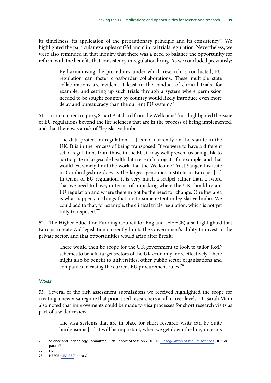<span id="page-19-0"></span>its timeliness, its application of the precautionary principle and its consistency". We highlighted the particular examples of GM and clinical trials regulation. Nevertheless, we were also reminded in that inquiry that there was a need to balance the opportunity for reform with the benefits that consistency in regulation bring. As we concluded previously:

> By harmonising the procedures under which research is conducted, EU regulation can foster crossborder collaborations. These multiple state collaborations are evident at least in the conduct of clinical trials, for example, and setting up such trials through a system where permission needed to be sought country by country would likely introduce even more delay and bureaucracy than the current EU system.<sup>76</sup>

51. In our current inquiry, Stuart Pritchard from the Wellcome Trust highlighted the issue of EU regulations beyond the life sciences that are in the process of being implemented, and that there was a risk of "legislative limbo":

> The data protection regulation […] is not currently on the statute in the UK. It is in the process of being transposed. If we were to have a different set of regulations from those in the EU, it may well prevent us being able to participate in largescale health data research projects, for example, and that would extremely limit the work that the Wellcome Trust Sanger Institute in Cambridgeshire does as the largest genomics institute in Europe. […] In terms of EU regulation, it is very much a scalpel rather than a sword that we need to have, in terms of unpicking where the UK should retain EU regulation and where there might be the need for change. One key area is what happens to things that are to some extent in legislative limbo. We could add to that, for example, the clinical trials regulation, which is not yet fully transposed.<sup>77</sup>

52. The Higher Education Funding Council for England (HEFCE) also highlighted that European State Aid legislation currently limits the Government's ability to invest in the private sector, and that opportunities would arise after Brexit:

> There would then be scope for the UK government to look to tailor R&D schemes to benefit target sectors of the UK economy more effectively. There might also be benefit to universities, other public sector organisations and companies in easing the current EU procurement rules.<sup>78</sup>

### *Visas*

53. Several of the risk assessment submissions we received highlighted the scope for creating a new visa regime that prioritised researchers at all career levels. Dr Sarah Main also noted that improvements could be made to visa processes for short research visits as part of a wider review:

> The visa systems that are in place for short research visits can be quite burdensome […] It will be important, when we get down the line, in terms

<sup>76</sup> Science and Technology Committee, First Report of Session 2016–17, *[EU regulation of the life sciences](http://www.publications.parliament.uk/pa/cm201617/cmselect/cmsctech/158/158.pdf)*, HC 158, para 17

<sup>77</sup> O70

<sup>78</sup> HEFCE ([LEA 230\)](http://data.parliament.uk/writtenevidence/committeeevidence.svc/evidencedocument/science-and-technology-committee/leaving-the-eu-implications-and-opportunities-for-science-and-research/written/36026.html) para C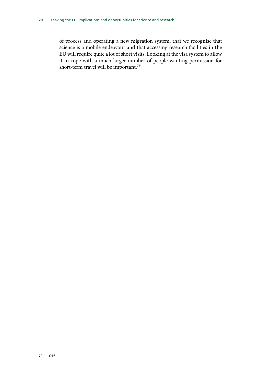of process and operating a new migration system, that we recognise that science is a mobile endeavour and that accessing research facilities in the EU will require quite a lot of short visits. Looking at the visa system to allow it to cope with a much larger number of people wanting permission for short-term travel will be important.<sup>79</sup>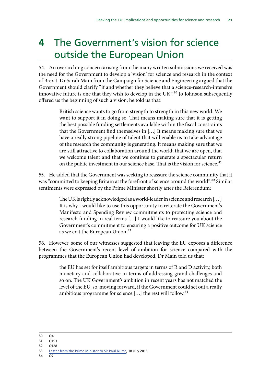# <span id="page-21-0"></span>**4** The Government's vision for science outside the European Union

54. An overarching concern arising from the many written submissions we received was the need for the Government to develop a 'vision' for science and research in the context of Brexit. Dr Sarah Main from the Campaign for Science and Engineering argued that the Government should clarify "if and whether they believe that a science-research-intensive innovative future is one that they wish to develop in the UK". $80$  Jo Johnson subsequently offered us the beginning of such a vision; he told us that:

> British science wants to go from strength to strength in this new world. We want to support it in doing so. That means making sure that it is getting the best possible funding settlements available within the fiscal constraints that the Government find themselves in […] It means making sure that we have a really strong pipeline of talent that will enable us to take advantage of the research the community is generating. It means making sure that we are still attractive to collaboration around the world; that we are open, that we welcome talent and that we continue to generate a spectacular return on the public investment in our science base. That is the vision for science.<sup>81</sup>

55. He added that the Government was seeking to reassure the science community that it was "committed to keeping Britain at the forefront of science around the world".<sup>82</sup> Similar sentiments were expressed by the Prime Minister shortly after the Referendum:

> The UK is rightly acknowledged as a world-leader in science and research [… ] It is why I would like to use this opportunity to reiterate the Government's Manifesto and Spending Review commitments to protecting science and research funding in real terms […] I would like to reassure you about the Government's commitment to ensuring a positive outcome for UK science as we exit the European Union.<sup>83</sup>

56. However, some of our witnesses suggested that leaving the EU exposes a difference between the Government's recent level of ambition for science compared with the programmes that the European Union had developed. Dr Main told us that:

> the EU has set for itself ambitious targets in terms of R and D activity, both monetary and collaborative in terms of addressing grand challenges and so on. The UK Government's ambition in recent years has not matched the level of the EU, so, moving forward, if the Government could set out a really ambitious programme for science  $[...]$  the rest will follow.<sup>84</sup>

80 Q4

- 81 0193
- 82 Q128

<sup>83</sup> [Letter from the Prime Minister to Sir Paul Nurse,](https://drive.google.com/file/d/0BwQ4esYYFC04UnhmRldMbUNralU/view) 18 July 2016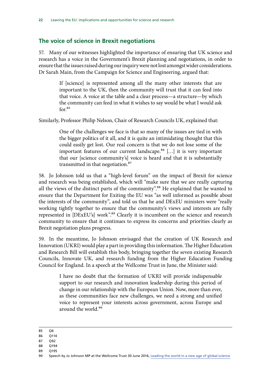### <span id="page-22-0"></span>**The voice of science in Brexit negotiations**

57. Many of our witnesses highlighted the importance of ensuring that UK science and research has a voice in the Government's Brexit planning and negotiations, in order to ensure that the issues raised during our inquiry were not lost amongst wider considerations. Dr Sarah Main, from the Campaign for Science and Engineering, argued that:

> If [science] is represented among all the many other interests that are important to the UK, then the community will trust that it can feed into that voice. A voice at the table and a clear process—a structure—by which the community can feed in what it wishes to say would be what I would ask  $for.85$

Similarly, Professor Philip Nelson, Chair of Research Councils UK, explained that:

One of the challenges we face is that so many of the issues are tied in with the bigger politics of it all, and it is quite an intimidating thought that this could easily get lost. Our real concern is that we do not lose some of the important features of our current landscape.<sup>86</sup> [...] it is very important that our [science community's] voice is heard and that it is substantially transmitted in that negotiation.<sup>87</sup>

58. Jo Johnson told us that a "high-level forum" on the impact of Brexit for science and research was being established, which will "make sure that we are really capturing all the views of the distinct parts of the community".<sup>88</sup> He explained that he wanted to ensure that the Department for Exiting the EU was "as well informed as possible about the interests of the community", and told us that he and DExEU ministers were "really working tightly together to ensure that the community's views and interests are fully represented in [DExEU's] work".<sup>89</sup> Clearly it is incumbent on the science and research community to ensure that it continues to express its concerns and priorities clearly as Brexit negotiation plans progress.

59. In the meantime, Jo Johnson envisaged that the creation of UK Research and Innovation (UKRI) would play a part in providing this information. The Higher Education and Research Bill will establish this body, bringing together the seven existing Research Councils, Innovate UK, and research funding from the Higher Education Funding Council for England. In a speech at the Wellcome Trust in June, the Minister said:

> I have no doubt that the formation of UKRI will provide indispensable support to our research and innovation leadership during this period of change in our relationship with the European Union. Now, more than ever, as these communities face new challenges, we need a strong and unified voice to represent your interests across government, across Europe and around the world.90

- 86 Q114
- 87 Q92
- 88 Q194
- 89 Q195

<sup>85</sup> Q6

<sup>90</sup> Speech by Jo Johnson MP at the Wellcome Trust 30 June 2016, [Leading the world in a new age of global science](https://www.gov.uk/government/speeches/leading-the-world-in-the-new-age-of-global-science)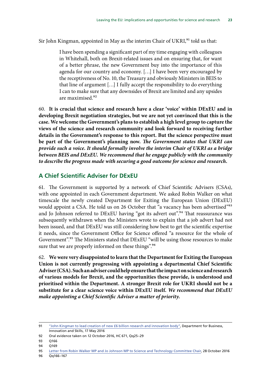<span id="page-23-0"></span>Sir John Kingman, appointed in May as the interim Chair of UKRI, $91$  told us that:

I have been spending a significant part of my time engaging with colleagues in Whitehall, both on Brexit-related issues and on ensuring that, for want of a better phrase, the new Government buy into the importance of this agenda for our country and economy. […] I have been very encouraged by the receptiveness of No. 10, the Treasury and obviously Ministers in BEIS to that line of argument […] I fully accept the responsibility to do everything I can to make sure that any downsides of Brexit are limited and any upsides are maximised.92

60. **It is crucial that science and research have a clear 'voice' within DExEU and in developing Brexit negotiation strategies, but we are not yet convinced that this is the case. We welcome the Government's plans to establish a high level group to capture the views of the science and research community and look forward to receiving further details in the Government's response to this report. But the science perspective must be part of the Government's planning now.** *The Government states that UKRI can provide such a voice. It should formally involve the interim Chair of UKRI as a bridge between BEIS and DExEU. We recommend that he engage publicly with the community to describe the progress made with securing a good outcome for science and research.*

### **A Chief Scientific Adviser for DExEU**

61. The Government is supported by a network of Chief Scientific Advisers (CSAs), with one appointed in each Government department. We asked Robin Walker on what timescale the newly created Department for Exiting the European Union (DExEU) would appoint a CSA. He told us on 26 October that "a vacancy has been advertised"<sup>93</sup> and Jo Johnson referred to DExEU having "got its advert out".<sup>94</sup> That reassurance was subsequently withdrawn when the Ministers wrote to explain that a job advert had not been issued, and that DExEU was still considering how best to get the scientific expertise it needs, since the Government Office for Science offered "a resource for the whole of Government".<sup>95</sup> The Ministers stated that DExEU "will be using those resources to make sure that we are properly informed on these things".<sup>96</sup>

62. **We were very disappointed to learn that the Department for Exiting the European Union is not currently progressing with appointing a departmental Chief Scientific Adviser (CSA). Such an adviser could help ensure that the impact on science and research of various models for Brexit, and the opportunities these provide, is understood and prioritised within the Department. A stronger Brexit role for UKRI should not be a substitute for a clear science voice within DExEU itself.** *We recommend that DExEU make appointing a Chief Scientific Adviser a matter of priority.*

96 Qq166–167

<sup>91</sup> ["John Kingman to lead creation of new £6 billion research and innovation body",](https://www.gov.uk/government/news/john-kingman-to-lead-creation-of-new-6-billion-research-and-innovation-body) Department for Business, Innovation and Skills, 17 May 2016

<sup>92</sup> Oral evidence taken on 12 October 2016, HC 671, Qq25–29

<sup>93</sup> Q166

<sup>94</sup> Q169

<sup>95</sup> [Letter from Robin Walker MP and Jo Johnson MP to Science and Technology Committee Chair,](http://www.parliament.uk/documents/commons-committees/science-technology/Correspondence/161028-Jo-Johnson-and-Robin%20Walker-to-Stephen-Metcalfe-DExEU.pdf) 28 October 2016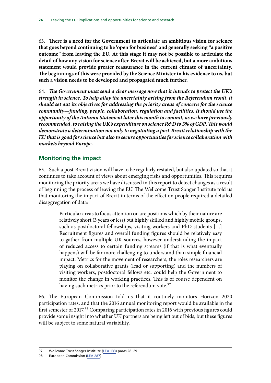<span id="page-24-0"></span>63. **There is a need for the Government to articulate an ambitious vision for science that goes beyond continuing to be 'open for business' and generally seeking "a positive outcome" from leaving the EU. At this stage it may not be possible to articulate the detail of how any vision for science after-Brexit will be achieved, but a more ambitious statement would provide greater reassurance in the current climate of uncertainty. The beginnings of this were provided by the Science Minister in his evidence to us, but such a vision needs to be developed and propagated much further.**

64. *The Government must send a clear message now that it intends to protect the UK's strength in science. To help allay the uncertainty arising from the Referendum result, it should set out its objectives for addressing the priority areas of concern for the science community—funding, people, collaboration, regulation and facilities. It should use the opportunity of the Autumn Statement later this month to commit, as we have previously recommended, to raising the UK's expenditure on science R&D to 3% of GDP. This would demonstrate a determination not only to negotiating a post-Brexit relationship with the EU that is good for science but also to secure opportunities for science collaboration with markets beyond Europe.*

### **Monitoring the impact**

65. Such a post-Brexit vision will have to be regularly restated, but also updated so that it continues to take account of views about emerging risks and opportunities. This requires monitoring the priority areas we have discussed in this report to detect changes as a result of beginning the process of leaving the EU. The Wellcome Trust Sanger Institute told us that monitoring the impact of Brexit in terms of the effect on people required a detailed disaggregation of data:

> Particular areas to focus attention on are positions which by their nature are relatively short (3 years or less) but highly skilled and highly mobile groups, such as postdoctoral fellowships, visiting workers and PhD students […] Recruitment figures and overall funding figures should be relatively easy to gather from multiple UK sources, however understanding the impact of reduced access to certain funding streams (if that is what eventually happens) will be far more challenging to understand than simple financial impact. Metrics for the movement of researchers, the roles researchers are playing on collaborative grants (lead or supporting) and the numbers of visiting workers, postdoctoral fellows etc. could help the Government to monitor the change in working practices. This is of course dependent on having such metrics prior to the referendum vote.<sup>97</sup>

66. The European Commission told us that it routinely monitors Horizon 2020 participation rates, and that the 2016 annual monitoring report would be available in the first semester of 2017.<sup>98</sup> Comparing participation rates in 2016 with previous figures could provide some insight into whether UK partners are being left out of bids, but these figures will be subject to some natural variability.

<sup>97</sup> Wellcome Trust Sanger Institute [\(LEA 133](http://data.parliament.uk/writtenevidence/committeeevidence.svc/evidencedocument/science-and-technology-committee/leaving-the-eu-implications-and-opportunities-for-science-and-research/written/35454.html)) paras 28–29

<sup>98</sup> European Commission ([LEA 287](http://data.parliament.uk/writtenevidence/committeeevidence.svc/evidencedocument/science-and-technology-committee/leaving-the-eu-implications-and-opportunities-for-science-and-research/written/41475.html))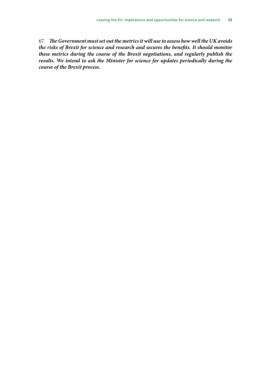67. *The Government must set out the metrics it will use to assess how well the UK avoids the risks of Brexit for science and research and secures the benefits. It should monitor these metrics during the course of the Brexit negotiations, and regularly publish the results. We intend to ask the Minister for science for updates periodically during the course of the Brexit process.*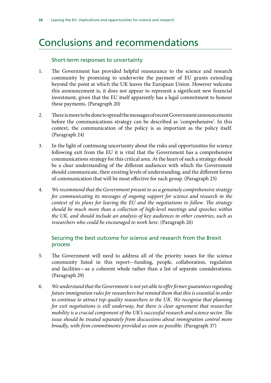# <span id="page-26-0"></span>Conclusions and recommendations

### Short-term responses to uncertainty

- 1. The Government has provided helpful reassurance to the science and research community by promising to underwrite the payment of EU grants extending beyond the point at which the UK leaves the European Union. However welcome this announcement is, it does not appear to represent a significant new financial investment, given that the EU itself apparently has a legal commitment to honour these payments. (Paragraph 20)
- 2. There is more to be done to spread the messages of recent Government announcements before the communications strategy can be described as 'comprehensive'. In this context, the communication of the policy is as important as the policy itself. (Paragraph 24)
- 3. In the light of continuing uncertainty about the risks and opportunities for science following exit from the EU it is vital that the Government has a comprehensive communications strategy for this critical area. At the heart of such a strategy should be a clear understanding of the different audiences with which the Government should communicate, their existing levels of understanding, and the different forms of communication that will be most effective for each group. (Paragraph 25)
- 4. *We recommend that the Government present to us a genuinely comprehensive strategy for communicating its messages of ongoing support for science and research in the context of its plans for leaving the EU and the negotiations to follow. The strategy should be much more than a collection of high-level meetings and speeches within the UK, and should include an analysis of key audiences in other countries, such as researchers who could be encouraged to work here.* (Paragraph 26)

### Securing the best outcome for science and research from the Brexit process

- 5. The Government will need to address all of the priority issues for the science community listed in this report—funding, people, collaboration, regulation and facilities—as a coherent whole rather than a list of separate considerations. (Paragraph 29)
- 6. *We understand that the Government is not yet able to offer firmer guarantees regarding future immigration rules for researchers but remind them that this is essential in order to continue to attract top-quality researchers to the UK. We recognise that planning*  for exit negotiations is still underway, but there is clear agreement that researcher *mobility is a crucial component of the UK's successful research and science sector. The issue should be treated separately from discussions about immigration control more broadly, with firm commitments provided as soon as possible.* (Paragraph 37)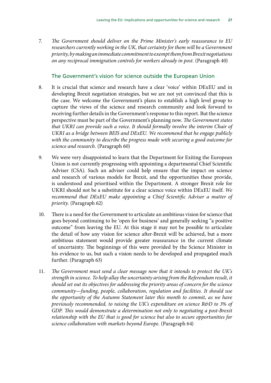7. *The Government should deliver on the Prime Minister's early reassurance to EU researchers currently working in the UK, that certainty for them will be a Government priority, by making an immediate commitment to exempt them from Brexit negotiations on any reciprocal immigration controls for workers already in post.* (Paragraph 40)

### The Government's vision for science outside the European Union

- 8. It is crucial that science and research have a clear 'voice' within DExEU and in developing Brexit negotiation strategies, but we are not yet convinced that this is the case. We welcome the Government's plans to establish a high level group to capture the views of the science and research community and look forward to receiving further details in the Government's response to this report. But the science perspective must be part of the Government's planning now. *The Government states that UKRI can provide such a voice. It should formally involve the interim Chair of UKRI as a bridge between BEIS and DExEU. We recommend that he engage publicly with the community to describe the progress made with securing a good outcome for science and research.* (Paragraph 60)
- 9. We were very disappointed to learn that the Department for Exiting the European Union is not currently progressing with appointing a departmental Chief Scientific Adviser (CSA). Such an adviser could help ensure that the impact on science and research of various models for Brexit, and the opportunities these provide, is understood and prioritised within the Department. A stronger Brexit role for UKRI should not be a substitute for a clear science voice within DExEU itself. *We recommend that DExEU make appointing a Chief Scientific Adviser a matter of priority.* (Paragraph 62)
- 10. There is a need for the Government to articulate an ambitious vision for science that goes beyond continuing to be 'open for business' and generally seeking "a positive outcome" from leaving the EU. At this stage it may not be possible to articulate the detail of how any vision for science after-Brexit will be achieved, but a more ambitious statement would provide greater reassurance in the current climate of uncertainty. The beginnings of this were provided by the Science Minister in his evidence to us, but such a vision needs to be developed and propagated much further. (Paragraph 63)
- 11. *The Government must send a clear message now that it intends to protect the UK's strength in science. To help allay the uncertainty arising from the Referendum result, it should set out its objectives for addressing the priority areas of concern for the science community—funding, people, collaboration, regulation and facilities. It should use the opportunity of the Autumn Statement later this month to commit, as we have previously recommended, to raising the UK's expenditure on science R&D to 3% of GDP. This would demonstrate a determination not only to negotiating a post-Brexit relationship with the EU that is good for science but also to secure opportunities for science collaboration with markets beyond Europe.* (Paragraph 64)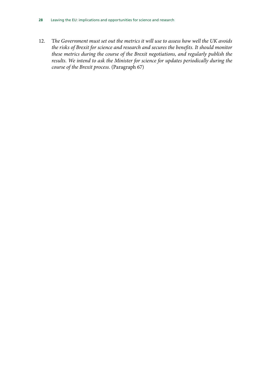12. T*he Government must set out the metrics it will use to assess how well the UK avoids the risks of Brexit for science and research and secures the benefits. It should monitor these metrics during the course of the Brexit negotiations, and regularly publish the results. We intend to ask the Minister for science for updates periodically during the course of the Brexit process.* (Paragraph 67)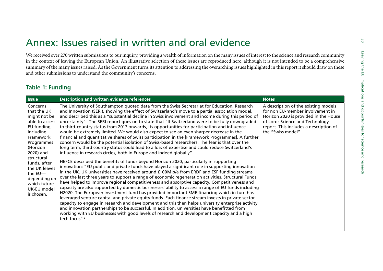<span id="page-29-0"></span>

|                                                                                                                                                                                                                                                      | We received over 270 written submissions to our inquiry, providing a wealth of information on the many issues of interest to the science and research community<br>in the context of leaving the European Union. An illustrative selection of these issues are reproduced here, although it is not intended to be a comprehensive<br>summary of the many issues raised. As the Government turns its attention to addressing the overarching issues highlighted in this report it should draw on these<br>and other submissions to understand the community's concerns.                                                                                                                                                                                                                                                                                                                                                                                                                                                                                                                                                                                                                                                                                                                                                                                                                                                                                                                                                                                                                                                                                                                                                                                                                                                                                                                                                                                                                                                                          |                                                                                                                                                                              |
|------------------------------------------------------------------------------------------------------------------------------------------------------------------------------------------------------------------------------------------------------|-------------------------------------------------------------------------------------------------------------------------------------------------------------------------------------------------------------------------------------------------------------------------------------------------------------------------------------------------------------------------------------------------------------------------------------------------------------------------------------------------------------------------------------------------------------------------------------------------------------------------------------------------------------------------------------------------------------------------------------------------------------------------------------------------------------------------------------------------------------------------------------------------------------------------------------------------------------------------------------------------------------------------------------------------------------------------------------------------------------------------------------------------------------------------------------------------------------------------------------------------------------------------------------------------------------------------------------------------------------------------------------------------------------------------------------------------------------------------------------------------------------------------------------------------------------------------------------------------------------------------------------------------------------------------------------------------------------------------------------------------------------------------------------------------------------------------------------------------------------------------------------------------------------------------------------------------------------------------------------------------------------------------------------------------|------------------------------------------------------------------------------------------------------------------------------------------------------------------------------|
| <b>Table 1: Funding</b>                                                                                                                                                                                                                              |                                                                                                                                                                                                                                                                                                                                                                                                                                                                                                                                                                                                                                                                                                                                                                                                                                                                                                                                                                                                                                                                                                                                                                                                                                                                                                                                                                                                                                                                                                                                                                                                                                                                                                                                                                                                                                                                                                                                                                                                                                                 |                                                                                                                                                                              |
| <b>Issue</b><br>Concerns                                                                                                                                                                                                                             | Description and written evidence references<br>The University of Southampton quoted data from the Swiss Secretariat for Education, Research                                                                                                                                                                                                                                                                                                                                                                                                                                                                                                                                                                                                                                                                                                                                                                                                                                                                                                                                                                                                                                                                                                                                                                                                                                                                                                                                                                                                                                                                                                                                                                                                                                                                                                                                                                                                                                                                                                     | <b>Notes</b><br>A description of the existing models                                                                                                                         |
| that the UK<br>might not be<br>able to access<br>EU funding,<br>including<br>Framework<br>Programmes<br>(Horizon<br>2020) and<br>structural<br>funds, after<br>the UK leaves<br>the EU-<br>depending on<br>which future<br>UK-EU model<br>is chosen. | and Innovation (SERI), showing the effect of Switzerland's move to a partial association model,<br>and described this as a "substantial decline in Swiss involvement and income during this period of<br>uncertainty". <sup>1</sup> The SERI report goes on to state that "If Switzerland were to be fully downgraded<br>to third-country status from 2017 onwards, its opportunities for participation and influence<br>would be extremely limited. We would also expect to see an even sharper decrease in the<br>financial and quantitative shares of Swiss participation in the [Framework Programmes]. A further<br>concern would be the potential isolation of Swiss-based researchers. The fear is that over the<br>long term, third country status could lead to a loss of expertise and could reduce Switzerland's<br>influence in research circles, both in Europe and indeed globally".<br>HEFCE described the benefits of funds beyond Horizon 2020, particularly in supporting<br>innovation: "EU public and private funds have played a significant role in supporting innovation<br>in the UK. UK universities have received around £100M p/a from ERDF and ESF funding streams<br>over the last three years to support a range of economic regeneration activities. Structural Funds<br>have helped to improve regional competitiveness and absorptive capacity. Competitiveness and<br>capacity are also supported by domestic businesses' ability to access a range of EU funds including<br>H2020. The European investment fund has provided important SME financing which in turn has<br>leveraged venture capital and private equity funds. Each finance stream invests in private sector<br>capacity to engage in research and development and this then helps university enterprise activity<br>and innovation partnerships to be successful. In addition, universities have benefitted from<br>working with EU businesses with good levels of research and development capacity and a high<br>tech focus". <sup>2</sup> | for non EU-member involvement in<br>Horizon 2020 is provided in the House<br>of Lords Science and Technology<br>report. This includes a description of<br>the "Swiss model". |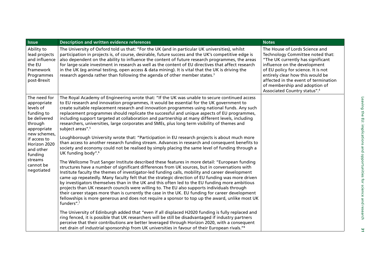| <b>Issue</b>                                                                                     | <b>Description and written evidence references</b>                                                                                                                                                                                                                                                                                                                                                                                                                                                                                                                                                                                                                                                                                                                                                                                         | <b>Notes</b>                                                                                                                                                                                                                                                                                                                            |
|--------------------------------------------------------------------------------------------------|--------------------------------------------------------------------------------------------------------------------------------------------------------------------------------------------------------------------------------------------------------------------------------------------------------------------------------------------------------------------------------------------------------------------------------------------------------------------------------------------------------------------------------------------------------------------------------------------------------------------------------------------------------------------------------------------------------------------------------------------------------------------------------------------------------------------------------------------|-----------------------------------------------------------------------------------------------------------------------------------------------------------------------------------------------------------------------------------------------------------------------------------------------------------------------------------------|
| Ability to<br>lead projects<br>and influence<br>the EU<br>Framework<br>Programmes<br>post-Brexit | The University of Oxford told us that: "For the UK (and in particular UK universities), whilst<br>participation in projects is, of course, desirable, future success and the UK's competitive edge is<br>also dependent on the ability to influence the content of future research programmes, the areas<br>for large-scale investment in research as well as the content of EU directives that affect research<br>in the UK (eg animal testing, open access & data mining). It is vital that the UK is driving the<br>research agenda rather than following the agenda of other member states. <sup>3</sup>                                                                                                                                                                                                                               | The House of Lords Science and<br>Technology Committee noted that:<br>"The UK currently has significant<br>influence on the development<br>of EU policy for science. It is not<br>entirely clear how this would be<br>affected in the event of termination<br>of membership and adoption of<br>Associated Country status". <sup>4</sup> |
| The need for<br>appropriate<br>levels of<br>funding to<br>be delivered<br>through<br>appropriate | The Royal Academy of Engineering wrote that: "If the UK was unable to secure continued access<br>to EU research and innovation programmes, it would be essential for the UK government to<br>create suitable replacement research and innovation programmes using national funds. Any such<br>replacement programmes should replicate the successful and unique aspects of EU programmes,<br>including support targeted at collaboration and partnership at many different levels, including<br>researchers, universities, large corporates and SMEs, plus long term visibility of themes and<br>subject areas". <sup>5</sup>                                                                                                                                                                                                              |                                                                                                                                                                                                                                                                                                                                         |
| new schemes,<br>if access to<br>Horizon 2020<br>and other<br>funding                             | Loughborough University wrote that: "Participation in EU research projects is about much more<br>than access to another research funding stream. Advances in research and consequent benefits to<br>society and economy could not be realised by simply placing the same level of funding through a<br>UK funding body". <sup>6</sup>                                                                                                                                                                                                                                                                                                                                                                                                                                                                                                      |                                                                                                                                                                                                                                                                                                                                         |
| streams<br>cannot be<br>negotiated                                                               | The Wellcome Trust Sanger Institute described these features in more detail: "European funding<br>structures have a number of significant differences from UK sources, but in conversations with<br>Institute faculty the themes of investigator-led funding calls, mobility and career development<br>came up repeatedly. Many faculty felt that the strategic direction of EU funding was more driven<br>by investigators themselves than in the UK and this often led to the EU funding more ambitious<br>projects than UK research councils were willing to. The EU also supports individuals through<br>their career stages more than is currently the case in the UK. EU funding for career development<br>fellowships is more generous and does not require a sponsor to top up the award, unlike most UK<br>funders". <sup>7</sup> |                                                                                                                                                                                                                                                                                                                                         |
|                                                                                                  | The University of Edinburgh added that "even if all displaced H2020 funding is fully replaced and<br>ring fenced, it is possible that UK researchers will be still be disadvantaged if industry partners<br>perceive that their contributions are better leveraged through Horizon 2020, with a consequent<br>net drain of industrial sponsorship from UK universities in favour of their European rivals." <sup>8</sup>                                                                                                                                                                                                                                                                                                                                                                                                                   |                                                                                                                                                                                                                                                                                                                                         |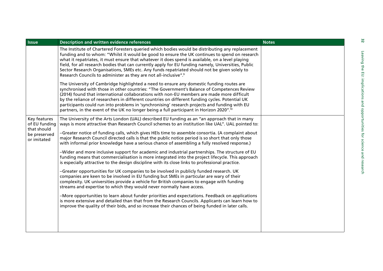| <b>Issue</b>                                                                | <b>Description and written evidence references</b>                                                                                                                                                                                                                                                                                                                                                                                                                                                                                                                                                                                                                                                                                                                                                                                                                                                                                                                                                                                                                                                                                                                                                                                                                                                                                                                                                                                                                                                 | <b>Notes</b> |
|-----------------------------------------------------------------------------|----------------------------------------------------------------------------------------------------------------------------------------------------------------------------------------------------------------------------------------------------------------------------------------------------------------------------------------------------------------------------------------------------------------------------------------------------------------------------------------------------------------------------------------------------------------------------------------------------------------------------------------------------------------------------------------------------------------------------------------------------------------------------------------------------------------------------------------------------------------------------------------------------------------------------------------------------------------------------------------------------------------------------------------------------------------------------------------------------------------------------------------------------------------------------------------------------------------------------------------------------------------------------------------------------------------------------------------------------------------------------------------------------------------------------------------------------------------------------------------------------|--------------|
|                                                                             | The Institute of Chartered Foresters queried which bodies would be distributing any replacement<br>funding and to whom: "Whilst it would be good to ensure the UK continues to spend on research<br>what it repatriates, it must ensure that whatever it does spend is available, on a level playing<br>field, for all research bodies that can currently apply for EU funding namely, Universities, Public<br>Sector Research Organisations, SMEs etc. Any funds repatriated should not be given solely to<br>Research Councils to administer as they are not all-inclusive". <sup>9</sup><br>The University of Cambridge highlighted a need to ensure any domestic funding routes are<br>synchronised with those in other countries: "The Government's Balance of Competences Review<br>(2014) found that international collaborations with non-EU members are made more difficult<br>by the reliance of researchers in different countries on different funding cycles. Potential UK<br>participants could run into problems in 'synchronising' research projects and funding with EU<br>partners, in the event of the UK no longer being a full participant in Horizon 2020". <sup>10</sup>                                                                                                                                                                                                                                                                                                    |              |
| Key features<br>of EU funding<br>that should<br>be preserved<br>or imitated | The University of the Arts London (UAL) described EU funding as an "an approach that in many<br>ways is more attractive than Research Council schemes to an institution like UAL". UAL pointed to:<br>-Greater notice of funding calls, which gives HEIs time to assemble consortia. (A complaint about<br>major Research Council directed calls is that the public notice period is so short that only those<br>with informal prior knowledge have a serious chance of assembling a fully resolved response.)<br>-Wider and more inclusive support for academic and industrial partnerships. The structure of EU<br>funding means that commercialisation is more integrated into the project lifecycle. This approach<br>is especially attractive to the design discipline with its close links to professional practice.<br>-Greater opportunities for UK companies to be involved in publicly funded research. UK<br>companies are keen to be involved in EU funding but SMEs in particular are wary of their<br>complexity. UK universities provide a vehicle for British companies to engage with funding<br>streams and expertise to which they would never normally have access.<br>-More opportunities to learn about funder priorities and expectations. Feedback on applications<br>is more extensive and detailed than that from the Research Councils. Applicants can learn how to<br>improve the quality of their bids, and so increase their chances of being funded in later calls. |              |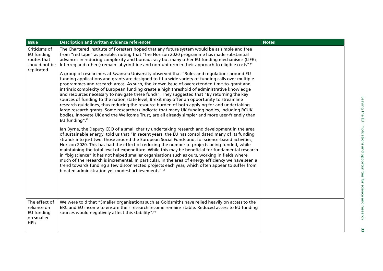| <b>Issue</b>                                                              | <b>Description and written evidence references</b>                                                                                                                                                                                                                                                                                                                                                                                                                                                                                                                                                                                                                                                                                                                                                                                                                                                                                                                                                                                                                                                                                                                                                                                                                                                                                                                                                                                                                                                                                                                                                                                                                                                                                                                                                                                                                                                                                                                                                                                                                                                                                                                                                                                    | <b>Notes</b> |
|---------------------------------------------------------------------------|---------------------------------------------------------------------------------------------------------------------------------------------------------------------------------------------------------------------------------------------------------------------------------------------------------------------------------------------------------------------------------------------------------------------------------------------------------------------------------------------------------------------------------------------------------------------------------------------------------------------------------------------------------------------------------------------------------------------------------------------------------------------------------------------------------------------------------------------------------------------------------------------------------------------------------------------------------------------------------------------------------------------------------------------------------------------------------------------------------------------------------------------------------------------------------------------------------------------------------------------------------------------------------------------------------------------------------------------------------------------------------------------------------------------------------------------------------------------------------------------------------------------------------------------------------------------------------------------------------------------------------------------------------------------------------------------------------------------------------------------------------------------------------------------------------------------------------------------------------------------------------------------------------------------------------------------------------------------------------------------------------------------------------------------------------------------------------------------------------------------------------------------------------------------------------------------------------------------------------------|--------------|
| Criticisms of<br>EU funding<br>routes that<br>should not be<br>replicated | The Chartered Institute of Foresters hoped that any future system would be as simple and free<br>from "red tape" as possible, noting that "the Horizon 2020 programme has made substantial<br>advances in reducing complexity and bureaucracy but many other EU funding mechanisms (LIFE+,<br>Interreg and others) remain labyrinthine and non-uniform in their approach to eligible costs". <sup>11</sup><br>A group of researchers at Swansea University observed that "Rules and regulations around EU<br>funding applications and grants are designed to fit a wide variety of funding calls over multiple<br>programmes and research areas. As such, the known issue of overextended time-to-grant and<br>intrinsic complexity of European funding create a high threshold of administrative knowledge<br>and resources necessary to navigate these funds". They suggested that "By returning the key<br>sources of funding to the nation state level, Brexit may offer an opportunity to streamline<br>research guidelines, thus reducing the resource burden of both applying for and undertaking<br>large research grants. Some researchers indicate that many UK funding bodies, including RCUK<br>bodies, Innovate UK and the Wellcome Trust, are all already simpler and more user-friendly than<br>EU funding". <sup>12</sup><br>Ian Byrne, the Deputy CEO of a small charity undertaking research and development in the area<br>of sustainable energy, told us that "In recent years, the EU has consolidated many of its funding<br>strands into just two: those around the European Social Funds and, for science-based activities,<br>Horizon 2020. This has had the effect of reducing the number of projects being funded, while<br>maintaining the total level of expenditure. While this may be beneficial for fundamental research<br>in "big science" it has not helped smaller organisations such as ours, working in fields where<br>much of the research is incremental. In particular, in the area of energy efficiency we have seen a<br>trend towards funding a few disconnected projects each year, which often appear to suffer from<br>bloated administration yet modest achievements". <sup>13</sup> |              |
| The effect of<br>reliance on<br>EU funding<br>on smaller<br><b>HEIs</b>   | We were told that "Smaller organisations such as Goldsmiths have relied heavily on access to the<br>ERC and EU income to ensure their research income remains stable. Reduced access to EU funding<br>sources would negatively affect this stability". <sup>14</sup>                                                                                                                                                                                                                                                                                                                                                                                                                                                                                                                                                                                                                                                                                                                                                                                                                                                                                                                                                                                                                                                                                                                                                                                                                                                                                                                                                                                                                                                                                                                                                                                                                                                                                                                                                                                                                                                                                                                                                                  |              |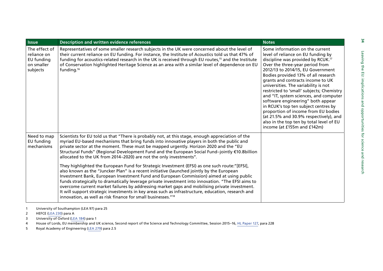| <b>Issue</b>                                                         | Description and written evidence references                                                                                                                                                                                                                                                                                                                                                                                                                                                                                                                                                                                                                                     | <b>Notes</b>                                                                                                                                                                                                                                                                                                                                                                                                                                                                                                                                                                                                                                        |
|----------------------------------------------------------------------|---------------------------------------------------------------------------------------------------------------------------------------------------------------------------------------------------------------------------------------------------------------------------------------------------------------------------------------------------------------------------------------------------------------------------------------------------------------------------------------------------------------------------------------------------------------------------------------------------------------------------------------------------------------------------------|-----------------------------------------------------------------------------------------------------------------------------------------------------------------------------------------------------------------------------------------------------------------------------------------------------------------------------------------------------------------------------------------------------------------------------------------------------------------------------------------------------------------------------------------------------------------------------------------------------------------------------------------------------|
| The effect of<br>reliance on<br>EU funding<br>on smaller<br>subjects | Representatives of some smaller research subjects in the UK were concerned about the level of<br>their current reliance on EU funding. For instance, the Institute of Acoustics told us that 47% of<br>funding for acoustics-related research in the UK is received through EU routes, <sup>15</sup> and the Institute<br>of Conservation highlighted Heritage Science as an area with a similar level of dependence on EU<br>funding. <sup>16</sup>                                                                                                                                                                                                                            | Some information on the current<br>level of reliance on EU funding by<br>discipline was provided by RCUK. <sup>17</sup><br>Over the three-year period from<br>2012/13 to 2014/15, EU Government<br>Bodies provided 13% of all research<br>grants and contracts income to UK<br>universities. The variability is not<br>restricted to 'small' subjects; Chemistry<br>and "IT, system sciences, and computer<br>software engineering" both appear<br>in RCUK's top ten subject centres by<br>proportion of income from EU bodies<br>(at 21.5% and 30.9% respectively), and<br>also in the top ten by total level of EU<br>income (at £155m and £142m) |
| Need to map<br>EU funding<br>mechanisms                              | Scientists for EU told us that "There is probably not, at this stage, enough appreciation of the<br>myriad EU-based mechanisms that bring funds into innovative players in both the public and<br>private sector at the moment. These must be mapped urgently. Horizon 2020 and the "EU<br>Structural Funds" (Regional Development Fund and the European Social Fund-jointly €10.8billion<br>allocated to the UK from 2014-2020) are not the only investments".                                                                                                                                                                                                                 |                                                                                                                                                                                                                                                                                                                                                                                                                                                                                                                                                                                                                                                     |
|                                                                      | They highlighted the European Fund for Strategic Investment (EFSI) as one such route:"[EFSI],<br>also known as the "Juncker Plan" is a recent initiative (launched jointly by the European<br>Investment Bank, European Investment Fund and European Commission) aimed at using public<br>funds strategically to dramatically leverage private investment into innovation. "The EFSI aims to<br>overcome current market failures by addressing market gaps and mobilising private investment.<br>It will support strategic investments in key areas such as infrastructure, education, research and<br>innovation, as well as risk finance for small businesses." <sup>18</sup> |                                                                                                                                                                                                                                                                                                                                                                                                                                                                                                                                                                                                                                                     |

1University of Southampton (LEA 97) para 25

2HEFCE ([LEA 230](http://data.parliament.uk/writtenevidence/committeeevidence.svc/evidencedocument/science-and-technology-committee/leaving-the-eu-implications-and-opportunities-for-science-and-research/written/36026.html)) para A

3University of Oxford ([LEA 184](http://data.parliament.uk/writtenevidence/committeeevidence.svc/evidencedocument/science-and-technology-committee/leaving-the-eu-implications-and-opportunities-for-science-and-research/written/35866.html)) para 1

4House of Lords, EU membership and UK science, Second report of the Science and Technology Committee, Session 2015–16, [HL Paper 127](http://www.publications.parliament.uk/pa/ld201516/ldselect/ldsctech/127/127.pdf), para 228

5Royal Academy of Engineering [\(LEA 279\)](http://data.parliament.uk/writtenevidence/committeeevidence.svc/evidencedocument/science-and-technology-committee/leaving-the-eu-implications-and-opportunities-for-science-and-research/written/36717.html) para 2.5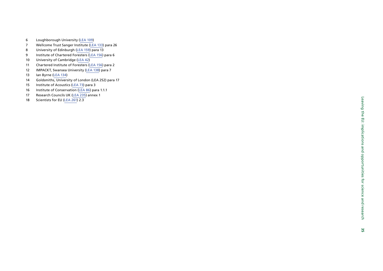- 6Loughborough University ([LEA 109](http://data.parliament.uk/writtenevidence/committeeevidence.svc/evidencedocument/science-and-technology-committee/leaving-the-eu-implications-and-opportunities-for-science-and-research/written/35316.html))
- 7Wellcome Trust Sanger Institute ([LEA 133](http://data.parliament.uk/writtenevidence/committeeevidence.svc/evidencedocument/science-and-technology-committee/leaving-the-eu-implications-and-opportunities-for-science-and-research/written/35454.html)) para 26
- 8University of Edinburgh ([LEA 159](http://data.parliament.uk/writtenevidence/committeeevidence.svc/evidencedocument/science-and-technology-committee/leaving-the-eu-implications-and-opportunities-for-science-and-research/written/35655.html)) para 13
- 9Institute of Chartered Foresters ([LEA 156\)](http://data.parliament.uk/writtenevidence/committeeevidence.svc/evidencedocument/science-and-technology-committee/leaving-the-eu-implications-and-opportunities-for-science-and-research/written/35617.html) para 6
- 10University of Cambridge ([LEA 42](http://data.parliament.uk/writtenevidence/committeeevidence.svc/evidencedocument/science-and-technology-committee/leaving-the-eu-implications-and-opportunities-for-science-and-research/written/34964.html))
- 11Chartered Institute of Foresters ([LEA 156\)](http://data.parliament.uk/writtenevidence/committeeevidence.svc/evidencedocument/science-and-technology-committee/leaving-the-eu-implications-and-opportunities-for-science-and-research/written/35617.html) para 2
- 12IMPACKT, Swansea University [\(LEA 138\)](http://data.parliament.uk/writtenevidence/committeeevidence.svc/evidencedocument/science-and-technology-committee/leaving-the-eu-implications-and-opportunities-for-science-and-research/written/35476.html) para 7
- 13Ian Byrne ([LEA 134\)](http://data.parliament.uk/writtenevidence/committeeevidence.svc/evidencedocument/science-and-technology-committee/leaving-the-eu-implications-and-opportunities-for-science-and-research/written/35455.html)
- 14Goldsmiths, University of London (LEA 252) para 17
- 15Institute of Acoustics ([LEA 73](http://data.parliament.uk/writtenevidence/committeeevidence.svc/evidencedocument/science-and-technology-committee/leaving-the-eu-implications-and-opportunities-for-science-and-research/written/35111.html)) para 3
- 16Institute of Conservation ([LEA 86\)](http://data.parliament.uk/writtenevidence/committeeevidence.svc/evidencedocument/science-and-technology-committee/leaving-the-eu-implications-and-opportunities-for-science-and-research/written/35183.html) para 1.1.1
- 17Research Councils UK ([LEA 235](http://data.parliament.uk/writtenevidence/committeeevidence.svc/evidencedocument/science-and-technology-committee/leaving-the-eu-implications-and-opportunities-for-science-and-research/written/36037.pdf)) annex 1
- 18Scientists for EU [\(LEA 261](http://data.parliament.uk/writtenevidence/committeeevidence.svc/evidencedocument/science-and-technology-committee/leaving-the-eu-implications-and-opportunities-for-science-and-research/written/36104.html)) 2.3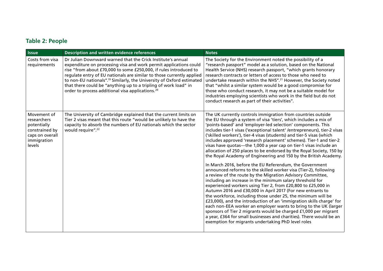### **Table 2: People**

| <b>Issue</b>                                                                                            | <b>Description and written evidence references</b>                                                                                                                                                                                                                                                                                                                                                                                                                                                     | <b>Notes</b>                                                                                                                                                                                                                                                                                                                                                                                                                                                                                                                                                                                                                                                                                                                                                                                                                                                                                                                                                                                                                                                                                                                                                                                                                                                                                                                                                                                                                                     |
|---------------------------------------------------------------------------------------------------------|--------------------------------------------------------------------------------------------------------------------------------------------------------------------------------------------------------------------------------------------------------------------------------------------------------------------------------------------------------------------------------------------------------------------------------------------------------------------------------------------------------|--------------------------------------------------------------------------------------------------------------------------------------------------------------------------------------------------------------------------------------------------------------------------------------------------------------------------------------------------------------------------------------------------------------------------------------------------------------------------------------------------------------------------------------------------------------------------------------------------------------------------------------------------------------------------------------------------------------------------------------------------------------------------------------------------------------------------------------------------------------------------------------------------------------------------------------------------------------------------------------------------------------------------------------------------------------------------------------------------------------------------------------------------------------------------------------------------------------------------------------------------------------------------------------------------------------------------------------------------------------------------------------------------------------------------------------------------|
| Costs from visa<br>requirements                                                                         | Dr Julian Downward warned that the Crick Institute's annual<br>expenditure on processing visa and work permit applications could<br>rise "from about £70,000 to some £250,000, if rules introduced to<br>regulate entry of EU nationals are similar to those currently applied<br>to non-EU nationals". <sup>19</sup> Similarly, the University of Oxford estimated<br>that there could be "anything up to a tripling of work load" in<br>order to process additional visa applications. <sup>20</sup> | The Society for the Environment noted the possibility of a<br>"research passport" model as a solution, based on the National<br>Health Service (NHS) research passport, "which grants honorary<br>research contracts or letters of access to those who need to<br>undertake research within the NHS". <sup>21</sup> However, the Society noted<br>that "whilst a similar system would be a good compromise for<br>those who conduct research, it may not be a suitable model for<br>industries employing scientists who work in the field but do not<br>conduct research as part of their activities".                                                                                                                                                                                                                                                                                                                                                                                                                                                                                                                                                                                                                                                                                                                                                                                                                                           |
| Movement of<br>researchers<br>potentially<br>constrained by<br>caps on overall<br>immigration<br>levels | The University of Cambridge explained that the current limits on<br>Tier 2 visas meant that this route "would be unlikely to have the<br>capacity to absorb the numbers of EU nationals which the sector<br>would require". <sup>22</sup>                                                                                                                                                                                                                                                              | The UK currently controls immigration from countries outside<br>the EU through a system of visa 'tiers', which includes a mix of<br>'points-based' and 'employer-led selection' components. This<br>includes tier-1 visas ('exceptional talent' /entrepreneurs), tier-2 visas<br>('skilled workers'), tier-4 visas (students) and tier-5 visas (which<br>includes approved 'research placement' schemes). Tier-1 and tier-2<br>visas have quotas—the 1,000 a year cap on tier-1 visas include an<br>allocation of 250 places to be endorsed by the Royal Society, 150 by<br>the Royal Academy of Engineering and 150 by the British Academy.<br>In March 2016, before the EU Referendum, the Government<br>announced reforms to the skilled worker visa (Tier-2), following<br>a review of the route by the Migration Advisory Committee,<br>including an increase in the minimum salary threshold for<br>experienced workers using Tier 2, from £20,800 to £25,000 in<br>Autumn 2016 and £30,000 in April 2017 (For new entrants to<br>the workforce, including those under 25, the minimum will be<br>£23,000), and the introduction of an 'immigration skills charge' for<br>each non-EEA worker an employer wants to bring to the UK (larger<br>sponsors of Tier 2 migrants would be charged £1,000 per migrant<br>a year, £364 for small businesses and charities). There would be an<br>exemption for migrants undertaking PhD level roles |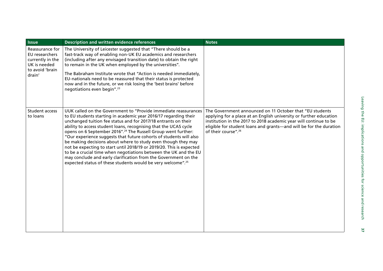| <b>Issue</b>                                                                                       | <b>Description and written evidence references</b>                                                                                                                                                                                                                                                                                                                                                                                                                                                                                                                                                                                                                                                                                                                                      | <b>Notes</b>                                                                                                                                                                                                                                                                                                 |
|----------------------------------------------------------------------------------------------------|-----------------------------------------------------------------------------------------------------------------------------------------------------------------------------------------------------------------------------------------------------------------------------------------------------------------------------------------------------------------------------------------------------------------------------------------------------------------------------------------------------------------------------------------------------------------------------------------------------------------------------------------------------------------------------------------------------------------------------------------------------------------------------------------|--------------------------------------------------------------------------------------------------------------------------------------------------------------------------------------------------------------------------------------------------------------------------------------------------------------|
| Reassurance for<br>EU researchers<br>currently in the<br>UK is needed<br>to avoid 'brain<br>drain' | The University of Leicester suggested that "There should be a<br>fast-track way of enabling non-UK EU academics and researchers<br>(including after any envisaged transition date) to obtain the right<br>to remain in the UK when employed by the universities".<br>The Babraham Institute wrote that "Action is needed immediately,<br>EU-nationals need to be reassured that their status is protected<br>now and in the future, or we risk losing the 'best brains' before<br>negotiations even begin". <sup>23</sup>                                                                                                                                                                                                                                                               |                                                                                                                                                                                                                                                                                                              |
| <b>Student access</b><br>to loans                                                                  | UUK called on the Government to "Provide immediate reassurances<br>to EU students starting in academic year 2016/17 regarding their<br>unchanged tuition fee status and for 2017/18 entrants on their<br>ability to access student loans, recognising that the UCAS cycle<br>opens on 6 September 2016". <sup>24</sup> The Russell Group went further:<br>"Our experience suggests that future cohorts of students will also<br>be making decisions about where to study even though they may<br>not be expecting to start until 2018/19 or 2019/20. This is expected<br>to be a crucial time when negotiations between the UK and the EU<br>may conclude and early clarification from the Government on the<br>expected status of these students would be very welcome". <sup>25</sup> | The Government announced on 11 October that "EU students<br>applying for a place at an English university or further education<br>institution in the 2017 to 2018 academic year will continue to be<br>eligible for student loans and grants—and will be for the duration<br>of their course". <sup>26</sup> |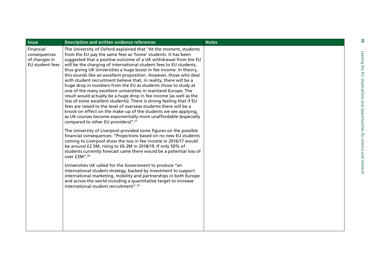| <b>Issue</b>                                                  | <b>Description and written evidence references</b>                                                                                                                                                                                                                                                                                                                                                                                                                                                                                                                                                                                                                                                                                                                                                                                                                                                                                                                                                                                                                                                                                                                                                                                                                                                                                                                                                                                                                                                                                                                                                                                                                                                                                                         | <b>Notes</b> | မ္လ                                                                               |
|---------------------------------------------------------------|------------------------------------------------------------------------------------------------------------------------------------------------------------------------------------------------------------------------------------------------------------------------------------------------------------------------------------------------------------------------------------------------------------------------------------------------------------------------------------------------------------------------------------------------------------------------------------------------------------------------------------------------------------------------------------------------------------------------------------------------------------------------------------------------------------------------------------------------------------------------------------------------------------------------------------------------------------------------------------------------------------------------------------------------------------------------------------------------------------------------------------------------------------------------------------------------------------------------------------------------------------------------------------------------------------------------------------------------------------------------------------------------------------------------------------------------------------------------------------------------------------------------------------------------------------------------------------------------------------------------------------------------------------------------------------------------------------------------------------------------------------|--------------|-----------------------------------------------------------------------------------|
| Financial<br>consequences<br>of changes in<br>EU student fees | The University of Oxford explained that "At the moment, students<br>from the EU pay the same fees as 'home' students. It has been<br>suggested that a positive outcome of a UK withdrawal from the EU<br>will be the charging of international student fees to EU students,<br>thus giving UK Universities a huge boost in fee income. In theory,<br>this sounds like an excellent proposition. However, those who deal<br>with student recruitment believe that, in reality, there will be a<br>huge drop in numbers from the EU as students chose to study at<br>one of the many excellent universities in mainland Europe. The<br>result would actually be a huge drop in fee income (as well as the<br>loss of some excellent students). There is strong feeling that if EU<br>fees are raised to the level of overseas students there will be a<br>knock-on effect on the make-up of the students we see applying,<br>as UK courses become exponentially more unaffordable (especially<br>compared to other EU providers)". <sup>27</sup><br>The University of Liverpool provided some figures on the possible<br>financial consequences: "Projections based on no new EU students<br>coming to Liverpool show the loss in fee income in 2016/17 would<br>be around £2.5M, rising to £6.2M in 2018/19. If only 50% of<br>students currently forecast came there would be a potential loss of<br>over £3M". <sup>28</sup><br>Universities UK called for the Government to produce "an<br>international student strategy, backed by investment to support<br>international marketing, mobility and partnerships in both Europe<br>and across the world including a quantitative target to increase<br>international student recruitment". <sup>29</sup> |              | Leaving<br>the<br>EU: implications<br>pue<br>opportunitie<br>ğ<br>pue<br>research |
|                                                               |                                                                                                                                                                                                                                                                                                                                                                                                                                                                                                                                                                                                                                                                                                                                                                                                                                                                                                                                                                                                                                                                                                                                                                                                                                                                                                                                                                                                                                                                                                                                                                                                                                                                                                                                                            |              |                                                                                   |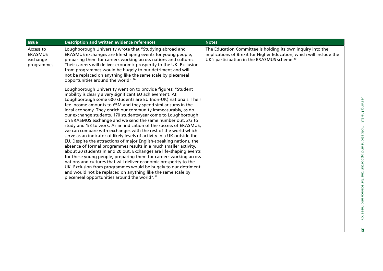| <b>Issue</b>                                          | <b>Description and written evidence references</b>                                                                                                                                                                                                                                                                                                                                                                                                                                                                                                                                                                                                                                                                                                                                                                                                                                                                                                                                                                                                                                                                                                                                                                                     | <b>Notes</b>                                                                                                                                                                                  |
|-------------------------------------------------------|----------------------------------------------------------------------------------------------------------------------------------------------------------------------------------------------------------------------------------------------------------------------------------------------------------------------------------------------------------------------------------------------------------------------------------------------------------------------------------------------------------------------------------------------------------------------------------------------------------------------------------------------------------------------------------------------------------------------------------------------------------------------------------------------------------------------------------------------------------------------------------------------------------------------------------------------------------------------------------------------------------------------------------------------------------------------------------------------------------------------------------------------------------------------------------------------------------------------------------------|-----------------------------------------------------------------------------------------------------------------------------------------------------------------------------------------------|
| Access to<br><b>ERASMUS</b><br>exchange<br>programmes | Loughborough University wrote that "Studying abroad and<br>ERASMUS exchanges are life-shaping events for young people,<br>preparing them for careers working across nations and cultures.<br>Their careers will deliver economic prosperity to the UK. Exclusion<br>from programmes would be hugely to our detriment and will<br>not be replaced on anything like the same scale by piecemeal<br>opportunities around the world". <sup>30</sup>                                                                                                                                                                                                                                                                                                                                                                                                                                                                                                                                                                                                                                                                                                                                                                                        | The Education Committee is holding its own inquiry into the<br>implications of Brexit for Higher Education, which will include the<br>UK's participation in the ERASMUS scheme. <sup>33</sup> |
|                                                       | Loughborough University went on to provide figures: "Student<br>mobility is clearly a very significant EU achievement. At<br>Loughborough some 600 students are EU (non-UK) nationals. Their<br>fee income amounts to £5M and they spend similar sums in the<br>local economy. They enrich our community immeasurably, as do<br>our exchange students. 170 students/year come to Loughborough<br>on ERASMUS exchange and we send the same number out, 2/3 to<br>study and 1/3 to work. As an indication of the success of ERASMUS,<br>we can compare with exchanges with the rest of the world which<br>serve as an indicator of likely levels of activity in a UK outside the<br>EU. Despite the attractions of major English-speaking nations, the<br>absence of formal programmes results in a much smaller activity,<br>about 20 students in and 20 out. Exchanges are life-shaping events<br>for these young people, preparing them for careers working across<br>nations and cultures that will deliver economic prosperity to the<br>UK. Exclusion from programmes would be hugely to our detriment<br>and would not be replaced on anything like the same scale by<br>piecemeal opportunities around the world". <sup>31</sup> |                                                                                                                                                                                               |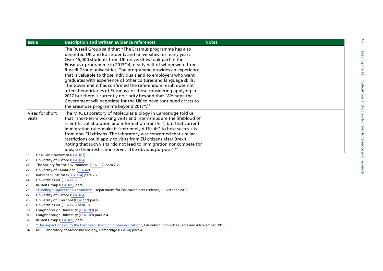| <b>Issue</b>              | <b>Description and written evidence references</b>                                                                                                                                                                                                                                                                                                                                                                                                                                                                                                                                                                                                                                                                                                                                                     | <b>Notes</b> |
|---------------------------|--------------------------------------------------------------------------------------------------------------------------------------------------------------------------------------------------------------------------------------------------------------------------------------------------------------------------------------------------------------------------------------------------------------------------------------------------------------------------------------------------------------------------------------------------------------------------------------------------------------------------------------------------------------------------------------------------------------------------------------------------------------------------------------------------------|--------------|
|                           | The Russell Group said that "The Erasmus programme has also<br>benefited UK and EU students and universities for many years.<br>Over 15,000 students from UK universities took part in the<br>Erasmus+ programme in 2013/14, nearly half of whom were from<br>Russell Group universities. The programme provides an experience<br>that is valuable to those individuals and to employers who want<br>graduates with experience of other cultures and language skills.<br>The Government has confirmed the referendum result does not<br>affect beneficiaries of Erasmus+ or those considering applying in<br>2017 but there is currently no clarity beyond that. We hope the<br>Government will negotiate for the UK to have continued access to<br>the Erasmus+ programme beyond 2017". <sup>32</sup> |              |
| Visas for short<br>visits | The MRC Laboratory of Molecular Biology in Cambridge told us<br>that "short-term working visits and internships are the lifeblood of<br>scientific collaboration and information transfer", but that current<br>immigration rules make it "extremely difficult" to host such visits<br>from non-EU citizens. The laboratory was concerned that similar<br>restrictions could apply to visits from EU citizens after Brexit,<br>noting that such visits "do not lead to immigration nor compete for<br>jobs, so their restriction serves little obvious purpose". <sup>34</sup>                                                                                                                                                                                                                         |              |
| 19                        | Dr Julian Downward (LEA 187)                                                                                                                                                                                                                                                                                                                                                                                                                                                                                                                                                                                                                                                                                                                                                                           |              |
| 20                        | University of Oxford (LEA 184)                                                                                                                                                                                                                                                                                                                                                                                                                                                                                                                                                                                                                                                                                                                                                                         |              |
| 21                        | The Society for the Environment (LEA 192) para 2.2                                                                                                                                                                                                                                                                                                                                                                                                                                                                                                                                                                                                                                                                                                                                                     |              |
| 22                        | University of Cambridge (LEA 42)                                                                                                                                                                                                                                                                                                                                                                                                                                                                                                                                                                                                                                                                                                                                                                       |              |
| 23                        | Babraham Institute (LEA 124) para 2.2                                                                                                                                                                                                                                                                                                                                                                                                                                                                                                                                                                                                                                                                                                                                                                  |              |
| 24                        | Universities UK (LEA 275)                                                                                                                                                                                                                                                                                                                                                                                                                                                                                                                                                                                                                                                                                                                                                                              |              |
| 25<br>26                  | Russell Group (LEA 180) para 3.3<br>"Funding support for EU students", Department for Education press release, 11 October 2016                                                                                                                                                                                                                                                                                                                                                                                                                                                                                                                                                                                                                                                                         |              |
| 27                        | University of Oxford (LEA 184)                                                                                                                                                                                                                                                                                                                                                                                                                                                                                                                                                                                                                                                                                                                                                                         |              |
| 28                        | University of Liverpool (LEA 222) para 6                                                                                                                                                                                                                                                                                                                                                                                                                                                                                                                                                                                                                                                                                                                                                               |              |
| 29                        | Universities UK (LEA 275) para 18                                                                                                                                                                                                                                                                                                                                                                                                                                                                                                                                                                                                                                                                                                                                                                      |              |
| 30                        | Loughborough University (LEA 109) p1                                                                                                                                                                                                                                                                                                                                                                                                                                                                                                                                                                                                                                                                                                                                                                   |              |
| 31                        | Loughborough University (LEA 109) para 2.4                                                                                                                                                                                                                                                                                                                                                                                                                                                                                                                                                                                                                                                                                                                                                             |              |
| 32                        | Russell Group (LEA 180) para 3.6                                                                                                                                                                                                                                                                                                                                                                                                                                                                                                                                                                                                                                                                                                                                                                       |              |
| 33                        | "The impact of exiting the European Union on higher education", Education Committee, accessed 4 November 2016                                                                                                                                                                                                                                                                                                                                                                                                                                                                                                                                                                                                                                                                                          |              |

34MRC Laboratory of Molecular Biology, Cambridge ([LEA 74](http://data.parliament.uk/writtenevidence/committeeevidence.svc/evidencedocument/science-and-technology-committee/leaving-the-eu-implications-and-opportunities-for-science-and-research/written/35112.html)) para 4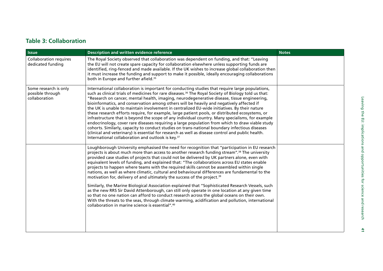### **Table 3: Collaboration**

| <b>Issue</b>                                               | Description and written evidence reference                                                                                                                                                                                                                                                                                                                                                                                                                                                                                                                                                                                                                                                                                                                                                                                                                                                                                                                                                                                                                                                                                                                                        | <b>Notes</b> |
|------------------------------------------------------------|-----------------------------------------------------------------------------------------------------------------------------------------------------------------------------------------------------------------------------------------------------------------------------------------------------------------------------------------------------------------------------------------------------------------------------------------------------------------------------------------------------------------------------------------------------------------------------------------------------------------------------------------------------------------------------------------------------------------------------------------------------------------------------------------------------------------------------------------------------------------------------------------------------------------------------------------------------------------------------------------------------------------------------------------------------------------------------------------------------------------------------------------------------------------------------------|--------------|
| <b>Collaboration requires</b><br>dedicated funding         | The Royal Society observed that collaboration was dependent on funding, and that: "Leaving<br>the EU will not create spare capacity for collaboration elsewhere unless supporting funds are<br>identified, ring-fenced and made available. If the UK wishes to increase global collaboration then<br>it must increase the funding and support to make it possible, ideally encouraging collaborations<br>both in Europe and further afield. <sup>35</sup>                                                                                                                                                                                                                                                                                                                                                                                                                                                                                                                                                                                                                                                                                                                         |              |
| Some research is only<br>possible through<br>collaboration | International collaboration is important for conducting studies that require large populations,<br>such as clinical trials of medicines for rare diseases. <sup>36</sup> The Royal Society of Biology told us that:<br>"Research on cancer, mental health, imaging, neurodegenerative disease, tissue engineering,<br>bioinformatics, and conservation among others will be heavily and negatively affected if<br>the UK is unable to maintain involvement in centralized EU-wide initiatives. By their nature<br>these research efforts require, for example, large patient pools, or distributed ecosystems, or<br>infrastructure that is beyond the scope of any individual country. Many specialisms, for example<br>endocrinology, cover rare diseases requiring a large population from which to draw viable study<br>cohorts. Similarly, capacity to conduct studies on trans-national boundary infectious diseases<br>(clinical and veterinary) is essential for research as well as disease control and public health.<br>International collaboration and outlook is key. <sup>37</sup>                                                                                  |              |
|                                                            | Loughborough University emphasised the need for recognition that "participation in EU research<br>projects is about much more than access to another research funding stream". <sup>38</sup> The university<br>provided case studies of projects that could not be delivered by UK partners alone, even with<br>equivalent levels of funding, and explained that: "The collaborations across EU states enable<br>projects to happen where teams with the required skills cannot be assembled within single<br>nations, as well as where climatic, cultural and behavioural differences are fundamental to the<br>motivation for, delivery of and ultimately the success of the project. <sup>39</sup><br>Similarly, the Marine Biological Association explained that "Sophisticated Research Vessels, such<br>as the new RRS Sir David Attenborough, can still only operate in one location at any given time<br>so that no one nation can afford to conduct research across the global oceans on their own.<br>With the threats to the seas, through climate warming, acidification and pollution, international<br>collaboration in marine science is essential". <sup>40</sup> |              |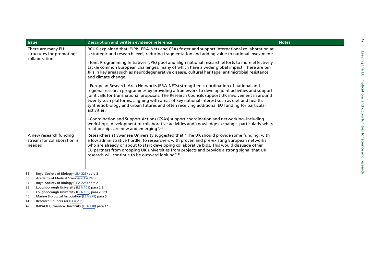| <b>Issue</b>                                                    | Description and written evidence reference                                                                                                                                                                                                                                                                                                                                                                                                                                                              | <b>Notes</b> |
|-----------------------------------------------------------------|---------------------------------------------------------------------------------------------------------------------------------------------------------------------------------------------------------------------------------------------------------------------------------------------------------------------------------------------------------------------------------------------------------------------------------------------------------------------------------------------------------|--------------|
| There are many EU<br>structures for promoting<br>collaboration  | RCUK explained that: "JPIs, ERA-Nets and CSAs foster and support international collaboration at<br>a strategic and research level, reducing fragmentation and adding value to national investment:                                                                                                                                                                                                                                                                                                      |              |
|                                                                 | -Joint Programming Initiatives (JPIs) pool and align national research efforts to more effectively<br>tackle common European challenges, many of which have a wider global impact. There are ten<br>JPIs in key areas such as neurodegenerative disease, cultural heritage, antimicrobial resistance<br>and climate change.                                                                                                                                                                             |              |
|                                                                 | -European Research Area Networks (ERA-NETs) strengthen co-ordination of national and<br>regional research programmes by providing a framework to develop joint activities and support<br>joint calls for transnational proposals. The Research Councils support UK involvement in around<br>twenty such platforms, aligning with areas of key national interest such as diet and health,<br>synthetic biology and urban futures and often receiving additional EU funding for particular<br>activities. |              |
|                                                                 | -Coordination and Support Actions (CSAs) support coordination and networking-including<br>workshops, development of collaborative activities and knowledge exchange -particularly where<br>relationships are new and emerging". <sup>41</sup>                                                                                                                                                                                                                                                           |              |
| A new research funding<br>stream for collaboration is<br>needed | Researchers at Swansea University suggested that "The UK should provide some funding, with<br>a low administrative hurdle, to researchers with proven and pre-existing European networks<br>who are already or about to start developing collaborative bids. This would dissuade other<br>EU partners from dropping UK universities from projects and provide a strong signal that UK<br>research will continue to be outward looking". <sup>42</sup>                                                   |              |

5 Royal Society of Biology ([LEA 225\)](http://data.parliament.uk/writtenevidence/committeeevidence.svc/evidencedocument/science-and-technology-committee/leaving-the-eu-implications-and-opportunities-for-science-and-research/written/36017.html) para 3

36Academy of Medical Sciences [\(LEA 265\)](http://data.parliament.uk/writtenevidence/committeeevidence.svc/evidencedocument/science-and-technology-committee/leaving-the-eu-implications-and-opportunities-for-science-and-research/written/36126.html)

37Royal Society of Biology ([LEA 225\)](http://data.parliament.uk/writtenevidence/committeeevidence.svc/evidencedocument/science-and-technology-committee/leaving-the-eu-implications-and-opportunities-for-science-and-research/written/36017.html) para 2

38Loughborough University ([LEA 109](http://data.parliament.uk/writtenevidence/committeeevidence.svc/evidencedocument/science-and-technology-committee/leaving-the-eu-implications-and-opportunities-for-science-and-research/written/35316.html)) para 2.8

39Loughborough University ([LEA 109](http://data.parliament.uk/writtenevidence/committeeevidence.svc/evidencedocument/science-and-technology-committee/leaving-the-eu-implications-and-opportunities-for-science-and-research/written/35316.html)) para 2.8 ff

40Marine Biological Association ([LEA 278](http://data.parliament.uk/writtenevidence/committeeevidence.svc/evidencedocument/science-and-technology-committee/leaving-the-eu-implications-and-opportunities-for-science-and-research/written/36528.html)) para 5

41Research Councils UK ([LEA 235](http://data.parliament.uk/writtenevidence/committeeevidence.svc/evidencedocument/science-and-technology-committee/leaving-the-eu-implications-and-opportunities-for-science-and-research/written/36037.pdf))

42IMPACKT, Swansea University [\(LEA 138\)](http://data.parliament.uk/writtenevidence/committeeevidence.svc/evidencedocument/science-and-technology-committee/leaving-the-eu-implications-and-opportunities-for-science-and-research/written/35476.html) para 12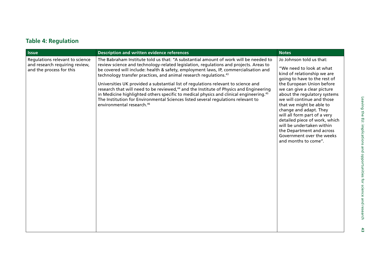### **Table 4: Regulation**

| <b>Issue</b>                                                                                  | <b>Description and written evidence references</b>                                                                                                                                                                                                                                                                                                                                                                                                                                                                                                                                                                                                                                                                                                                                     | <b>Notes</b>                                                                                                                                                                                                                                                                                                                                                                                                                                                                        |
|-----------------------------------------------------------------------------------------------|----------------------------------------------------------------------------------------------------------------------------------------------------------------------------------------------------------------------------------------------------------------------------------------------------------------------------------------------------------------------------------------------------------------------------------------------------------------------------------------------------------------------------------------------------------------------------------------------------------------------------------------------------------------------------------------------------------------------------------------------------------------------------------------|-------------------------------------------------------------------------------------------------------------------------------------------------------------------------------------------------------------------------------------------------------------------------------------------------------------------------------------------------------------------------------------------------------------------------------------------------------------------------------------|
| Regulations relevant to science<br>and research requiring review,<br>and the process for this | The Babraham Institute told us that: "A substantial amount of work will be needed to<br>review science and technology-related legislation, regulations and projects. Areas to<br>be covered will include: health & safety, employment laws, IP, commercialisation and<br>technology transfer practices, and animal research regulations. <sup>43</sup><br>Universities UK provided a substantial list of regulations relevant to science and<br>research that will need to be reviewed, <sup>44</sup> and the Institute of Physics and Engineering<br>in Medicine highlighted others specific to medical physics and clinical engineering. <sup>45</sup><br>The Institution for Environmental Sciences listed several regulations relevant to<br>environmental research. <sup>46</sup> | Jo Johnson told us that:<br>"We need to look at what<br>kind of relationship we are<br>going to have to the rest of<br>the European Union before<br>we can give a clear picture<br>about the regulatory systems<br>we will continue and those<br>that we might be able to<br>change and adapt. They<br>will all form part of a very<br>detailed piece of work, which<br>will be undertaken within<br>the Department and across<br>Government over the weeks<br>and months to come". |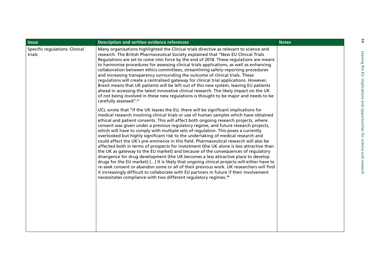| <b>Specific regulations: Clinical</b><br>Many organisations highlighted the Clinical trials directive as relevant to science and<br>trials<br>research. The British Pharmaceutical Society explained that "New EU Clinical Trials<br>Regulations are set to come into force by the end of 2018. These regulations are meant<br>to harmonise procedures for assessing clinical trials applications, as well as enhancing<br>collaboration between ethics committees, streamlining safety-reporting procedures<br>and increasing transparency surrounding the outcome of clinical trials. These<br>regulations will create a centralised gateway for clinical trial applications. However,<br>Brexit means that UK patients will be left out of this new system, leaving EU patients<br>ahead in accessing the latest innovative clinical research. The likely impact on the UK<br>of not being involved in these new regulations is thought to be major and needs to be<br>carefully assessed".47<br>UCL wrote that "If the UK leaves the EU, there will be significant implications for<br>medical research involving clinical trials or use of human samples which have obtained<br>ethical and patient consents. This will affect both ongoing research projects, where<br>consent was given under a previous regulatory regime, and future research projects,<br>which will have to comply with multiple sets of regulation. This poses a currently<br>overlooked but highly significant risk to the undertaking of medical research and<br>could affect the UK's pre-eminence in this field. Pharmaceutical research will also be<br>affected both in terms of prospects for investment (the UK alone is less attractive than<br>the UK as gateway to the EU market) and because of the consequences of regulatory<br>divergence for drug development (the UK becomes a less attractive place to develop<br>drugs for the EU market) [] It is likely that ongoing clinical projects will either have to<br>re-seek consent or abandon some or all of their previous work. UK researchers will find<br>it increasingly difficult to collaborate with EU partners in future if their involvement<br>necessitates compliance with two different regulatory regimes. <sup>48</sup> |  |
|------------------------------------------------------------------------------------------------------------------------------------------------------------------------------------------------------------------------------------------------------------------------------------------------------------------------------------------------------------------------------------------------------------------------------------------------------------------------------------------------------------------------------------------------------------------------------------------------------------------------------------------------------------------------------------------------------------------------------------------------------------------------------------------------------------------------------------------------------------------------------------------------------------------------------------------------------------------------------------------------------------------------------------------------------------------------------------------------------------------------------------------------------------------------------------------------------------------------------------------------------------------------------------------------------------------------------------------------------------------------------------------------------------------------------------------------------------------------------------------------------------------------------------------------------------------------------------------------------------------------------------------------------------------------------------------------------------------------------------------------------------------------------------------------------------------------------------------------------------------------------------------------------------------------------------------------------------------------------------------------------------------------------------------------------------------------------------------------------------------------------------------------------------------------------------------------------------------------------------------------------------------------------------|--|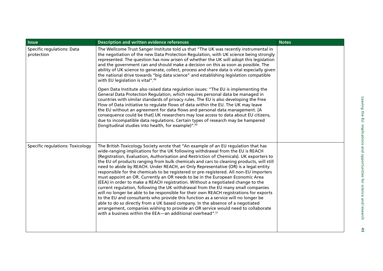| <b>Issue</b>                             | <b>Description and written evidence references</b>                                                                                                                                                                                                                                                                                                                                                                                                                                                                                                                                                                                                                                                                                                                                                                                                                                                                                                                                                                                                                                                                                                                                                                                  | <b>Notes</b> |
|------------------------------------------|-------------------------------------------------------------------------------------------------------------------------------------------------------------------------------------------------------------------------------------------------------------------------------------------------------------------------------------------------------------------------------------------------------------------------------------------------------------------------------------------------------------------------------------------------------------------------------------------------------------------------------------------------------------------------------------------------------------------------------------------------------------------------------------------------------------------------------------------------------------------------------------------------------------------------------------------------------------------------------------------------------------------------------------------------------------------------------------------------------------------------------------------------------------------------------------------------------------------------------------|--------------|
| Specific regulations: Data<br>protection | The Wellcome Trust Sanger Institute told us that "The UK was recently instrumental in<br>the negotiation of the new Data Protection Regulation, with UK science being strongly<br>represented. The question has now arisen of whether the UK will adopt this legislation<br>and the government can and should make a decision on this as soon as possible. The<br>ability of UK science to generate, collect, process and share data is vital especially given<br>the national drive towards "big data science" and establishing legislation compatible<br>with EU legislation is vital". <sup>49</sup>                                                                                                                                                                                                                                                                                                                                                                                                                                                                                                                                                                                                                             |              |
|                                          | Open Data Institute also raised data regulation issues: "The EU is implementing the<br>General Data Protection Regulation, which requires personal data be managed in<br>countries with similar standards of privacy rules. The EU is also developing the Free<br>Flow of Data initiative to regulate flows of data within the EU. The UK may leave<br>the EU without an agreement for data flows and personal data management. [A<br>consequence could be that] UK researchers may lose access to data about EU citizens,<br>due to incompatible data regulations. Certain types of research may be hampered<br>(longitudinal studies into health, for example)". <sup>50</sup>                                                                                                                                                                                                                                                                                                                                                                                                                                                                                                                                                    |              |
| Specific regulations: Toxicology         | The British Toxicology Society wrote that "An example of an EU regulation that has<br>wide-ranging implications for the UK following withdrawal from the EU is REACH<br>(Registration, Evaluation, Authorisation and Restriction of Chemicals). UK exporters to<br>the EU of products ranging from bulk chemicals and cars to cleaning products, will still<br>need to abide by REACH. Under REACH, an Only Representative (OR) is a legal entity<br>responsible for the chemicals to be registered or pre-registered. All non-EU importers<br>must appoint an OR. Currently an OR needs to be in the European Economic Area<br>(EEA) in order to make a REACH registration. Without a negotiated change to the<br>current regulation, following the UK withdrawal from the EU many small companies<br>will no longer be able to be responsible for their own REACH registrations for exports<br>to the EU and consultants who provide this function as a service will no longer be<br>able to do so directly from a UK based company. In the absence of a negotiated<br>arrangement, companies wishing to provide an OR service would need to collaborate<br>with a business within the EEA—an additional overhead". <sup>51</sup> |              |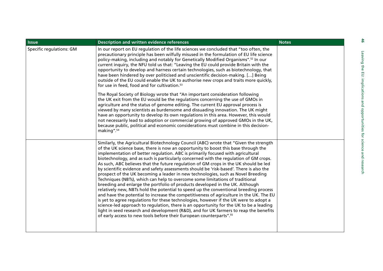| <b>Issue</b>             | <b>Description and written evidence references</b>                                                                                                                                                                                                                                                                                                                                                                                                                                                                                                                                                                                                                                                                                                                                                                                                                                                                                                                                                                                                                                                                                                                                                                                                                                                                                                  | <b>Notes</b> |
|--------------------------|-----------------------------------------------------------------------------------------------------------------------------------------------------------------------------------------------------------------------------------------------------------------------------------------------------------------------------------------------------------------------------------------------------------------------------------------------------------------------------------------------------------------------------------------------------------------------------------------------------------------------------------------------------------------------------------------------------------------------------------------------------------------------------------------------------------------------------------------------------------------------------------------------------------------------------------------------------------------------------------------------------------------------------------------------------------------------------------------------------------------------------------------------------------------------------------------------------------------------------------------------------------------------------------------------------------------------------------------------------|--------------|
| Specific regulations: GM | In our report on EU regulation of the life sciences we concluded that "too often, the<br>precautionary principle has been wilfully misused in the formulation of EU life science<br>policy-making, including and notably for Genetically Modified Organisms". <sup>52</sup> In our<br>current inquiry, the NFU told us that: "Leaving the EU could provide Britain with the<br>opportunity to develop and harness certain technologies, such as biotechnology, that<br>have been hindered by over politicised and unscientific decision-making. [] Being<br>outside of the EU could enable the UK to authorise new crops and traits more quickly,<br>for use in feed, food and for cultivation. <sup>53</sup>                                                                                                                                                                                                                                                                                                                                                                                                                                                                                                                                                                                                                                       |              |
|                          | The Royal Society of Biology wrote that "An important consideration following<br>the UK exit from the EU would be the regulations concerning the use of GMOs in<br>agriculture and the status of genome editing. The current EU approval process is<br>viewed by many scientists as burdensome and dissuading innovation. The UK might<br>have an opportunity to develop its own regulations in this area. However, this would<br>not necessarily lead to adoption or commercial growing of approved GMOs in the UK,<br>because public, political and economic considerations must combine in this decision-<br>making". <sup>54</sup>                                                                                                                                                                                                                                                                                                                                                                                                                                                                                                                                                                                                                                                                                                              |              |
|                          | Similarly, the Agricultural Biotechnology Council (ABC) wrote that "Given the strength<br>of the UK science base, there is now an opportunity to boost this base through the<br>implementation of better regulation. ABC is primarily focused with agricultural<br>biotechnology, and as such is particularly concerned with the regulation of GM crops.<br>As such, ABC believes that the future regulation of GM crops in the UK should be led<br>by scientific evidence and safety assessments should be 'risk-based'. There is also the<br>prospect of the UK becoming a leader in new technologies, such as Novel Breeding<br>Techniques (NBTs), which can help to overcome some limitations of traditional<br>breeding and enlarge the portfolio of products developed in the UK. Although<br>relatively new, NBTs hold the potential to speed up the conventional breeding process<br>and have the potential to increase the competitiveness of agriculture in the UK. The EU<br>is yet to agree regulations for these technologies, however if the UK were to adopt a<br>science-led approach to regulation, there is an opportunity for the UK to be a leading<br>light in seed research and development (R&D), and for UK farmers to reap the benefits<br>of early access to new tools before their European counterparts". <sup>55</sup> |              |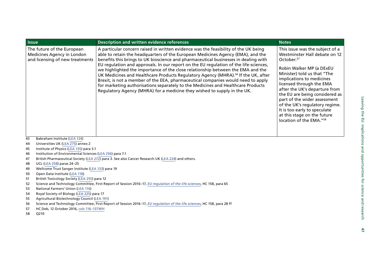| <b>Issue</b>                                                                                | <b>Description and written evidence references</b>                                                                                                                                                                                                                                                                                                                                                                                                                                                                                                                                                                                                                                                                                                                                             | <b>Notes</b>                                                                                                                                                                                                                                                                                                                                                                                                                                              |
|---------------------------------------------------------------------------------------------|------------------------------------------------------------------------------------------------------------------------------------------------------------------------------------------------------------------------------------------------------------------------------------------------------------------------------------------------------------------------------------------------------------------------------------------------------------------------------------------------------------------------------------------------------------------------------------------------------------------------------------------------------------------------------------------------------------------------------------------------------------------------------------------------|-----------------------------------------------------------------------------------------------------------------------------------------------------------------------------------------------------------------------------------------------------------------------------------------------------------------------------------------------------------------------------------------------------------------------------------------------------------|
| The future of the European<br>Medicines Agency in London<br>and licensing of new treatments | A particular concern raised in written evidence was the feasibility of the UK being<br>able to retain the headquarters of the European Medicines Agency (EMA), and the<br>benefits this brings to UK bioscience and pharmaceutical businesses in dealing with<br>EU regulation and approvals. In our report on the EU regulation of the life-sciences,<br>we highlighted the importance of the close relationship between the EMA and the<br>UK Medicines and Healthcare Products Regulatory Agency (MHRA). <sup>56</sup> If the UK, after<br>Brexit, is not a member of the EEA, pharmaceutical companies would need to apply<br>for marketing authorisations separately to the Medicines and Healthcare Products<br>Regulatory Agency (MHRA) for a medicine they wished to supply in the UK. | This issue was the subject of a<br>Westminster Hall debate on 12<br>October. <sup>57</sup><br>Robin Walker MP (a DExEU<br>Minister) told us that "The<br>implications to medicines<br>licensed through the EMA<br>after the UK's departure from<br>the EU are being considered as<br>part of the wider assessment<br>of the UK's regulatory regime.<br>It is too early to speculate<br>at this stage on the future<br>location of the EMA." <sup>58</sup> |
| Babraham Institute (LEA 124)<br>43                                                          |                                                                                                                                                                                                                                                                                                                                                                                                                                                                                                                                                                                                                                                                                                                                                                                                |                                                                                                                                                                                                                                                                                                                                                                                                                                                           |

- 44Universities UK ([LEA 275](http://data.parliament.uk/writtenevidence/committeeevidence.svc/evidencedocument/science-and-technology-committee/leaving-the-eu-implications-and-opportunities-for-science-and-research/written/36378.html)) annex 2
- 45Institute of Physics [\(LEA 135](http://data.parliament.uk/writtenevidence/committeeevidence.svc/evidencedocument/science-and-technology-committee/leaving-the-eu-implications-and-opportunities-for-science-and-research/written/35458.html)) para 3.1
- 46Institution of Environmental Sciences ([LEA 256](http://data.parliament.uk/writtenevidence/committeeevidence.svc/evidencedocument/science-and-technology-committee/leaving-the-eu-implications-and-opportunities-for-science-and-research/written/36076.html)) para 7.1
- 47British Pharmaceutical Society ([LEA 272](http://data.parliament.uk/writtenevidence/committeeevidence.svc/evidencedocument/science-and-technology-committee/leaving-the-eu-implications-and-opportunities-for-science-and-research/written/36219.html)) para 3. See also Cancer Research UK ([LEA 224](http://data.parliament.uk/writtenevidence/committeeevidence.svc/evidencedocument/science-and-technology-committee/leaving-the-eu-implications-and-opportunities-for-science-and-research/written/36014.html)) and others.
- 48UCL ([LEA 258\)](http://data.parliament.uk/writtenevidence/committeeevidence.svc/evidencedocument/science-and-technology-committee/leaving-the-eu-implications-and-opportunities-for-science-and-research/written/36083.html) paras 24–25
- 49Wellcome Trust Sanger Institute ([LEA 133](http://data.parliament.uk/writtenevidence/committeeevidence.svc/evidencedocument/science-and-technology-committee/leaving-the-eu-implications-and-opportunities-for-science-and-research/written/35454.html)) para 19
- 50Open Data Institute ([LEA 118\)](http://data.parliament.uk/writtenevidence/committeeevidence.svc/evidencedocument/science-and-technology-committee/leaving-the-eu-implications-and-opportunities-for-science-and-research/written/35373.html)
- 51British Toxicology Society [\(LEA 255\)](http://data.parliament.uk/writtenevidence/committeeevidence.svc/evidencedocument/science-and-technology-committee/leaving-the-eu-implications-and-opportunities-for-science-and-research/written/36075.html) para 12
- 52Science and Technology Committee, First Report of Session 2016–17, *[EU regulation of the life sciences](http://www.publications.parliament.uk/pa/cm201617/cmselect/cmsctech/158/158.pdf)*, HC 158, para 65
- 53National Farmers' Union ([LEA 116](http://data.parliament.uk/writtenevidence/committeeevidence.svc/evidencedocument/science-and-technology-committee/leaving-the-eu-implications-and-opportunities-for-science-and-research/written/35365.html))
- 54Royal Society of Biology ([LEA 225](http://data.parliament.uk/writtenevidence/committeeevidence.svc/evidencedocument/science-and-technology-committee/leaving-the-eu-implications-and-opportunities-for-science-and-research/written/36017.html)) para 17
- 55Agricultural Biotechnology Council ([LEA 191](http://data.parliament.uk/writtenevidence/committeeevidence.svc/evidencedocument/science-and-technology-committee/leaving-the-eu-implications-and-opportunities-for-science-and-research/written/35903.pdf))
- 56Science and Technology Committee, First Report of Session 2016–17, *[EU regulation of the life sciences](http://www.publications.parliament.uk/pa/cm201617/cmselect/cmsctech/158/158.pdf)*, HC 158, para 28 ff
- 57HC Deb, 12 October 2016, [cols 116–137WH](https://hansard.parliament.uk/commons/2016-10-12/debates/C1A87D11-1F3E-4BAF-8DC0-2023B96AD963/EuropeanMedicinesAgency)
- 58Q210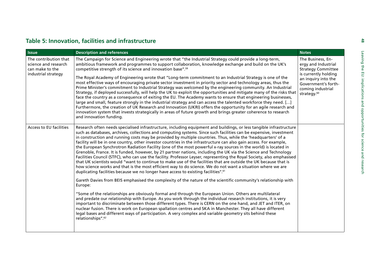| <b>Issue</b>                                                                            | <b>Description and references</b>                                                                                                                                                                                                                                                                                                                                                                                                                                                                                                                                                                                                                                                                                                                                                                                                                                                                                                                                                                                                                                                                                                                                                                                                                                                                                                                                                                                                                                                                                                                                                                                                                                                                                                                                                                                                                                                                                          | <b>Notes</b>                                                                                                                                                                                |
|-----------------------------------------------------------------------------------------|----------------------------------------------------------------------------------------------------------------------------------------------------------------------------------------------------------------------------------------------------------------------------------------------------------------------------------------------------------------------------------------------------------------------------------------------------------------------------------------------------------------------------------------------------------------------------------------------------------------------------------------------------------------------------------------------------------------------------------------------------------------------------------------------------------------------------------------------------------------------------------------------------------------------------------------------------------------------------------------------------------------------------------------------------------------------------------------------------------------------------------------------------------------------------------------------------------------------------------------------------------------------------------------------------------------------------------------------------------------------------------------------------------------------------------------------------------------------------------------------------------------------------------------------------------------------------------------------------------------------------------------------------------------------------------------------------------------------------------------------------------------------------------------------------------------------------------------------------------------------------------------------------------------------------|---------------------------------------------------------------------------------------------------------------------------------------------------------------------------------------------|
| The contribution that<br>science and research<br>can make to the<br>industrial strategy | The Campaign for Science and Engineering wrote that "the Industrial Strategy could provide a long-term,<br>ambitious framework and programmes to support collaboration, knowledge exchange and build on the UK's<br>competitive strength of its science and innovation base". <sup>59</sup><br>The Royal Academy of Engineering wrote that "Long-term commitment to an Industrial Strategy is one of the<br>most effective ways of encouraging private sector investment in priority sector and technology areas, thus the<br>Prime Minister's commitment to Industrial Strategy was welcomed by the engineering community. An Industrial<br>Strategy, if deployed successfully, will help the UK to exploit the opportunities and mitigate many of the risks that<br>face the country as a consequence of exiting the EU. The Academy wants to ensure that engineering businesses,<br>large and small, feature strongly in the industrial strategy and can access the talented workforce they need. []<br>Furthermore, the creation of UK Research and Innovation (UKRI) offers the opportunity for an agile research and<br>innovation system that invests strategically in areas of future growth and brings greater coherence to research<br>and innovation funding.                                                                                                                                                                                                                                                                                                                                                                                                                                                                                                                                                                                                                                                   | The Business, En-<br>ergy and Industrial<br><b>Strategy Committee</b><br>is currently holding<br>an inquiry into the<br>Government's forth-<br>coming industrial<br>strategy. <sup>60</sup> |
| Access to EU facilities                                                                 | Research often needs specialised infrastructure, including equipment and buildings, or less tangible infrastructure<br>such as databases, archives, collections and computing systems. Since such facilities can be expensive, investment<br>in construction and running costs may be provided by multiple countries. Thus, while the 'headquarters' of a<br>facility will be in one country, other investor countries in the infrastructure can also gain access. For example,<br>the European Synchrotron Radiation Facility (one of the most powerful x-ray sources in the world) is located in<br>Grenoble, France. It is funded, however, by 21 partner nations, including the UK via the Science and Technology<br>Facilities Council (STFC), who can use the facility. Professor Leyser, representing the Royal Society, also emphasised<br>that UK scientists would "want to continue to make use of the facilities that are outside the UK because that is<br>how science works and that is the most efficient way to do science. We do not want a situation where we are<br>duplicating facilities because we no longer have access to existing facilities". <sup>61</sup><br>Gareth Davies from BEIS emphasised the complexity of the nature of the scientific community's relationship with<br>Europe:<br>"Some of the relationships are obviously formal and through the European Union. Others are multilateral<br>and predate our relationship with Europe. As you work through the individual research institutions, it is very<br>important to discriminate between those different types. There is CERN on the one hand, and JET and ITER, on<br>nuclear fusion. There is work on European spallation centres and SKA in Manchester. They all have different<br>legal bases and different ways of participation. A very complex and variable geometry sits behind these<br>relationships". <sup>62</sup> |                                                                                                                                                                                             |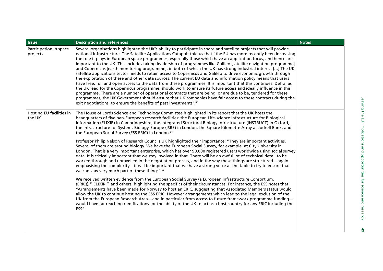| <b>Issue</b>                       | <b>Description and references</b>                                                                                                                                                                                                                                                                                                                                                                                                                                                                                                                                                                                                                                                                                                                                                                                                                                                                                                                                                                                                                                                                                                                                                                                                                                                                                                                                                              | <b>Notes</b> |
|------------------------------------|------------------------------------------------------------------------------------------------------------------------------------------------------------------------------------------------------------------------------------------------------------------------------------------------------------------------------------------------------------------------------------------------------------------------------------------------------------------------------------------------------------------------------------------------------------------------------------------------------------------------------------------------------------------------------------------------------------------------------------------------------------------------------------------------------------------------------------------------------------------------------------------------------------------------------------------------------------------------------------------------------------------------------------------------------------------------------------------------------------------------------------------------------------------------------------------------------------------------------------------------------------------------------------------------------------------------------------------------------------------------------------------------|--------------|
| Participation in space<br>projects | Several organisations highlighted the UK's ability to participate in space and satellite projects that will provide<br>national infrastructure. The Satellite Applications Catapult told us that "the EU has more recently been increasing<br>the role it plays in European space programmes, especially those which have an application focus, and hence are<br>important to the UK. This includes taking leadership of programmes like Galileo [satellite navigation programme]<br>and Copernicus [earth monitoring programme], in both of which the UK has strong industrial interest [] The UK<br>satellite applications sector needs to retain access to Copernicus and Galileo to drive economic growth through<br>the exploitation of these and other data sources. The current EU data and information policy means that users<br>have free, full and open access to the data from these programmes. It is important that this continues. Defra, as<br>the UK lead for the Copernicus programme, should work to ensure its future access and ideally influence in this<br>programme. There are a number of operational contracts that are being, or are due to be, tendered for these<br>programmes, the UK Government should ensure that UK companies have fair access to these contracts during the<br>exit negotiations, to ensure the benefits of past investments". <sup>63</sup> |              |
| Hosting EU facilities in<br>the UK | The House of Lords Science and Technology Committee highlighted in its report that the UK hosts the<br>headquarters of five pan-European research facilities: the European Life-science Infrastructure for Biological<br>Information (ELIXIR) in Cambridgeshire, the Integrated Structural Biology Infrastructure (INSTRUCT) in Oxford,<br>the Infrastructure for Systems Biology-Europe (ISBE) in London, the Square Kilometre Array at Jodrell Bank, and<br>the European Social Survey (ESS ERIC) in London. <sup>64</sup><br>Professor Philip Nelson of Research Councils UK highlighted their importance: "They are important activities.<br>Several of them are around biology. We have the European Social Survey, for example, at City University in<br>London. That is a very important enterprise, which has over 90,000 registered users worldwide using social survey<br>data. It is critically important that we stay involved in that. There will be an awful lot of technical detail to be<br>worked through and unravelled in the negotiation process, and in the way these things are structured—again<br>emphasising the complexity-it will be important that we have a strong voice at the table to try to ensure that<br>we can stay very much part of these things". <sup>65</sup>                                                                                         |              |
|                                    | We received written evidence from the European Social Survey (a European Infrastructure Consortium,<br>(ERIC)), <sup>66</sup> ELIXIR, <sup>67</sup> and others, highlighting the specifics of their circumstances. For instance, the ESS notes that<br>"Arrangements have been made for Norway to host an ERIC, suggesting that Associated Members status would<br>allow the UK to continue hosting the ESS ERIC. However arrangements which lead to the legal exclusion of the<br>UK from the European Research Area—and in particular from access to future framework programme funding—<br>would have far reaching ramifications for the ability of the UK to act as a host country for any ERIC including the<br>ESS".                                                                                                                                                                                                                                                                                                                                                                                                                                                                                                                                                                                                                                                                     |              |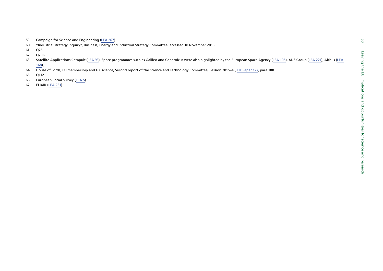- 
- 
- 
- 
- SP Camplain for Science and Explorering (E.E.A.26)<br>in a modulated tracking the principle (E.E.A.26)<br>in a modulated applications Catapult (E.E.A.93). Space programmes such as Gallies and Copernicus, were also highlighted b
- 
- 
- 
-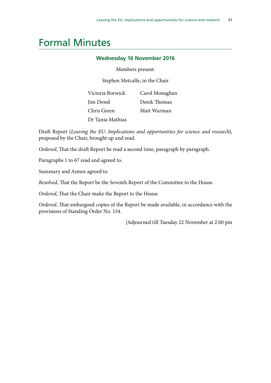# <span id="page-50-0"></span>Formal Minutes

### **Wednesday 16 November 2016**

Members present:

Stephen Metcalfe, in the Chair

| Victoria Borwick | Carol Monaghan |
|------------------|----------------|
| Jim Dowd         | Derek Thomas   |
| Chris Green      | Matt Warman    |
| Dr Tania Mathias |                |

Draft Report (*Leaving the EU: Implications and opportunities for science and research*), proposed by the Chair, brought up and read.

*Ordered*, That the draft Report be read a second time, paragraph by paragraph.

Paragraphs 1 to 67 read and agreed to.

Summary and Annex agreed to.

*Resolved*, That the Report be the Seventh Report of the Committee to the House.

*Ordered*, That the Chair make the Report to the House.

*Ordered*, That embargoed copies of the Report be made available, in accordance with the provisions of Standing Order No. 134.

[Adjourned till Tuesday 22 November at 2.00 pm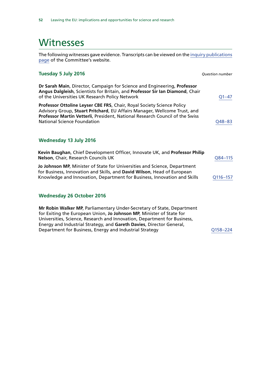## <span id="page-51-0"></span>**Witnesses**

The following witnesses gave evidence. Transcripts can be viewed on the [inquiry publications](http://www.parliament.uk/business/committees/committees-a-z/commons-select/science-and-technology-committee/inquiries/parliament-2015/leaving-the-eu-inquiry-16-17/publications/) [page](http://www.parliament.uk/business/committees/committees-a-z/commons-select/science-and-technology-committee/inquiries/parliament-2015/leaving-the-eu-inquiry-16-17/publications/) of the Committee's website.

| Tuesday 5 July 2016                                                                                                                                                                                                                                                                                                                                           | <b>Question number</b> |
|---------------------------------------------------------------------------------------------------------------------------------------------------------------------------------------------------------------------------------------------------------------------------------------------------------------------------------------------------------------|------------------------|
| Dr Sarah Main, Director, Campaign for Science and Engineering, Professor<br>Angus Dalgleish, Scientists for Britain, and Professor Sir Ian Diamond, Chair<br>of the Universities UK Research Policy Network                                                                                                                                                   | $Q1 - 47$              |
| Professor Ottoline Leyser CBE FRS, Chair, Royal Society Science Policy<br>Advisory Group, Stuart Pritchard, EU Affairs Manager, Wellcome Trust, and<br>Professor Martin Vetterli, President, National Research Council of the Swiss<br><b>National Science Foundation</b>                                                                                     | Q48-83                 |
| Wednesday 13 July 2016                                                                                                                                                                                                                                                                                                                                        |                        |
| Kevin Baughan, Chief Development Officer, Innovate UK, and Professor Philip<br>Nelson, Chair, Research Councils UK                                                                                                                                                                                                                                            | Q84-115                |
| Jo Johnson MP, Minister of State for Universities and Science, Department<br>for Business, Innovation and Skills, and David Wilson, Head of European<br>Knowledge and Innovation, Department for Business, Innovation and Skills                                                                                                                              | Q116-157               |
| <b>Wednesday 26 October 2016</b>                                                                                                                                                                                                                                                                                                                              |                        |
| Mr Robin Walker MP, Parliamentary Under-Secretary of State, Department<br>for Exiting the European Union, Jo Johnson MP, Minister of State for<br>Universities, Science, Research and Innovation, Department for Business,<br>Energy and Industrial Strategy, and Gareth Davies, Director General,<br>Department for Business, Energy and Industrial Strategy | Q158-224               |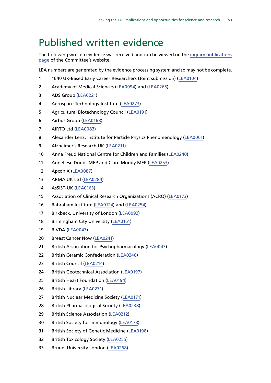# <span id="page-52-0"></span>Published written evidence

The following written evidence was received and can be viewed on the [inquiry publications](http://www.parliament.uk/business/committees/committees-a-z/commons-select/science-and-technology-committee/inquiries/parliament-2015/leaving-the-eu-inquiry-16-17/publications/) [page](http://www.parliament.uk/business/committees/committees-a-z/commons-select/science-and-technology-committee/inquiries/parliament-2015/leaving-the-eu-inquiry-16-17/publications/) of the Committee's website.

LEA numbers are generated by the evidence processing system and so may not be complete.

- 1640 UK-Based Early Career Researchers (Joint submission) [\(LEA0104](http://data.parliament.uk/WrittenEvidence/CommitteeEvidence.svc/EvidenceDocument/Science%20and%20Technology/Leaving%20the%20EU%20Implications%20and%20opportunities%20for%20science%20and%20research/written/35289.html))
- Academy of Medical Sciences [\(LEA0094\)](http://data.parliament.uk/WrittenEvidence/CommitteeEvidence.svc/EvidenceDocument/Science%20and%20Technology/Leaving%20the%20EU%20Implications%20and%20opportunities%20for%20science%20and%20research/written/35218.html) and ([LEA0265\)](http://data.parliament.uk/WrittenEvidence/CommitteeEvidence.svc/EvidenceDocument/Science%20and%20Technology/Leaving%20the%20EU%20Implications%20and%20opportunities%20for%20science%20and%20research/written/36126.html)
- ADS Group [\(LEA0221\)](http://data.parliament.uk/WrittenEvidence/CommitteeEvidence.svc/EvidenceDocument/Science%20and%20Technology/Leaving%20the%20EU%20Implications%20and%20opportunities%20for%20science%20and%20research/written/36011.html)
- Aerospace Technology Institute ([LEA0273](http://data.parliament.uk/WrittenEvidence/CommitteeEvidence.svc/EvidenceDocument/Science%20and%20Technology/Leaving%20the%20EU%20Implications%20and%20opportunities%20for%20science%20and%20research/written/36228.html))
- Agricultural Biotechnology Council [\(LEA0191](http://data.parliament.uk/WrittenEvidence/CommitteeEvidence.svc/EvidenceDocument/Science%20and%20Technology/Leaving%20the%20EU%20Implications%20and%20opportunities%20for%20science%20and%20research/written/35903.html))
- Airbus Group [\(LEA0168\)](http://data.parliament.uk/WrittenEvidence/CommitteeEvidence.svc/EvidenceDocument/Science%20and%20Technology/Leaving%20the%20EU%20Implications%20and%20opportunities%20for%20science%20and%20research/written/35733.html)
- AIRTO Ltd ([LEA0083](http://data.parliament.uk/WrittenEvidence/CommitteeEvidence.svc/EvidenceDocument/Science%20and%20Technology/Leaving%20the%20EU%20Implications%20and%20opportunities%20for%20science%20and%20research/written/35163.html))
- 8 Alexander Lenz, Institute for Particle Physics Phenomenology ([LEA0061](http://data.parliament.uk/WrittenEvidence/CommitteeEvidence.svc/EvidenceDocument/Science%20and%20Technology/Leaving%20the%20EU%20Implications%20and%20opportunities%20for%20science%20and%20research/written/35040.html))
- Alzheimer's Research UK ([LEA0211](http://data.parliament.uk/WrittenEvidence/CommitteeEvidence.svc/EvidenceDocument/Science%20and%20Technology/Leaving%20the%20EU%20Implications%20and%20opportunities%20for%20science%20and%20research/written/35980.html))
- Anna Freud National Centre for Children and Families [\(LEA0240](http://data.parliament.uk/WrittenEvidence/CommitteeEvidence.svc/EvidenceDocument/Science%20and%20Technology/Leaving%20the%20EU%20Implications%20and%20opportunities%20for%20science%20and%20research/written/36047.html))
- Anneliese Dodds MEP and Clare Moody MEP [\(LEA0253\)](http://data.parliament.uk/WrittenEvidence/CommitteeEvidence.svc/EvidenceDocument/Science%20and%20Technology/Leaving%20the%20EU%20Implications%20and%20opportunities%20for%20science%20and%20research/written/36071.html)
- ApconiX [\(LEA0087](http://data.parliament.uk/WrittenEvidence/CommitteeEvidence.svc/EvidenceDocument/Science%20and%20Technology/Leaving%20the%20EU%20Implications%20and%20opportunities%20for%20science%20and%20research/written/35192.html))
- ARMA UK Ltd [\(LEA0284](http://data.parliament.uk/WrittenEvidence/CommitteeEvidence.svc/EvidenceDocument/Science%20and%20Technology/Leaving%20the%20EU%20Implications%20and%20opportunities%20for%20science%20and%20research/written/39253.html))
- AsSIST-UK ([LEA0163](http://data.parliament.uk/WrittenEvidence/CommitteeEvidence.svc/EvidenceDocument/Science%20and%20Technology/Leaving%20the%20EU%20Implications%20and%20opportunities%20for%20science%20and%20research/written/35675.html))
- Association of Clinical Research Organizations (ACRO) ([LEA0173\)](http://data.parliament.uk/WrittenEvidence/CommitteeEvidence.svc/EvidenceDocument/Science%20and%20Technology/Leaving%20the%20EU%20Implications%20and%20opportunities%20for%20science%20and%20research/written/35780.html)
- Babraham Institute [\(LEA0124](http://data.parliament.uk/WrittenEvidence/CommitteeEvidence.svc/EvidenceDocument/Science%20and%20Technology/Leaving%20the%20EU%20Implications%20and%20opportunities%20for%20science%20and%20research/written/35399.html)) and ([LEA0254\)](http://data.parliament.uk/WrittenEvidence/CommitteeEvidence.svc/EvidenceDocument/Science%20and%20Technology/Leaving%20the%20EU%20Implications%20and%20opportunities%20for%20science%20and%20research/written/36072.html)
- 17 Birkbeck, University of London ([LEA0092\)](http://data.parliament.uk/WrittenEvidence/CommitteeEvidence.svc/EvidenceDocument/Science%20and%20Technology/Leaving%20the%20EU%20Implications%20and%20opportunities%20for%20science%20and%20research/written/35212.html)
- 18 Birmingham City University [\(LEA0161\)](http://data.parliament.uk/WrittenEvidence/CommitteeEvidence.svc/EvidenceDocument/Science%20and%20Technology/Leaving%20the%20EU%20Implications%20and%20opportunities%20for%20science%20and%20research/written/35666.html)
- BIVDA ([LEA0047](http://data.parliament.uk/WrittenEvidence/CommitteeEvidence.svc/EvidenceDocument/Science%20and%20Technology/Leaving%20the%20EU%20Implications%20and%20opportunities%20for%20science%20and%20research/written/34980.html))
- Breast Cancer Now ([LEA0241\)](http://data.parliament.uk/WrittenEvidence/CommitteeEvidence.svc/EvidenceDocument/Science%20and%20Technology/Leaving%20the%20EU%20Implications%20and%20opportunities%20for%20science%20and%20research/written/36048.html)
- 21 British Association for Psychopharmacology [\(LEA0043\)](http://data.parliament.uk/WrittenEvidence/CommitteeEvidence.svc/EvidenceDocument/Science%20and%20Technology/Leaving%20the%20EU%20Implications%20and%20opportunities%20for%20science%20and%20research/written/34967.html)
- British Ceramic Confederation ([LEA0248](http://data.parliament.uk/WrittenEvidence/CommitteeEvidence.svc/EvidenceDocument/Science%20and%20Technology/Leaving%20the%20EU%20Implications%20and%20opportunities%20for%20science%20and%20research/written/36060.html))
- British Council [\(LEA0214\)](http://data.parliament.uk/WrittenEvidence/CommitteeEvidence.svc/EvidenceDocument/Science%20and%20Technology/Leaving%20the%20EU%20Implications%20and%20opportunities%20for%20science%20and%20research/written/35984.html)
- British Geotechnical Association ([LEA0197](http://data.parliament.uk/WrittenEvidence/CommitteeEvidence.svc/EvidenceDocument/Science%20and%20Technology/Leaving%20the%20EU%20Implications%20and%20opportunities%20for%20science%20and%20research/written/35943.html))
- British Heart Foundation [\(LEA0194\)](http://data.parliament.uk/WrittenEvidence/CommitteeEvidence.svc/EvidenceDocument/Science%20and%20Technology/Leaving%20the%20EU%20Implications%20and%20opportunities%20for%20science%20and%20research/written/35914.html)
- British Library [\(LEA0271\)](http://data.parliament.uk/WrittenEvidence/CommitteeEvidence.svc/EvidenceDocument/Science%20and%20Technology/Leaving%20the%20EU%20Implications%20and%20opportunities%20for%20science%20and%20research/written/36192.html)
- British Nuclear Medicine Society [\(LEA0171\)](http://data.parliament.uk/WrittenEvidence/CommitteeEvidence.svc/EvidenceDocument/Science%20and%20Technology/Leaving%20the%20EU%20Implications%20and%20opportunities%20for%20science%20and%20research/written/35769.html)
- British Pharmacological Society ([LEA0238](http://data.parliament.uk/WrittenEvidence/CommitteeEvidence.svc/EvidenceDocument/Science%20and%20Technology/Leaving%20the%20EU%20Implications%20and%20opportunities%20for%20science%20and%20research/written/36042.html))
- British Science Association [\(LEA0212](http://data.parliament.uk/WrittenEvidence/CommitteeEvidence.svc/EvidenceDocument/Science%20and%20Technology/Leaving%20the%20EU%20Implications%20and%20opportunities%20for%20science%20and%20research/written/35981.html))
- British Society for Immunology ([LEA0178](http://data.parliament.uk/WrittenEvidence/CommitteeEvidence.svc/EvidenceDocument/Science%20and%20Technology/Leaving%20the%20EU%20Implications%20and%20opportunities%20for%20science%20and%20research/written/35805.html))
- British Society of Genetic Medicine [\(LEA0198\)](http://data.parliament.uk/WrittenEvidence/CommitteeEvidence.svc/EvidenceDocument/Science%20and%20Technology/Leaving%20the%20EU%20Implications%20and%20opportunities%20for%20science%20and%20research/written/35945.html)
- British Toxicology Society [\(LEA0255](http://data.parliament.uk/WrittenEvidence/CommitteeEvidence.svc/EvidenceDocument/Science%20and%20Technology/Leaving%20the%20EU%20Implications%20and%20opportunities%20for%20science%20and%20research/written/36075.html))
- Brunel University London [\(LEA0268](http://data.parliament.uk/WrittenEvidence/CommitteeEvidence.svc/EvidenceDocument/Science%20and%20Technology/Leaving%20the%20EU%20Implications%20and%20opportunities%20for%20science%20and%20research/written/36148.html))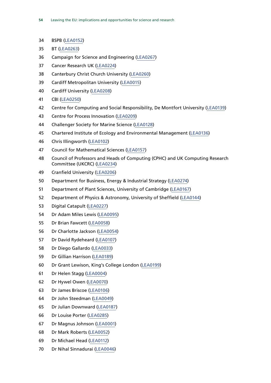- BSPB [\(LEA0152\)](http://data.parliament.uk/WrittenEvidence/CommitteeEvidence.svc/EvidenceDocument/Science%20and%20Technology/Leaving%20the%20EU%20Implications%20and%20opportunities%20for%20science%20and%20research/written/35593.html)
- BT [\(LEA0263](http://data.parliament.uk/WrittenEvidence/CommitteeEvidence.svc/EvidenceDocument/Science%20and%20Technology/Leaving%20the%20EU%20Implications%20and%20opportunities%20for%20science%20and%20research/written/36123.html))
- Campaign for Science and Engineering ([LEA0267\)](http://data.parliament.uk/WrittenEvidence/CommitteeEvidence.svc/EvidenceDocument/Science%20and%20Technology/Leaving%20the%20EU%20Implications%20and%20opportunities%20for%20science%20and%20research/written/36147.html)
- Cancer Research UK [\(LEA0224](http://data.parliament.uk/WrittenEvidence/CommitteeEvidence.svc/EvidenceDocument/Science%20and%20Technology/Leaving%20the%20EU%20Implications%20and%20opportunities%20for%20science%20and%20research/written/36014.html))
- Canterbury Christ Church University [\(LEA0260](http://data.parliament.uk/WrittenEvidence/CommitteeEvidence.svc/EvidenceDocument/Science%20and%20Technology/Leaving%20the%20EU%20Implications%20and%20opportunities%20for%20science%20and%20research/written/36099.html))
- Cardiff Metropolitan University [\(LEA0015\)](http://data.parliament.uk/WrittenEvidence/CommitteeEvidence.svc/EvidenceDocument/Science%20and%20Technology/Leaving%20the%20EU%20Implications%20and%20opportunities%20for%20science%20and%20research/written/34843.html)
- Cardiff University ([LEA0208\)](http://data.parliament.uk/WrittenEvidence/CommitteeEvidence.svc/EvidenceDocument/Science%20and%20Technology/Leaving%20the%20EU%20Implications%20and%20opportunities%20for%20science%20and%20research/written/35973.html)
- CBI ([LEA0250\)](http://data.parliament.uk/WrittenEvidence/CommitteeEvidence.svc/EvidenceDocument/Science%20and%20Technology/Leaving%20the%20EU%20Implications%20and%20opportunities%20for%20science%20and%20research/written/36063.html)
- Centre for Computing and Social Responsibility, De Montfort University ([LEA0139\)](http://data.parliament.uk/WrittenEvidence/CommitteeEvidence.svc/EvidenceDocument/Science%20and%20Technology/Leaving%20the%20EU%20Implications%20and%20opportunities%20for%20science%20and%20research/written/35482.html)
- Centre for Process Innovation [\(LEA0209](http://data.parliament.uk/WrittenEvidence/CommitteeEvidence.svc/EvidenceDocument/Science%20and%20Technology/Leaving%20the%20EU%20Implications%20and%20opportunities%20for%20science%20and%20research/written/35975.html))
- Challenger Society for Marine Science [\(LEA0128](http://data.parliament.uk/WrittenEvidence/CommitteeEvidence.svc/EvidenceDocument/Science%20and%20Technology/Leaving%20the%20EU%20Implications%20and%20opportunities%20for%20science%20and%20research/written/35414.html))
- Chartered Institute of Ecology and Environmental Management [\(LEA0136\)](http://data.parliament.uk/WrittenEvidence/CommitteeEvidence.svc/EvidenceDocument/Science%20and%20Technology/Leaving%20the%20EU%20Implications%20and%20opportunities%20for%20science%20and%20research/written/35463.html)
- Chris Illingworth [\(LEA0102\)](http://data.parliament.uk/WrittenEvidence/CommitteeEvidence.svc/EvidenceDocument/Science%20and%20Technology/Leaving%20the%20EU%20Implications%20and%20opportunities%20for%20science%20and%20research/written/35276.html)
- Council for Mathematical Sciences [\(LEA0157\)](http://data.parliament.uk/WrittenEvidence/CommitteeEvidence.svc/EvidenceDocument/Science%20and%20Technology/Leaving%20the%20EU%20Implications%20and%20opportunities%20for%20science%20and%20research/written/35619.html)
- Council of Professors and Heads of Computing (CPHC) and UK Computing Research Committee (UKCRC) [\(LEA0234](http://data.parliament.uk/WrittenEvidence/CommitteeEvidence.svc/EvidenceDocument/Science%20and%20Technology/Leaving%20the%20EU%20Implications%20and%20opportunities%20for%20science%20and%20research/written/36034.html))
- Cranfield University ([LEA0206](http://data.parliament.uk/WrittenEvidence/CommitteeEvidence.svc/EvidenceDocument/Science%20and%20Technology/Leaving%20the%20EU%20Implications%20and%20opportunities%20for%20science%20and%20research/written/35964.html))
- Department for Business, Energy & Industrial Strategy [\(LEA0274](http://data.parliament.uk/WrittenEvidence/CommitteeEvidence.svc/EvidenceDocument/Science%20and%20Technology/Leaving%20the%20EU%20Implications%20and%20opportunities%20for%20science%20and%20research/written/36236.html))
- Department of Plant Sciences, University of Cambridge ([LEA0167](http://data.parliament.uk/WrittenEvidence/CommitteeEvidence.svc/EvidenceDocument/Science%20and%20Technology/Leaving%20the%20EU%20Implications%20and%20opportunities%20for%20science%20and%20research/written/35714.html))
- Department of Physics & Astronomy, University of Sheffield ([LEA0144\)](http://data.parliament.uk/WrittenEvidence/CommitteeEvidence.svc/EvidenceDocument/Science%20and%20Technology/Leaving%20the%20EU%20Implications%20and%20opportunities%20for%20science%20and%20research/written/35552.html)
- Digital Catapult ([LEA0227](http://data.parliament.uk/WrittenEvidence/CommitteeEvidence.svc/EvidenceDocument/Science%20and%20Technology/Leaving%20the%20EU%20Implications%20and%20opportunities%20for%20science%20and%20research/written/36020.html))
- Dr Adam Miles Lewis [\(LEA0095\)](http://data.parliament.uk/WrittenEvidence/CommitteeEvidence.svc/EvidenceDocument/Science%20and%20Technology/Leaving%20the%20EU%20Implications%20and%20opportunities%20for%20science%20and%20research/written/35219.html)
- Dr Brian Fawcett [\(LEA0058](http://data.parliament.uk/WrittenEvidence/CommitteeEvidence.svc/EvidenceDocument/Science%20and%20Technology/Leaving%20the%20EU%20Implications%20and%20opportunities%20for%20science%20and%20research/written/35020.html))
- Dr Charlotte Jackson [\(LEA0054](http://data.parliament.uk/WrittenEvidence/CommitteeEvidence.svc/EvidenceDocument/Science%20and%20Technology/Leaving%20the%20EU%20Implications%20and%20opportunities%20for%20science%20and%20research/written/35010.html))
- Dr David Rydeheard [\(LEA0107\)](http://data.parliament.uk/WrittenEvidence/CommitteeEvidence.svc/EvidenceDocument/Science%20and%20Technology/Leaving%20the%20EU%20Implications%20and%20opportunities%20for%20science%20and%20research/written/35308.html)
- Dr Diego Gallardo [\(LEA0033](http://data.parliament.uk/WrittenEvidence/CommitteeEvidence.svc/EvidenceDocument/Science%20and%20Technology/Leaving%20the%20EU%20Implications%20and%20opportunities%20for%20science%20and%20research/written/34932.html))
- Dr Gillian Harrison ([LEA0189](http://data.parliament.uk/WrittenEvidence/CommitteeEvidence.svc/EvidenceDocument/Science%20and%20Technology/Leaving%20the%20EU%20Implications%20and%20opportunities%20for%20science%20and%20research/written/35893.html))
- Dr Grant Lewison, King's College London [\(LEA0199](http://data.parliament.uk/WrittenEvidence/CommitteeEvidence.svc/EvidenceDocument/Science%20and%20Technology/Leaving%20the%20EU%20Implications%20and%20opportunities%20for%20science%20and%20research/written/35954.html))
- Dr Helen Stagg [\(LEA0004](http://data.parliament.uk/WrittenEvidence/CommitteeEvidence.svc/EvidenceDocument/Science%20and%20Technology/Leaving%20the%20EU%20Implications%20and%20opportunities%20for%20science%20and%20research/written/34769.html))
- Dr Hywel Owen ([LEA0070\)](http://data.parliament.uk/WrittenEvidence/CommitteeEvidence.svc/EvidenceDocument/Science%20and%20Technology/Leaving%20the%20EU%20Implications%20and%20opportunities%20for%20science%20and%20research/written/35085.html)
- Dr James Briscoe [\(LEA0106](http://data.parliament.uk/WrittenEvidence/CommitteeEvidence.svc/EvidenceDocument/Science%20and%20Technology/Leaving%20the%20EU%20Implications%20and%20opportunities%20for%20science%20and%20research/written/35302.html))
- Dr John Steedman [\(LEA0049](http://data.parliament.uk/WrittenEvidence/CommitteeEvidence.svc/EvidenceDocument/Science%20and%20Technology/Leaving%20the%20EU%20Implications%20and%20opportunities%20for%20science%20and%20research/written/34985.html))
- Dr Julian Downward [\(LEA0187\)](http://data.parliament.uk/WrittenEvidence/CommitteeEvidence.svc/EvidenceDocument/Science%20and%20Technology/Leaving%20the%20EU%20Implications%20and%20opportunities%20for%20science%20and%20research/written/35880.html)
- Dr Louise Porter [\(LEA0285](http://data.parliament.uk/WrittenEvidence/CommitteeEvidence.svc/EvidenceDocument/Science%20and%20Technology/Leaving%20the%20EU%20Implications%20and%20opportunities%20for%20science%20and%20research/written/40144.html))
- Dr Magnus Johnson [\(LEA0001](http://data.parliament.uk/WrittenEvidence/CommitteeEvidence.svc/EvidenceDocument/Science%20and%20Technology/Leaving%20the%20EU%20Implications%20and%20opportunities%20for%20science%20and%20research/written/34677.html))
- Dr Mark Roberts [\(LEA0052\)](http://data.parliament.uk/WrittenEvidence/CommitteeEvidence.svc/EvidenceDocument/Science%20and%20Technology/Leaving%20the%20EU%20Implications%20and%20opportunities%20for%20science%20and%20research/written/35004.html)
- Dr Michael Head ([LEA0112\)](http://data.parliament.uk/WrittenEvidence/CommitteeEvidence.svc/EvidenceDocument/Science%20and%20Technology/Leaving%20the%20EU%20Implications%20and%20opportunities%20for%20science%20and%20research/written/35336.html)
- Dr Nihal Sinnadurai ([LEA0046\)](http://data.parliament.uk/WrittenEvidence/CommitteeEvidence.svc/EvidenceDocument/Science%20and%20Technology/Leaving%20the%20EU%20Implications%20and%20opportunities%20for%20science%20and%20research/written/34976.html)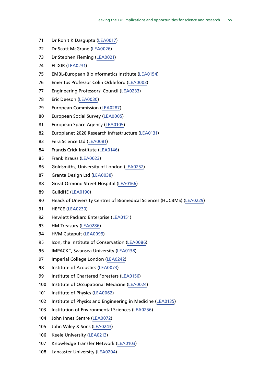- 71 Dr Rohit K Dasqupta ([LEA0017](http://data.parliament.uk/WrittenEvidence/CommitteeEvidence.svc/EvidenceDocument/Science%20and%20Technology/Leaving%20the%20EU%20Implications%20and%20opportunities%20for%20science%20and%20research/written/34845.html))
- Dr Scott McGrane [\(LEA0026\)](http://data.parliament.uk/WrittenEvidence/CommitteeEvidence.svc/EvidenceDocument/Science%20and%20Technology/Leaving%20the%20EU%20Implications%20and%20opportunities%20for%20science%20and%20research/written/34909.html)
- Dr Stephen Fleming ([LEA0021\)](http://data.parliament.uk/WrittenEvidence/CommitteeEvidence.svc/EvidenceDocument/Science%20and%20Technology/Leaving%20the%20EU%20Implications%20and%20opportunities%20for%20science%20and%20research/written/34870.html)
- ELIXIR ([LEA0231](http://data.parliament.uk/WrittenEvidence/CommitteeEvidence.svc/EvidenceDocument/Science%20and%20Technology/Leaving%20the%20EU%20Implications%20and%20opportunities%20for%20science%20and%20research/written/36028.html))
- EMBL-European Bioinformatics Institute ([LEA0154](http://data.parliament.uk/WrittenEvidence/CommitteeEvidence.svc/EvidenceDocument/Science%20and%20Technology/Leaving%20the%20EU%20Implications%20and%20opportunities%20for%20science%20and%20research/written/35595.html))
- Emeritus Professor Colin Ockleford ([LEA0003\)](http://data.parliament.uk/WrittenEvidence/CommitteeEvidence.svc/EvidenceDocument/Science%20and%20Technology/Leaving%20the%20EU%20Implications%20and%20opportunities%20for%20science%20and%20research/written/34729.html)
- Engineering Professors' Council [\(LEA0233](http://data.parliament.uk/WrittenEvidence/CommitteeEvidence.svc/EvidenceDocument/Science%20and%20Technology/Leaving%20the%20EU%20Implications%20and%20opportunities%20for%20science%20and%20research/written/36030.html))
- Eric Deeson ([LEA0030](http://data.parliament.uk/WrittenEvidence/CommitteeEvidence.svc/EvidenceDocument/Science%20and%20Technology/Leaving%20the%20EU%20Implications%20and%20opportunities%20for%20science%20and%20research/written/34928.html))
- European Commission [\(LEA0287](http://data.parliament.uk/WrittenEvidence/CommitteeEvidence.svc/EvidenceDocument/Science%20and%20Technology/Leaving%20the%20EU%20Implications%20and%20opportunities%20for%20science%20and%20research/written/41475.html))
- European Social Survey ([LEA0005\)](http://data.parliament.uk/WrittenEvidence/CommitteeEvidence.svc/EvidenceDocument/Science%20and%20Technology/Leaving%20the%20EU%20Implications%20and%20opportunities%20for%20science%20and%20research/written/34774.html)
- European Space Agency ([LEA0105\)](http://data.parliament.uk/WrittenEvidence/CommitteeEvidence.svc/EvidenceDocument/Science%20and%20Technology/Leaving%20the%20EU%20Implications%20and%20opportunities%20for%20science%20and%20research/written/35300.html)
- Europlanet 2020 Research Infrastructure ([LEA0131](http://data.parliament.uk/WrittenEvidence/CommitteeEvidence.svc/EvidenceDocument/Science%20and%20Technology/Leaving%20the%20EU%20Implications%20and%20opportunities%20for%20science%20and%20research/written/35446.html))
- Fera Science Ltd [\(LEA0081\)](http://data.parliament.uk/WrittenEvidence/CommitteeEvidence.svc/EvidenceDocument/Science%20and%20Technology/Leaving%20the%20EU%20Implications%20and%20opportunities%20for%20science%20and%20research/written/35155.html)
- 84 Francis Crick Institute ([LEA0146](http://data.parliament.uk/WrittenEvidence/CommitteeEvidence.svc/EvidenceDocument/Science%20and%20Technology/Leaving%20the%20EU%20Implications%20and%20opportunities%20for%20science%20and%20research/written/35568.html))
- Frank Krauss [\(LEA0023\)](http://data.parliament.uk/WrittenEvidence/CommitteeEvidence.svc/EvidenceDocument/Science%20and%20Technology/Leaving%20the%20EU%20Implications%20and%20opportunities%20for%20science%20and%20research/written/34874.html)
- 86 Goldsmiths, University of London [\(LEA0252](http://data.parliament.uk/WrittenEvidence/CommitteeEvidence.svc/EvidenceDocument/Science%20and%20Technology/Leaving%20the%20EU%20Implications%20and%20opportunities%20for%20science%20and%20research/written/36068.html))
- Granta Design Ltd [\(LEA0038\)](http://data.parliament.uk/WrittenEvidence/CommitteeEvidence.svc/EvidenceDocument/Science%20and%20Technology/Leaving%20the%20EU%20Implications%20and%20opportunities%20for%20science%20and%20research/written/34951.html)
- 88 Great Ormond Street Hospital ([LEA0166](http://data.parliament.uk/WrittenEvidence/CommitteeEvidence.svc/EvidenceDocument/Science%20and%20Technology/Leaving%20the%20EU%20Implications%20and%20opportunities%20for%20science%20and%20research/written/35699.html))
- GuildHE [\(LEA0190](http://data.parliament.uk/WrittenEvidence/CommitteeEvidence.svc/EvidenceDocument/Science%20and%20Technology/Leaving%20the%20EU%20Implications%20and%20opportunities%20for%20science%20and%20research/written/35899.html))
- Heads of University Centres of Biomedical Sciences (HUCBMS) [\(LEA0229](http://data.parliament.uk/WrittenEvidence/CommitteeEvidence.svc/EvidenceDocument/Science%20and%20Technology/Leaving%20the%20EU%20Implications%20and%20opportunities%20for%20science%20and%20research/written/36025.html))
- HEFCE [\(LEA0230](http://data.parliament.uk/WrittenEvidence/CommitteeEvidence.svc/EvidenceDocument/Science%20and%20Technology/Leaving%20the%20EU%20Implications%20and%20opportunities%20for%20science%20and%20research/written/36026.html))
- 92 Hewlett Packard Enterprise ([LEA0151](http://data.parliament.uk/WrittenEvidence/CommitteeEvidence.svc/EvidenceDocument/Science%20and%20Technology/Leaving%20the%20EU%20Implications%20and%20opportunities%20for%20science%20and%20research/written/35590.html))
- HM Treasury [\(LEA0286\)](http://data.parliament.uk/WrittenEvidence/CommitteeEvidence.svc/EvidenceDocument/Science%20and%20Technology/Leaving%20the%20EU%20Implications%20and%20opportunities%20for%20science%20and%20research/written/40743.html)
- HVM Catapult [\(LEA0099\)](http://data.parliament.uk/WrittenEvidence/CommitteeEvidence.svc/EvidenceDocument/Science%20and%20Technology/Leaving%20the%20EU%20Implications%20and%20opportunities%20for%20science%20and%20research/written/35262.html)
- 95 Icon, the Institute of Conservation ([LEA0086\)](http://data.parliament.uk/WrittenEvidence/CommitteeEvidence.svc/EvidenceDocument/Science%20and%20Technology/Leaving%20the%20EU%20Implications%20and%20opportunities%20for%20science%20and%20research/written/35183.html)
- 96 IMPACKT, Swansea University [\(LEA0138\)](http://data.parliament.uk/WrittenEvidence/CommitteeEvidence.svc/EvidenceDocument/Science%20and%20Technology/Leaving%20the%20EU%20Implications%20and%20opportunities%20for%20science%20and%20research/written/35476.html)
- Imperial College London ([LEA0242](http://data.parliament.uk/WrittenEvidence/CommitteeEvidence.svc/EvidenceDocument/Science%20and%20Technology/Leaving%20the%20EU%20Implications%20and%20opportunities%20for%20science%20and%20research/written/36054.html))
- Institute of Acoustics [\(LEA0073\)](http://data.parliament.uk/WrittenEvidence/CommitteeEvidence.svc/EvidenceDocument/Science%20and%20Technology/Leaving%20the%20EU%20Implications%20and%20opportunities%20for%20science%20and%20research/written/35111.html)
- 99 Institute of Chartered Foresters ([LEA0156](http://data.parliament.uk/WrittenEvidence/CommitteeEvidence.svc/EvidenceDocument/Science%20and%20Technology/Leaving%20the%20EU%20Implications%20and%20opportunities%20for%20science%20and%20research/written/35617.html))
- Institute of Occupational Medicine ([LEA0024](http://data.parliament.uk/WrittenEvidence/CommitteeEvidence.svc/EvidenceDocument/Science%20and%20Technology/Leaving%20the%20EU%20Implications%20and%20opportunities%20for%20science%20and%20research/written/34894.html))
- Institute of Physics [\(LEA0062\)](http://data.parliament.uk/WrittenEvidence/CommitteeEvidence.svc/EvidenceDocument/Science%20and%20Technology/Leaving%20the%20EU%20Implications%20and%20opportunities%20for%20science%20and%20research/written/35046.html)
- Institute of Physics and Engineering in Medicine ([LEA0135](http://data.parliament.uk/WrittenEvidence/CommitteeEvidence.svc/EvidenceDocument/Science%20and%20Technology/Leaving%20the%20EU%20Implications%20and%20opportunities%20for%20science%20and%20research/written/35458.html))
- Institution of Environmental Sciences [\(LEA0256](http://data.parliament.uk/WrittenEvidence/CommitteeEvidence.svc/EvidenceDocument/Science%20and%20Technology/Leaving%20the%20EU%20Implications%20and%20opportunities%20for%20science%20and%20research/written/36076.html))
- John Innes Centre [\(LEA0072](http://data.parliament.uk/WrittenEvidence/CommitteeEvidence.svc/EvidenceDocument/Science%20and%20Technology/Leaving%20the%20EU%20Implications%20and%20opportunities%20for%20science%20and%20research/written/35091.html))
- John Wiley & Sons ([LEA0243\)](http://data.parliament.uk/WrittenEvidence/CommitteeEvidence.svc/EvidenceDocument/Science%20and%20Technology/Leaving%20the%20EU%20Implications%20and%20opportunities%20for%20science%20and%20research/written/36055.html)
- Keele University [\(LEA0213](http://data.parliament.uk/WrittenEvidence/CommitteeEvidence.svc/EvidenceDocument/Science%20and%20Technology/Leaving%20the%20EU%20Implications%20and%20opportunities%20for%20science%20and%20research/written/35983.html))
- Knowledge Transfer Network ([LEA0103](http://data.parliament.uk/WrittenEvidence/CommitteeEvidence.svc/EvidenceDocument/Science%20and%20Technology/Leaving%20the%20EU%20Implications%20and%20opportunities%20for%20science%20and%20research/written/35284.html))
- Lancaster University ([LEA0204\)](http://data.parliament.uk/WrittenEvidence/CommitteeEvidence.svc/EvidenceDocument/Science%20and%20Technology/Leaving%20the%20EU%20Implications%20and%20opportunities%20for%20science%20and%20research/written/35960.html)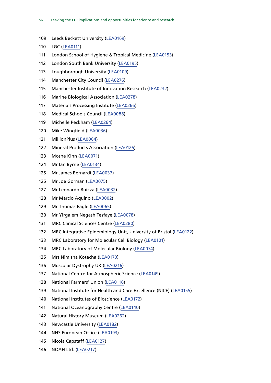- Leeds Beckett University ([LEA0169\)](http://data.parliament.uk/WrittenEvidence/CommitteeEvidence.svc/EvidenceDocument/Science%20and%20Technology/Leaving%20the%20EU%20Implications%20and%20opportunities%20for%20science%20and%20research/written/35754.html)
- LGC ([LEA0111](http://data.parliament.uk/WrittenEvidence/CommitteeEvidence.svc/EvidenceDocument/Science%20and%20Technology/Leaving%20the%20EU%20Implications%20and%20opportunities%20for%20science%20and%20research/written/35328.html))
- London School of Hygiene & Tropical Medicine [\(LEA0153](http://data.parliament.uk/WrittenEvidence/CommitteeEvidence.svc/EvidenceDocument/Science%20and%20Technology/Leaving%20the%20EU%20Implications%20and%20opportunities%20for%20science%20and%20research/written/35594.html))
- London South Bank University [\(LEA0195\)](http://data.parliament.uk/WrittenEvidence/CommitteeEvidence.svc/EvidenceDocument/Science%20and%20Technology/Leaving%20the%20EU%20Implications%20and%20opportunities%20for%20science%20and%20research/written/35924.html)
- Loughborough University [\(LEA0109](http://data.parliament.uk/WrittenEvidence/CommitteeEvidence.svc/EvidenceDocument/Science%20and%20Technology/Leaving%20the%20EU%20Implications%20and%20opportunities%20for%20science%20and%20research/written/35316.html))
- Manchester City Council ([LEA0276](http://data.parliament.uk/WrittenEvidence/CommitteeEvidence.svc/EvidenceDocument/Science%20and%20Technology/Leaving%20the%20EU%20Implications%20and%20opportunities%20for%20science%20and%20research/written/36468.html))
- Manchester Institute of Innovation Research ([LEA0232\)](http://data.parliament.uk/WrittenEvidence/CommitteeEvidence.svc/EvidenceDocument/Science%20and%20Technology/Leaving%20the%20EU%20Implications%20and%20opportunities%20for%20science%20and%20research/written/36029.html)
- Marine Biological Association [\(LEA0278](http://data.parliament.uk/WrittenEvidence/CommitteeEvidence.svc/EvidenceDocument/Science%20and%20Technology/Leaving%20the%20EU%20Implications%20and%20opportunities%20for%20science%20and%20research/written/36528.html))
- Materials Processing Institute [\(LEA0266\)](http://data.parliament.uk/WrittenEvidence/CommitteeEvidence.svc/EvidenceDocument/Science%20and%20Technology/Leaving%20the%20EU%20Implications%20and%20opportunities%20for%20science%20and%20research/written/36138.html)
- Medical Schools Council [\(LEA0088](http://data.parliament.uk/WrittenEvidence/CommitteeEvidence.svc/EvidenceDocument/Science%20and%20Technology/Leaving%20the%20EU%20Implications%20and%20opportunities%20for%20science%20and%20research/written/35195.html))
- Michelle Peckham ([LEA0264\)](http://data.parliament.uk/WrittenEvidence/CommitteeEvidence.svc/EvidenceDocument/Science%20and%20Technology/Leaving%20the%20EU%20Implications%20and%20opportunities%20for%20science%20and%20research/written/36125.html)
- Mike Wingfield ([LEA0036](http://data.parliament.uk/WrittenEvidence/CommitteeEvidence.svc/EvidenceDocument/Science%20and%20Technology/Leaving%20the%20EU%20Implications%20and%20opportunities%20for%20science%20and%20research/written/34940.html))
- MillionPlus ([LEA0064](http://data.parliament.uk/WrittenEvidence/CommitteeEvidence.svc/EvidenceDocument/Science%20and%20Technology/Leaving%20the%20EU%20Implications%20and%20opportunities%20for%20science%20and%20research/written/35049.html))
- Mineral Products Association [\(LEA0126\)](http://data.parliament.uk/WrittenEvidence/CommitteeEvidence.svc/EvidenceDocument/Science%20and%20Technology/Leaving%20the%20EU%20Implications%20and%20opportunities%20for%20science%20and%20research/written/35412.html)
- Moshe Kinn [\(LEA0071\)](http://data.parliament.uk/WrittenEvidence/CommitteeEvidence.svc/EvidenceDocument/Science%20and%20Technology/Leaving%20the%20EU%20Implications%20and%20opportunities%20for%20science%20and%20research/written/35087.html)
- Mr Ian Byrne ([LEA0134](http://data.parliament.uk/WrittenEvidence/CommitteeEvidence.svc/EvidenceDocument/Science%20and%20Technology/Leaving%20the%20EU%20Implications%20and%20opportunities%20for%20science%20and%20research/written/35455.html))
- Mr James Bernardi ([LEA0037\)](http://data.parliament.uk/WrittenEvidence/CommitteeEvidence.svc/EvidenceDocument/Science%20and%20Technology/Leaving%20the%20EU%20Implications%20and%20opportunities%20for%20science%20and%20research/written/34945.html)
- Mr Joe Gorman [\(LEA0075](http://data.parliament.uk/WrittenEvidence/CommitteeEvidence.svc/EvidenceDocument/Science%20and%20Technology/Leaving%20the%20EU%20Implications%20and%20opportunities%20for%20science%20and%20research/written/35113.html))
- Mr Leonardo Buizza ([LEA0032\)](http://data.parliament.uk/WrittenEvidence/CommitteeEvidence.svc/EvidenceDocument/Science%20and%20Technology/Leaving%20the%20EU%20Implications%20and%20opportunities%20for%20science%20and%20research/written/34930.html)
- Mr Marcio Aquino [\(LEA0002\)](http://data.parliament.uk/WrittenEvidence/CommitteeEvidence.svc/EvidenceDocument/Science%20and%20Technology/Leaving%20the%20EU%20Implications%20and%20opportunities%20for%20science%20and%20research/written/34723.html)
- Mr Thomas Eagle [\(LEA0065](http://data.parliament.uk/WrittenEvidence/CommitteeEvidence.svc/EvidenceDocument/Science%20and%20Technology/Leaving%20the%20EU%20Implications%20and%20opportunities%20for%20science%20and%20research/written/35055.html))
- Mr Yirgalem Negash Tesfaye ([LEA0078](http://data.parliament.uk/WrittenEvidence/CommitteeEvidence.svc/EvidenceDocument/Science%20and%20Technology/Leaving%20the%20EU%20Implications%20and%20opportunities%20for%20science%20and%20research/written/35132.html))
- MRC Clinical Sciences Centre [\(LEA0280](http://data.parliament.uk/WrittenEvidence/CommitteeEvidence.svc/EvidenceDocument/Science%20and%20Technology/Leaving%20the%20EU%20Implications%20and%20opportunities%20for%20science%20and%20research/written/37008.html))
- MRC Integrative Epidemiology Unit, University of Bristol [\(LEA0122\)](http://data.parliament.uk/WrittenEvidence/CommitteeEvidence.svc/EvidenceDocument/Science%20and%20Technology/Leaving%20the%20EU%20Implications%20and%20opportunities%20for%20science%20and%20research/written/35395.html)
- MRC Laboratory for Molecular Cell Biology [\(LEA0101\)](http://data.parliament.uk/WrittenEvidence/CommitteeEvidence.svc/EvidenceDocument/Science%20and%20Technology/Leaving%20the%20EU%20Implications%20and%20opportunities%20for%20science%20and%20research/written/35274.html)
- MRC Laboratory of Molecular Biology [\(LEA0074\)](http://data.parliament.uk/WrittenEvidence/CommitteeEvidence.svc/EvidenceDocument/Science%20and%20Technology/Leaving%20the%20EU%20Implications%20and%20opportunities%20for%20science%20and%20research/written/35112.html)
- Mrs Nimisha Kotecha [\(LEA0170](http://data.parliament.uk/WrittenEvidence/CommitteeEvidence.svc/EvidenceDocument/Science%20and%20Technology/Leaving%20the%20EU%20Implications%20and%20opportunities%20for%20science%20and%20research/written/35764.html))
- Muscular Dystrophy UK [\(LEA0216\)](http://data.parliament.uk/WrittenEvidence/CommitteeEvidence.svc/EvidenceDocument/Science%20and%20Technology/Leaving%20the%20EU%20Implications%20and%20opportunities%20for%20science%20and%20research/written/35992.html)
- National Centre for Atmospheric Science [\(LEA0149](http://data.parliament.uk/WrittenEvidence/CommitteeEvidence.svc/EvidenceDocument/Science%20and%20Technology/Leaving%20the%20EU%20Implications%20and%20opportunities%20for%20science%20and%20research/written/35573.html))
- National Farmers' Union [\(LEA0116\)](http://data.parliament.uk/WrittenEvidence/CommitteeEvidence.svc/EvidenceDocument/Science%20and%20Technology/Leaving%20the%20EU%20Implications%20and%20opportunities%20for%20science%20and%20research/written/35365.html)
- National Institute for Health and Care Excellence (NICE) [\(LEA0155](http://data.parliament.uk/WrittenEvidence/CommitteeEvidence.svc/EvidenceDocument/Science%20and%20Technology/Leaving%20the%20EU%20Implications%20and%20opportunities%20for%20science%20and%20research/written/35601.html))
- National Institutes of Bioscience [\(LEA0172](http://data.parliament.uk/WrittenEvidence/CommitteeEvidence.svc/EvidenceDocument/Science%20and%20Technology/Leaving%20the%20EU%20Implications%20and%20opportunities%20for%20science%20and%20research/written/35778.html))
- National Oceanography Centre ([LEA0140\)](http://data.parliament.uk/WrittenEvidence/CommitteeEvidence.svc/EvidenceDocument/Science%20and%20Technology/Leaving%20the%20EU%20Implications%20and%20opportunities%20for%20science%20and%20research/written/35518.html)
- Natural History Museum ([LEA0262\)](http://data.parliament.uk/WrittenEvidence/CommitteeEvidence.svc/EvidenceDocument/Science%20and%20Technology/Leaving%20the%20EU%20Implications%20and%20opportunities%20for%20science%20and%20research/written/36106.html)
- Newcastle University ([LEA0182](http://data.parliament.uk/WrittenEvidence/CommitteeEvidence.svc/EvidenceDocument/Science%20and%20Technology/Leaving%20the%20EU%20Implications%20and%20opportunities%20for%20science%20and%20research/written/35845.html))
- NHS European Office ([LEA0193\)](http://data.parliament.uk/WrittenEvidence/CommitteeEvidence.svc/EvidenceDocument/Science%20and%20Technology/Leaving%20the%20EU%20Implications%20and%20opportunities%20for%20science%20and%20research/written/35905.html)
- Nicola Capstaff ([LEA0127](http://data.parliament.uk/WrittenEvidence/CommitteeEvidence.svc/EvidenceDocument/Science%20and%20Technology/Leaving%20the%20EU%20Implications%20and%20opportunities%20for%20science%20and%20research/written/35413.html))
- NOAH Ltd. [\(LEA0217\)](http://data.parliament.uk/WrittenEvidence/CommitteeEvidence.svc/EvidenceDocument/Science%20and%20Technology/Leaving%20the%20EU%20Implications%20and%20opportunities%20for%20science%20and%20research/written/35998.html)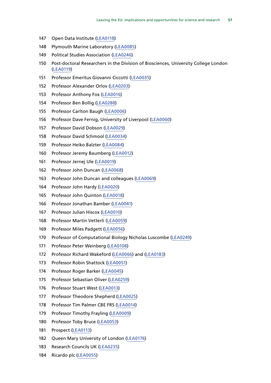- Open Data Institute [\(LEA0118](http://data.parliament.uk/WrittenEvidence/CommitteeEvidence.svc/EvidenceDocument/Science%20and%20Technology/Leaving%20the%20EU%20Implications%20and%20opportunities%20for%20science%20and%20research/written/35373.html))
- Plymouth Marine Laboratory ([LEA0085\)](http://data.parliament.uk/WrittenEvidence/CommitteeEvidence.svc/EvidenceDocument/Science%20and%20Technology/Leaving%20the%20EU%20Implications%20and%20opportunities%20for%20science%20and%20research/written/35174.html)
- Political Studies Association [\(LEA0246\)](http://data.parliament.uk/WrittenEvidence/CommitteeEvidence.svc/EvidenceDocument/Science%20and%20Technology/Leaving%20the%20EU%20Implications%20and%20opportunities%20for%20science%20and%20research/written/36058.html)
- Post-doctoral Researchers in the Division of Biosciences, University College London ([LEA0119](http://data.parliament.uk/WrittenEvidence/CommitteeEvidence.svc/EvidenceDocument/Science%20and%20Technology/Leaving%20the%20EU%20Implications%20and%20opportunities%20for%20science%20and%20research/written/35387.html))
- Professor Emeritus Giovanni Ciccotti ([LEA0035](http://data.parliament.uk/WrittenEvidence/CommitteeEvidence.svc/EvidenceDocument/Science%20and%20Technology/Leaving%20the%20EU%20Implications%20and%20opportunities%20for%20science%20and%20research/written/34936.html))
- Professor Alexander Orlov [\(LEA0203\)](http://data.parliament.uk/WrittenEvidence/CommitteeEvidence.svc/EvidenceDocument/Science%20and%20Technology/Leaving%20the%20EU%20Implications%20and%20opportunities%20for%20science%20and%20research/written/35959.html)
- Professor Anthony Fox [\(LEA0016\)](http://data.parliament.uk/WrittenEvidence/CommitteeEvidence.svc/EvidenceDocument/Science%20and%20Technology/Leaving%20the%20EU%20Implications%20and%20opportunities%20for%20science%20and%20research/written/34844.html)
- Professor Ben Bollig ([LEA0288\)](http://data.parliament.uk/WrittenEvidence/CommitteeEvidence.svc/EvidenceDocument/Science%20and%20Technology/Leaving%20the%20EU%20Implications%20and%20opportunities%20for%20science%20and%20research/written/41711.html)
- Professor Carlton Baugh ([LEA0006\)](http://data.parliament.uk/WrittenEvidence/CommitteeEvidence.svc/EvidenceDocument/Science%20and%20Technology/Leaving%20the%20EU%20Implications%20and%20opportunities%20for%20science%20and%20research/written/34779.html)
- Professor Dave Fernig, University of Liverpool ([LEA0060](http://data.parliament.uk/WrittenEvidence/CommitteeEvidence.svc/EvidenceDocument/Science%20and%20Technology/Leaving%20the%20EU%20Implications%20and%20opportunities%20for%20science%20and%20research/written/35037.html))
- Professor David Dobson ([LEA0029](http://data.parliament.uk/WrittenEvidence/CommitteeEvidence.svc/EvidenceDocument/Science%20and%20Technology/Leaving%20the%20EU%20Implications%20and%20opportunities%20for%20science%20and%20research/written/34927.html))
- Professor David Schmool ([LEA0034](http://data.parliament.uk/WrittenEvidence/CommitteeEvidence.svc/EvidenceDocument/Science%20and%20Technology/Leaving%20the%20EU%20Implications%20and%20opportunities%20for%20science%20and%20research/written/34933.html))
- Professor Heiko Balzter [\(LEA0084](http://data.parliament.uk/WrittenEvidence/CommitteeEvidence.svc/EvidenceDocument/Science%20and%20Technology/Leaving%20the%20EU%20Implications%20and%20opportunities%20for%20science%20and%20research/written/35164.html))
- Professor Jeremy Baumberg ([LEA0012](http://data.parliament.uk/WrittenEvidence/CommitteeEvidence.svc/EvidenceDocument/Science%20and%20Technology/Leaving%20the%20EU%20Implications%20and%20opportunities%20for%20science%20and%20research/written/34825.html))
- Professor Jernej Ule ([LEA0019\)](http://data.parliament.uk/WrittenEvidence/CommitteeEvidence.svc/EvidenceDocument/Science%20and%20Technology/Leaving%20the%20EU%20Implications%20and%20opportunities%20for%20science%20and%20research/written/34851.html)
- Professor John Duncan [\(LEA0068](http://data.parliament.uk/WrittenEvidence/CommitteeEvidence.svc/EvidenceDocument/Science%20and%20Technology/Leaving%20the%20EU%20Implications%20and%20opportunities%20for%20science%20and%20research/written/35061.html))
- Professor John Duncan and colleagues ([LEA0069\)](http://data.parliament.uk/WrittenEvidence/CommitteeEvidence.svc/EvidenceDocument/Science%20and%20Technology/Leaving%20the%20EU%20Implications%20and%20opportunities%20for%20science%20and%20research/written/35065.html)
- Professor John Hardy ([LEA0020\)](http://data.parliament.uk/WrittenEvidence/CommitteeEvidence.svc/EvidenceDocument/Science%20and%20Technology/Leaving%20the%20EU%20Implications%20and%20opportunities%20for%20science%20and%20research/written/34857.html)
- Professor John Quinton ([LEA0018](http://data.parliament.uk/WrittenEvidence/CommitteeEvidence.svc/EvidenceDocument/Science%20and%20Technology/Leaving%20the%20EU%20Implications%20and%20opportunities%20for%20science%20and%20research/written/34849.html))
- Professor Jonathan Bamber [\(LEA0041\)](http://data.parliament.uk/WrittenEvidence/CommitteeEvidence.svc/EvidenceDocument/Science%20and%20Technology/Leaving%20the%20EU%20Implications%20and%20opportunities%20for%20science%20and%20research/written/34961.html)
- Professor Julian Hiscox ([LEA0010\)](http://data.parliament.uk/WrittenEvidence/CommitteeEvidence.svc/EvidenceDocument/Science%20and%20Technology/Leaving%20the%20EU%20Implications%20and%20opportunities%20for%20science%20and%20research/written/34822.html)
- Professor Martin Vetterli [\(LEA0059\)](http://data.parliament.uk/WrittenEvidence/CommitteeEvidence.svc/EvidenceDocument/Science%20and%20Technology/Leaving%20the%20EU%20Implications%20and%20opportunities%20for%20science%20and%20research/written/35036.html)
- Professor Miles Padgett [\(LEA0056\)](http://data.parliament.uk/WrittenEvidence/CommitteeEvidence.svc/EvidenceDocument/Science%20and%20Technology/Leaving%20the%20EU%20Implications%20and%20opportunities%20for%20science%20and%20research/written/35013.html)
- Professor of Computational Biology Nicholas Luscombe ([LEA0249\)](http://data.parliament.uk/WrittenEvidence/CommitteeEvidence.svc/EvidenceDocument/Science%20and%20Technology/Leaving%20the%20EU%20Implications%20and%20opportunities%20for%20science%20and%20research/written/36061.html)
- Professor Peter Weinberg [\(LEA0108\)](http://data.parliament.uk/WrittenEvidence/CommitteeEvidence.svc/EvidenceDocument/Science%20and%20Technology/Leaving%20the%20EU%20Implications%20and%20opportunities%20for%20science%20and%20research/written/35314.html)
- Professor Richard Wakeford [\(LEA0066](http://data.parliament.uk/WrittenEvidence/CommitteeEvidence.svc/EvidenceDocument/Science%20and%20Technology/Leaving%20the%20EU%20Implications%20and%20opportunities%20for%20science%20and%20research/written/35056.html)) and [\(LEA0183\)](http://data.parliament.uk/WrittenEvidence/CommitteeEvidence.svc/EvidenceDocument/Science%20and%20Technology/Leaving%20the%20EU%20Implications%20and%20opportunities%20for%20science%20and%20research/written/35856.html)
- Professor Robin Shattock [\(LEA0051](http://data.parliament.uk/WrittenEvidence/CommitteeEvidence.svc/EvidenceDocument/Science%20and%20Technology/Leaving%20the%20EU%20Implications%20and%20opportunities%20for%20science%20and%20research/written/35000.html))
- Professor Roger Barker ([LEA0045](http://data.parliament.uk/WrittenEvidence/CommitteeEvidence.svc/EvidenceDocument/Science%20and%20Technology/Leaving%20the%20EU%20Implications%20and%20opportunities%20for%20science%20and%20research/written/34973.html))
- Professor Sebastian Oliver ([LEA0259\)](http://data.parliament.uk/WrittenEvidence/CommitteeEvidence.svc/EvidenceDocument/Science%20and%20Technology/Leaving%20the%20EU%20Implications%20and%20opportunities%20for%20science%20and%20research/written/36089.html)
- Professor Stuart West [\(LEA0013\)](http://data.parliament.uk/WrittenEvidence/CommitteeEvidence.svc/EvidenceDocument/Science%20and%20Technology/Leaving%20the%20EU%20Implications%20and%20opportunities%20for%20science%20and%20research/written/34829.html)
- Professor Theodore Shepherd ([LEA0025\)](http://data.parliament.uk/WrittenEvidence/CommitteeEvidence.svc/EvidenceDocument/Science%20and%20Technology/Leaving%20the%20EU%20Implications%20and%20opportunities%20for%20science%20and%20research/written/34897.html)
- Professor Tim Palmer CBE FRS [\(LEA0014](http://data.parliament.uk/WrittenEvidence/CommitteeEvidence.svc/EvidenceDocument/Science%20and%20Technology/Leaving%20the%20EU%20Implications%20and%20opportunities%20for%20science%20and%20research/written/34841.html))
- Professor Timothy Frayling ([LEA0009](http://data.parliament.uk/WrittenEvidence/CommitteeEvidence.svc/EvidenceDocument/Science%20and%20Technology/Leaving%20the%20EU%20Implications%20and%20opportunities%20for%20science%20and%20research/written/34820.html))
- Professor Toby Bruce ([LEA0053\)](http://data.parliament.uk/WrittenEvidence/CommitteeEvidence.svc/EvidenceDocument/Science%20and%20Technology/Leaving%20the%20EU%20Implications%20and%20opportunities%20for%20science%20and%20research/written/35007.html)
- Prospect ([LEA0113](http://data.parliament.uk/WrittenEvidence/CommitteeEvidence.svc/EvidenceDocument/Science%20and%20Technology/Leaving%20the%20EU%20Implications%20and%20opportunities%20for%20science%20and%20research/written/35341.html))
- Queen Mary University of London ([LEA0176](http://data.parliament.uk/WrittenEvidence/CommitteeEvidence.svc/EvidenceDocument/Science%20and%20Technology/Leaving%20the%20EU%20Implications%20and%20opportunities%20for%20science%20and%20research/written/35803.html))
- Research Councils UK ([LEA0235\)](http://data.parliament.uk/WrittenEvidence/CommitteeEvidence.svc/EvidenceDocument/Science%20and%20Technology/Leaving%20the%20EU%20Implications%20and%20opportunities%20for%20science%20and%20research/written/36037.html)
- Ricardo plc ([LEA0055](http://data.parliament.uk/WrittenEvidence/CommitteeEvidence.svc/EvidenceDocument/Science%20and%20Technology/Leaving%20the%20EU%20Implications%20and%20opportunities%20for%20science%20and%20research/written/35012.html))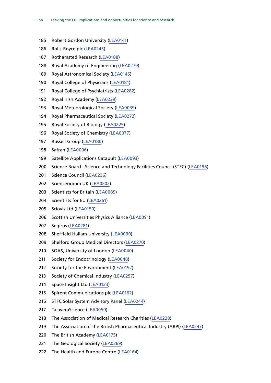- Robert Gordon University ([LEA0141](http://data.parliament.uk/WrittenEvidence/CommitteeEvidence.svc/EvidenceDocument/Science%20and%20Technology/Leaving%20the%20EU%20Implications%20and%20opportunities%20for%20science%20and%20research/written/35519.html))
- Rolls-Royce plc [\(LEA0245](http://data.parliament.uk/WrittenEvidence/CommitteeEvidence.svc/EvidenceDocument/Science%20and%20Technology/Leaving%20the%20EU%20Implications%20and%20opportunities%20for%20science%20and%20research/written/36057.html))
- Rothamsted Research [\(LEA0188](http://data.parliament.uk/WrittenEvidence/CommitteeEvidence.svc/EvidenceDocument/Science%20and%20Technology/Leaving%20the%20EU%20Implications%20and%20opportunities%20for%20science%20and%20research/written/35890.html))
- Royal Academy of Engineering [\(LEA0279\)](http://data.parliament.uk/WrittenEvidence/CommitteeEvidence.svc/EvidenceDocument/Science%20and%20Technology/Leaving%20the%20EU%20Implications%20and%20opportunities%20for%20science%20and%20research/written/36717.html)
- Royal Astronomical Society [\(LEA0145\)](http://data.parliament.uk/WrittenEvidence/CommitteeEvidence.svc/EvidenceDocument/Science%20and%20Technology/Leaving%20the%20EU%20Implications%20and%20opportunities%20for%20science%20and%20research/written/35564.html)
- Royal College of Physicians ([LEA0181](http://data.parliament.uk/WrittenEvidence/CommitteeEvidence.svc/EvidenceDocument/Science%20and%20Technology/Leaving%20the%20EU%20Implications%20and%20opportunities%20for%20science%20and%20research/written/35843.html))
- Royal College of Psychiatrists ([LEA0282\)](http://data.parliament.uk/WrittenEvidence/CommitteeEvidence.svc/EvidenceDocument/Science%20and%20Technology/Leaving%20the%20EU%20Implications%20and%20opportunities%20for%20science%20and%20research/written/37694.html)
- Royal Irish Academy [\(LEA0239](http://data.parliament.uk/WrittenEvidence/CommitteeEvidence.svc/EvidenceDocument/Science%20and%20Technology/Leaving%20the%20EU%20Implications%20and%20opportunities%20for%20science%20and%20research/written/36043.html))
- Royal Meteorological Society [\(LEA0039\)](http://data.parliament.uk/WrittenEvidence/CommitteeEvidence.svc/EvidenceDocument/Science%20and%20Technology/Leaving%20the%20EU%20Implications%20and%20opportunities%20for%20science%20and%20research/written/34953.html)
- Royal Pharmaceutical Society [\(LEA0272\)](http://data.parliament.uk/WrittenEvidence/CommitteeEvidence.svc/EvidenceDocument/Science%20and%20Technology/Leaving%20the%20EU%20Implications%20and%20opportunities%20for%20science%20and%20research/written/36219.html)
- Royal Society of Biology ([LEA0225\)](http://data.parliament.uk/WrittenEvidence/CommitteeEvidence.svc/EvidenceDocument/Science%20and%20Technology/Leaving%20the%20EU%20Implications%20and%20opportunities%20for%20science%20and%20research/written/36017.html)
- Royal Society of Chemistry [\(LEA0077\)](http://data.parliament.uk/WrittenEvidence/CommitteeEvidence.svc/EvidenceDocument/Science%20and%20Technology/Leaving%20the%20EU%20Implications%20and%20opportunities%20for%20science%20and%20research/written/35126.html)
- Russell Group [\(LEA0180\)](http://data.parliament.uk/WrittenEvidence/CommitteeEvidence.svc/EvidenceDocument/Science%20and%20Technology/Leaving%20the%20EU%20Implications%20and%20opportunities%20for%20science%20and%20research/written/35837.html)
- Safran [\(LEA0096](http://data.parliament.uk/WrittenEvidence/CommitteeEvidence.svc/EvidenceDocument/Science%20and%20Technology/Leaving%20the%20EU%20Implications%20and%20opportunities%20for%20science%20and%20research/written/35223.html))
- Satellite Applications Catapult [\(LEA0093\)](http://data.parliament.uk/WrittenEvidence/CommitteeEvidence.svc/EvidenceDocument/Science%20and%20Technology/Leaving%20the%20EU%20Implications%20and%20opportunities%20for%20science%20and%20research/written/35213.html)
- Science Board Science and Technology Facilities Council (STFC) [\(LEA0196\)](http://data.parliament.uk/WrittenEvidence/CommitteeEvidence.svc/EvidenceDocument/Science%20and%20Technology/Leaving%20the%20EU%20Implications%20and%20opportunities%20for%20science%20and%20research/written/35939.html)
- Science Council ([LEA0236](http://data.parliament.uk/WrittenEvidence/CommitteeEvidence.svc/EvidenceDocument/Science%20and%20Technology/Leaving%20the%20EU%20Implications%20and%20opportunities%20for%20science%20and%20research/written/36038.html))
- Scienceogram UK [\(LEA0202\)](http://data.parliament.uk/WrittenEvidence/CommitteeEvidence.svc/EvidenceDocument/Science%20and%20Technology/Leaving%20the%20EU%20Implications%20and%20opportunities%20for%20science%20and%20research/written/35958.html)
- Scientists for Britain ([LEA0089\)](http://data.parliament.uk/WrittenEvidence/CommitteeEvidence.svc/EvidenceDocument/Science%20and%20Technology/Leaving%20the%20EU%20Implications%20and%20opportunities%20for%20science%20and%20research/written/35197.html)
- Scientists for EU [\(LEA0261](http://data.parliament.uk/WrittenEvidence/CommitteeEvidence.svc/EvidenceDocument/Science%20and%20Technology/Leaving%20the%20EU%20Implications%20and%20opportunities%20for%20science%20and%20research/written/36104.html))
- Sciovis Ltd [\(LEA0150\)](http://data.parliament.uk/WrittenEvidence/CommitteeEvidence.svc/EvidenceDocument/Science%20and%20Technology/Leaving%20the%20EU%20Implications%20and%20opportunities%20for%20science%20and%20research/written/35581.html)
- Scottish Universities Physics Alliance [\(LEA0091](http://data.parliament.uk/WrittenEvidence/CommitteeEvidence.svc/EvidenceDocument/Science%20and%20Technology/Leaving%20the%20EU%20Implications%20and%20opportunities%20for%20science%20and%20research/written/35207.html))
- Seqirus [\(LEA0281\)](http://data.parliament.uk/WrittenEvidence/CommitteeEvidence.svc/EvidenceDocument/Science%20and%20Technology/Leaving%20the%20EU%20Implications%20and%20opportunities%20for%20science%20and%20research/written/37376.html)
- Sheffield Hallam University ([LEA0090\)](http://data.parliament.uk/WrittenEvidence/CommitteeEvidence.svc/EvidenceDocument/Science%20and%20Technology/Leaving%20the%20EU%20Implications%20and%20opportunities%20for%20science%20and%20research/written/35204.html)
- Shelford Group Medical Directors [\(LEA0270](http://data.parliament.uk/WrittenEvidence/CommitteeEvidence.svc/EvidenceDocument/Science%20and%20Technology/Leaving%20the%20EU%20Implications%20and%20opportunities%20for%20science%20and%20research/written/36191.html))
- SOAS, University of London [\(LEA0040](http://data.parliament.uk/WrittenEvidence/CommitteeEvidence.svc/EvidenceDocument/Science%20and%20Technology/Leaving%20the%20EU%20Implications%20and%20opportunities%20for%20science%20and%20research/written/34960.html))
- Society for Endocrinology ([LEA0048\)](http://data.parliament.uk/WrittenEvidence/CommitteeEvidence.svc/EvidenceDocument/Science%20and%20Technology/Leaving%20the%20EU%20Implications%20and%20opportunities%20for%20science%20and%20research/written/34981.html)
- Society for the Environment ([LEA0192\)](http://data.parliament.uk/WrittenEvidence/CommitteeEvidence.svc/EvidenceDocument/Science%20and%20Technology/Leaving%20the%20EU%20Implications%20and%20opportunities%20for%20science%20and%20research/written/35904.html)
- 213 Society of Chemical Industry [\(LEA0257](http://data.parliament.uk/WrittenEvidence/CommitteeEvidence.svc/EvidenceDocument/Science%20and%20Technology/Leaving%20the%20EU%20Implications%20and%20opportunities%20for%20science%20and%20research/written/36081.html))
- Space Insight Ltd ([LEA0123\)](http://data.parliament.uk/WrittenEvidence/CommitteeEvidence.svc/EvidenceDocument/Science%20and%20Technology/Leaving%20the%20EU%20Implications%20and%20opportunities%20for%20science%20and%20research/written/35396.html)
- Spirent Communications plc [\(LEA0162\)](http://data.parliament.uk/WrittenEvidence/CommitteeEvidence.svc/EvidenceDocument/Science%20and%20Technology/Leaving%20the%20EU%20Implications%20and%20opportunities%20for%20science%20and%20research/written/35673.html)
- STFC Solar System Advisory Panel ([LEA0244](http://data.parliament.uk/WrittenEvidence/CommitteeEvidence.svc/EvidenceDocument/Science%20and%20Technology/Leaving%20the%20EU%20Implications%20and%20opportunities%20for%20science%20and%20research/written/36056.html))
- TalaveraScience [\(LEA0050\)](http://data.parliament.uk/WrittenEvidence/CommitteeEvidence.svc/EvidenceDocument/Science%20and%20Technology/Leaving%20the%20EU%20Implications%20and%20opportunities%20for%20science%20and%20research/written/34992.html)
- The Association of Medical Research Charities [\(LEA0228](http://data.parliament.uk/WrittenEvidence/CommitteeEvidence.svc/EvidenceDocument/Science%20and%20Technology/Leaving%20the%20EU%20Implications%20and%20opportunities%20for%20science%20and%20research/written/36023.html))
- The Association of the British Pharmaceutical Industry (ABPI) [\(LEA0247](http://data.parliament.uk/WrittenEvidence/CommitteeEvidence.svc/EvidenceDocument/Science%20and%20Technology/Leaving%20the%20EU%20Implications%20and%20opportunities%20for%20science%20and%20research/written/36059.html))
- The British Academy [\(LEA0175](http://data.parliament.uk/WrittenEvidence/CommitteeEvidence.svc/EvidenceDocument/Science%20and%20Technology/Leaving%20the%20EU%20Implications%20and%20opportunities%20for%20science%20and%20research/written/35802.html))
- The Geological Society ([LEA0269\)](http://data.parliament.uk/WrittenEvidence/CommitteeEvidence.svc/EvidenceDocument/Science%20and%20Technology/Leaving%20the%20EU%20Implications%20and%20opportunities%20for%20science%20and%20research/written/36160.html)
- 222 The Health and Europe Centre ([LEA0164](http://data.parliament.uk/WrittenEvidence/CommitteeEvidence.svc/EvidenceDocument/Science%20and%20Technology/Leaving%20the%20EU%20Implications%20and%20opportunities%20for%20science%20and%20research/written/35676.html))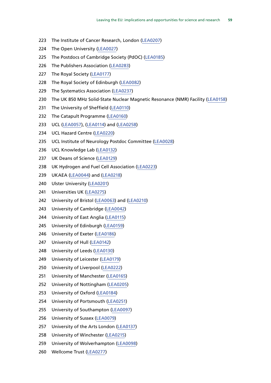- The Institute of Cancer Research, London [\(LEA0207](http://data.parliament.uk/WrittenEvidence/CommitteeEvidence.svc/EvidenceDocument/Science%20and%20Technology/Leaving%20the%20EU%20Implications%20and%20opportunities%20for%20science%20and%20research/written/35970.html))
- The Open University [\(LEA0027](http://data.parliament.uk/WrittenEvidence/CommitteeEvidence.svc/EvidenceDocument/Science%20and%20Technology/Leaving%20the%20EU%20Implications%20and%20opportunities%20for%20science%20and%20research/written/34915.html))
- The Postdocs of Cambridge Society (PdOC) [\(LEA0185\)](http://data.parliament.uk/WrittenEvidence/CommitteeEvidence.svc/EvidenceDocument/Science%20and%20Technology/Leaving%20the%20EU%20Implications%20and%20opportunities%20for%20science%20and%20research/written/35873.html)
- The Publishers Association [\(LEA0283](http://data.parliament.uk/WrittenEvidence/CommitteeEvidence.svc/EvidenceDocument/Science%20and%20Technology/Leaving%20the%20EU%20Implications%20and%20opportunities%20for%20science%20and%20research/written/38328.html))
- 227 The Royal Society [\(LEA0177\)](http://data.parliament.uk/WrittenEvidence/CommitteeEvidence.svc/EvidenceDocument/Science%20and%20Technology/Leaving%20the%20EU%20Implications%20and%20opportunities%20for%20science%20and%20research/written/35804.html)
- The Royal Society of Edinburgh [\(LEA0082](http://data.parliament.uk/WrittenEvidence/CommitteeEvidence.svc/EvidenceDocument/Science%20and%20Technology/Leaving%20the%20EU%20Implications%20and%20opportunities%20for%20science%20and%20research/written/35158.html))
- The Systematics Association [\(LEA0237](http://data.parliament.uk/WrittenEvidence/CommitteeEvidence.svc/EvidenceDocument/Science%20and%20Technology/Leaving%20the%20EU%20Implications%20and%20opportunities%20for%20science%20and%20research/written/36041.html))
- 230 The UK 850 MHz Solid-State Nuclear Magnetic Resonance (NMR) Facility [\(LEA0158\)](http://data.parliament.uk/WrittenEvidence/CommitteeEvidence.svc/EvidenceDocument/Science%20and%20Technology/Leaving%20the%20EU%20Implications%20and%20opportunities%20for%20science%20and%20research/written/35641.html)
- 231 The University of Sheffield [\(LEA0110\)](http://data.parliament.uk/WrittenEvidence/CommitteeEvidence.svc/EvidenceDocument/Science%20and%20Technology/Leaving%20the%20EU%20Implications%20and%20opportunities%20for%20science%20and%20research/written/35327.html)
- The Catapult Programme [\(LEA0160](http://data.parliament.uk/WrittenEvidence/CommitteeEvidence.svc/EvidenceDocument/Science%20and%20Technology/Leaving%20the%20EU%20Implications%20and%20opportunities%20for%20science%20and%20research/written/35659.html))
- UCL ([LEA0057\)](http://data.parliament.uk/WrittenEvidence/CommitteeEvidence.svc/EvidenceDocument/Science%20and%20Technology/Leaving%20the%20EU%20Implications%20and%20opportunities%20for%20science%20and%20research/written/35014.html), ([LEA0114](http://data.parliament.uk/WrittenEvidence/CommitteeEvidence.svc/EvidenceDocument/Science%20and%20Technology/Leaving%20the%20EU%20Implications%20and%20opportunities%20for%20science%20and%20research/written/35355.html)) and [\(LEA0258](http://data.parliament.uk/WrittenEvidence/CommitteeEvidence.svc/EvidenceDocument/Science%20and%20Technology/Leaving%20the%20EU%20Implications%20and%20opportunities%20for%20science%20and%20research/written/36083.html))
- UCL Hazard Centre [\(LEA0220](http://data.parliament.uk/WrittenEvidence/CommitteeEvidence.svc/EvidenceDocument/Science%20and%20Technology/Leaving%20the%20EU%20Implications%20and%20opportunities%20for%20science%20and%20research/written/36009.html))
- UCL Institute of Neurology Postdoc Committee [\(LEA0028](http://data.parliament.uk/WrittenEvidence/CommitteeEvidence.svc/EvidenceDocument/Science%20and%20Technology/Leaving%20the%20EU%20Implications%20and%20opportunities%20for%20science%20and%20research/written/34917.html))
- UCL Knowledge Lab [\(LEA0132](http://data.parliament.uk/WrittenEvidence/CommitteeEvidence.svc/EvidenceDocument/Science%20and%20Technology/Leaving%20the%20EU%20Implications%20and%20opportunities%20for%20science%20and%20research/written/35449.html))
- UK Deans of Science [\(LEA0129\)](http://data.parliament.uk/WrittenEvidence/CommitteeEvidence.svc/EvidenceDocument/Science%20and%20Technology/Leaving%20the%20EU%20Implications%20and%20opportunities%20for%20science%20and%20research/written/35417.html)
- UK Hydrogen and Fuel Cell Association ([LEA0223\)](http://data.parliament.uk/WrittenEvidence/CommitteeEvidence.svc/EvidenceDocument/Science%20and%20Technology/Leaving%20the%20EU%20Implications%20and%20opportunities%20for%20science%20and%20research/written/36013.html)
- UKAEA [\(LEA0044](http://data.parliament.uk/WrittenEvidence/CommitteeEvidence.svc/EvidenceDocument/Science%20and%20Technology/Leaving%20the%20EU%20Implications%20and%20opportunities%20for%20science%20and%20research/written/34971.html)) and [\(LEA0218\)](http://data.parliament.uk/WrittenEvidence/CommitteeEvidence.svc/EvidenceDocument/Science%20and%20Technology/Leaving%20the%20EU%20Implications%20and%20opportunities%20for%20science%20and%20research/written/36000.html)
- Ulster University [\(LEA0201\)](http://data.parliament.uk/WrittenEvidence/CommitteeEvidence.svc/EvidenceDocument/Science%20and%20Technology/Leaving%20the%20EU%20Implications%20and%20opportunities%20for%20science%20and%20research/written/35957.html)
- Universities UK ([LEA0275\)](http://data.parliament.uk/WrittenEvidence/CommitteeEvidence.svc/EvidenceDocument/Science%20and%20Technology/Leaving%20the%20EU%20Implications%20and%20opportunities%20for%20science%20and%20research/written/36378.html)
- University of Bristol [\(LEA0063\)](http://data.parliament.uk/WrittenEvidence/CommitteeEvidence.svc/EvidenceDocument/Science%20and%20Technology/Leaving%20the%20EU%20Implications%20and%20opportunities%20for%20science%20and%20research/written/35048.html) and [\(LEA0210\)](http://data.parliament.uk/WrittenEvidence/CommitteeEvidence.svc/EvidenceDocument/Science%20and%20Technology/Leaving%20the%20EU%20Implications%20and%20opportunities%20for%20science%20and%20research/written/35979.html)
- University of Cambridge [\(LEA0042\)](http://data.parliament.uk/WrittenEvidence/CommitteeEvidence.svc/EvidenceDocument/Science%20and%20Technology/Leaving%20the%20EU%20Implications%20and%20opportunities%20for%20science%20and%20research/written/34964.html)
- University of East Anglia [\(LEA0115\)](http://data.parliament.uk/WrittenEvidence/CommitteeEvidence.svc/EvidenceDocument/Science%20and%20Technology/Leaving%20the%20EU%20Implications%20and%20opportunities%20for%20science%20and%20research/written/35357.html)
- University of Edinburgh ([LEA0159\)](http://data.parliament.uk/WrittenEvidence/CommitteeEvidence.svc/EvidenceDocument/Science%20and%20Technology/Leaving%20the%20EU%20Implications%20and%20opportunities%20for%20science%20and%20research/written/35655.html)
- University of Exeter [\(LEA0186](http://data.parliament.uk/WrittenEvidence/CommitteeEvidence.svc/EvidenceDocument/Science%20and%20Technology/Leaving%20the%20EU%20Implications%20and%20opportunities%20for%20science%20and%20research/written/35874.html))
- University of Hull [\(LEA0142\)](http://data.parliament.uk/WrittenEvidence/CommitteeEvidence.svc/EvidenceDocument/Science%20and%20Technology/Leaving%20the%20EU%20Implications%20and%20opportunities%20for%20science%20and%20research/written/35522.html)
- University of Leeds [\(LEA0130\)](http://data.parliament.uk/WrittenEvidence/CommitteeEvidence.svc/EvidenceDocument/Science%20and%20Technology/Leaving%20the%20EU%20Implications%20and%20opportunities%20for%20science%20and%20research/written/35433.html)
- University of Leicester ([LEA0179\)](http://data.parliament.uk/WrittenEvidence/CommitteeEvidence.svc/EvidenceDocument/Science%20and%20Technology/Leaving%20the%20EU%20Implications%20and%20opportunities%20for%20science%20and%20research/written/35818.html)
- University of Liverpool [\(LEA0222](http://data.parliament.uk/WrittenEvidence/CommitteeEvidence.svc/EvidenceDocument/Science%20and%20Technology/Leaving%20the%20EU%20Implications%20and%20opportunities%20for%20science%20and%20research/written/36012.html))
- University of Manchester ([LEA0165](http://data.parliament.uk/WrittenEvidence/CommitteeEvidence.svc/EvidenceDocument/Science%20and%20Technology/Leaving%20the%20EU%20Implications%20and%20opportunities%20for%20science%20and%20research/written/35690.html))
- University of Nottingham ([LEA0205](http://data.parliament.uk/WrittenEvidence/CommitteeEvidence.svc/EvidenceDocument/Science%20and%20Technology/Leaving%20the%20EU%20Implications%20and%20opportunities%20for%20science%20and%20research/written/35961.html))
- University of Oxford ([LEA0184\)](http://data.parliament.uk/WrittenEvidence/CommitteeEvidence.svc/EvidenceDocument/Science%20and%20Technology/Leaving%20the%20EU%20Implications%20and%20opportunities%20for%20science%20and%20research/written/35866.html)
- University of Portsmouth [\(LEA0251](http://data.parliament.uk/WrittenEvidence/CommitteeEvidence.svc/EvidenceDocument/Science%20and%20Technology/Leaving%20the%20EU%20Implications%20and%20opportunities%20for%20science%20and%20research/written/36064.html))
- University of Southampton [\(LEA0097\)](http://data.parliament.uk/WrittenEvidence/CommitteeEvidence.svc/EvidenceDocument/Science%20and%20Technology/Leaving%20the%20EU%20Implications%20and%20opportunities%20for%20science%20and%20research/written/35256.html)
- University of Sussex ([LEA0079\)](http://data.parliament.uk/WrittenEvidence/CommitteeEvidence.svc/EvidenceDocument/Science%20and%20Technology/Leaving%20the%20EU%20Implications%20and%20opportunities%20for%20science%20and%20research/written/35147.html)
- University of the Arts London [\(LEA0137\)](http://data.parliament.uk/WrittenEvidence/CommitteeEvidence.svc/EvidenceDocument/Science%20and%20Technology/Leaving%20the%20EU%20Implications%20and%20opportunities%20for%20science%20and%20research/written/35473.html)
- University of Winchester ([LEA0215\)](http://data.parliament.uk/WrittenEvidence/CommitteeEvidence.svc/EvidenceDocument/Science%20and%20Technology/Leaving%20the%20EU%20Implications%20and%20opportunities%20for%20science%20and%20research/written/35990.html)
- University of Wolverhampton ([LEA0098\)](http://data.parliament.uk/WrittenEvidence/CommitteeEvidence.svc/EvidenceDocument/Science%20and%20Technology/Leaving%20the%20EU%20Implications%20and%20opportunities%20for%20science%20and%20research/written/35257.html)
- Wellcome Trust [\(LEA0277](http://data.parliament.uk/WrittenEvidence/CommitteeEvidence.svc/EvidenceDocument/Science%20and%20Technology/Leaving%20the%20EU%20Implications%20and%20opportunities%20for%20science%20and%20research/written/36502.html))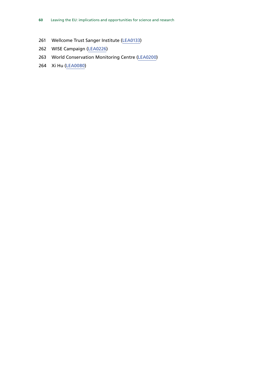- Wellcome Trust Sanger Institute ([LEA0133\)](http://data.parliament.uk/WrittenEvidence/CommitteeEvidence.svc/EvidenceDocument/Science%20and%20Technology/Leaving%20the%20EU%20Implications%20and%20opportunities%20for%20science%20and%20research/written/35454.html)
- WISE Campaign [\(LEA0226](http://data.parliament.uk/WrittenEvidence/CommitteeEvidence.svc/EvidenceDocument/Science%20and%20Technology/Leaving%20the%20EU%20Implications%20and%20opportunities%20for%20science%20and%20research/written/36018.html))
- World Conservation Monitoring Centre [\(LEA0200](http://data.parliament.uk/WrittenEvidence/CommitteeEvidence.svc/EvidenceDocument/Science%20and%20Technology/Leaving%20the%20EU%20Implications%20and%20opportunities%20for%20science%20and%20research/written/35955.html))
- Xi Hu [\(LEA0080](http://data.parliament.uk/WrittenEvidence/CommitteeEvidence.svc/EvidenceDocument/Science%20and%20Technology/Leaving%20the%20EU%20Implications%20and%20opportunities%20for%20science%20and%20research/written/35154.html))